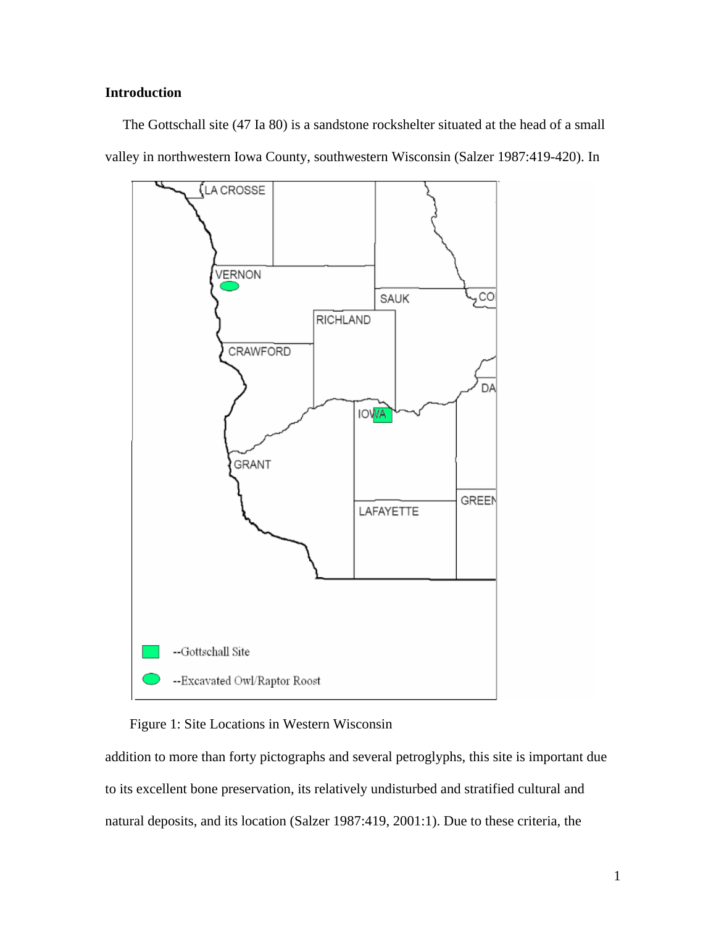# **Introduction**

 The Gottschall site (47 Ia 80) is a sandstone rockshelter situated at the head of a small valley in northwestern Iowa County, southwestern Wisconsin (Salzer 1987:419-420). In



## Figure 1: Site Locations in Western Wisconsin

addition to more than forty pictographs and several petroglyphs, this site is important due to its excellent bone preservation, its relatively undisturbed and stratified cultural and natural deposits, and its location (Salzer 1987:419, 2001:1). Due to these criteria, the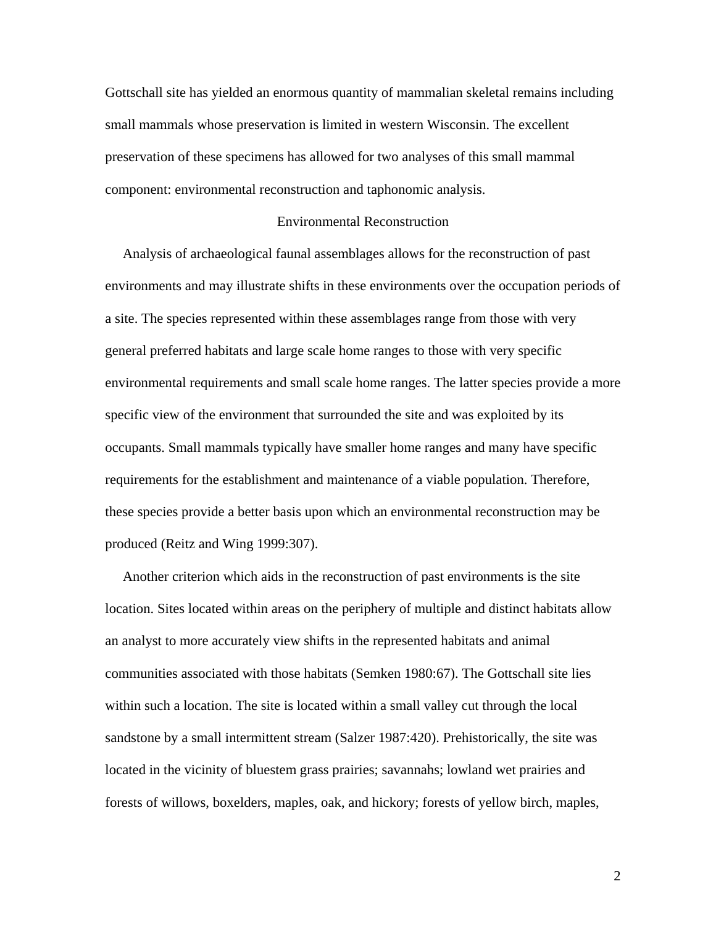Gottschall site has yielded an enormous quantity of mammalian skeletal remains including small mammals whose preservation is limited in western Wisconsin. The excellent preservation of these specimens has allowed for two analyses of this small mammal component: environmental reconstruction and taphonomic analysis.

## Environmental Reconstruction

 Analysis of archaeological faunal assemblages allows for the reconstruction of past environments and may illustrate shifts in these environments over the occupation periods of a site. The species represented within these assemblages range from those with very general preferred habitats and large scale home ranges to those with very specific environmental requirements and small scale home ranges. The latter species provide a more specific view of the environment that surrounded the site and was exploited by its occupants. Small mammals typically have smaller home ranges and many have specific requirements for the establishment and maintenance of a viable population. Therefore, these species provide a better basis upon which an environmental reconstruction may be produced (Reitz and Wing 1999:307).

 Another criterion which aids in the reconstruction of past environments is the site location. Sites located within areas on the periphery of multiple and distinct habitats allow an analyst to more accurately view shifts in the represented habitats and animal communities associated with those habitats (Semken 1980:67). The Gottschall site lies within such a location. The site is located within a small valley cut through the local sandstone by a small intermittent stream (Salzer 1987:420). Prehistorically, the site was located in the vicinity of bluestem grass prairies; savannahs; lowland wet prairies and forests of willows, boxelders, maples, oak, and hickory; forests of yellow birch, maples,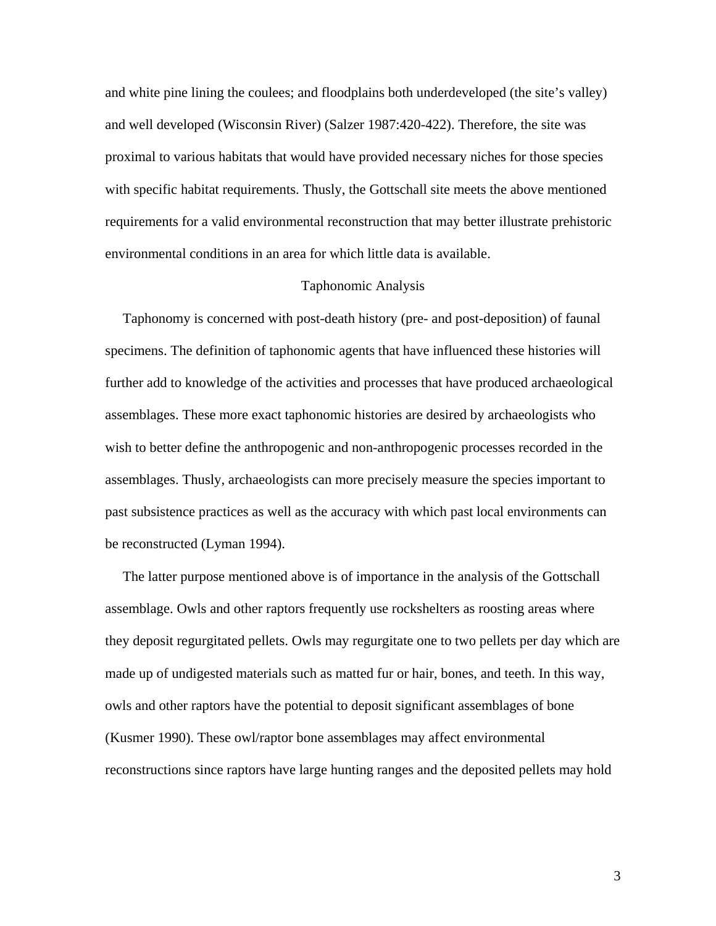and white pine lining the coulees; and floodplains both underdeveloped (the site's valley) and well developed (Wisconsin River) (Salzer 1987:420-422). Therefore, the site was proximal to various habitats that would have provided necessary niches for those species with specific habitat requirements. Thusly, the Gottschall site meets the above mentioned requirements for a valid environmental reconstruction that may better illustrate prehistoric environmental conditions in an area for which little data is available.

## Taphonomic Analysis

 Taphonomy is concerned with post-death history (pre- and post-deposition) of faunal specimens. The definition of taphonomic agents that have influenced these histories will further add to knowledge of the activities and processes that have produced archaeological assemblages. These more exact taphonomic histories are desired by archaeologists who wish to better define the anthropogenic and non-anthropogenic processes recorded in the assemblages. Thusly, archaeologists can more precisely measure the species important to past subsistence practices as well as the accuracy with which past local environments can be reconstructed (Lyman 1994).

 The latter purpose mentioned above is of importance in the analysis of the Gottschall assemblage. Owls and other raptors frequently use rockshelters as roosting areas where they deposit regurgitated pellets. Owls may regurgitate one to two pellets per day which are made up of undigested materials such as matted fur or hair, bones, and teeth. In this way, owls and other raptors have the potential to deposit significant assemblages of bone (Kusmer 1990). These owl/raptor bone assemblages may affect environmental reconstructions since raptors have large hunting ranges and the deposited pellets may hold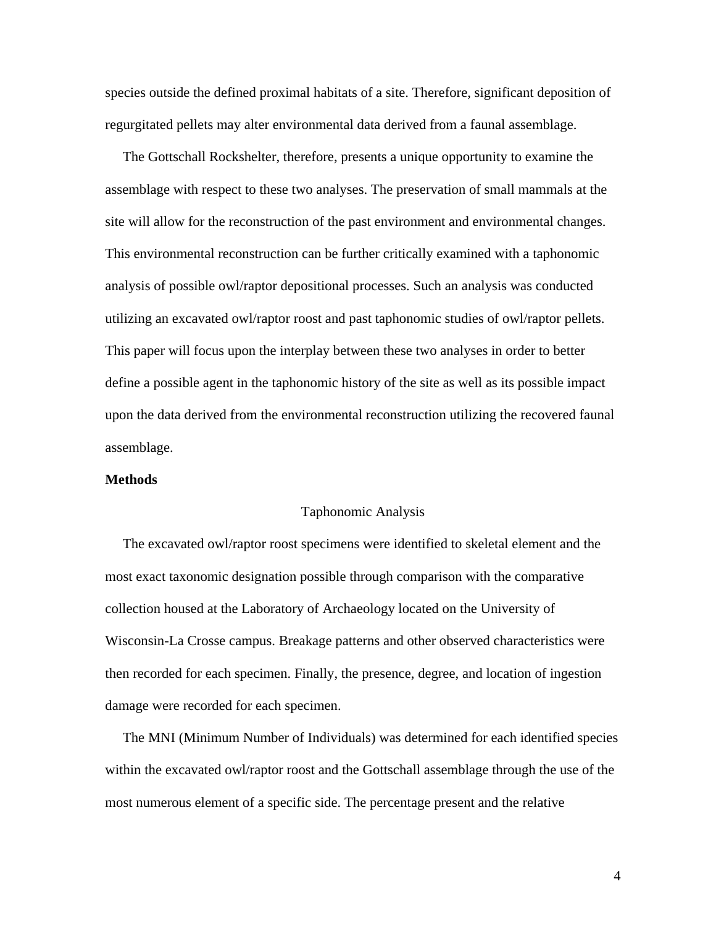species outside the defined proximal habitats of a site. Therefore, significant deposition of regurgitated pellets may alter environmental data derived from a faunal assemblage.

 The Gottschall Rockshelter, therefore, presents a unique opportunity to examine the assemblage with respect to these two analyses. The preservation of small mammals at the site will allow for the reconstruction of the past environment and environmental changes. This environmental reconstruction can be further critically examined with a taphonomic analysis of possible owl/raptor depositional processes. Such an analysis was conducted utilizing an excavated owl/raptor roost and past taphonomic studies of owl/raptor pellets. This paper will focus upon the interplay between these two analyses in order to better define a possible agent in the taphonomic history of the site as well as its possible impact upon the data derived from the environmental reconstruction utilizing the recovered faunal assemblage.

## **Methods**

#### Taphonomic Analysis

 The excavated owl/raptor roost specimens were identified to skeletal element and the most exact taxonomic designation possible through comparison with the comparative collection housed at the Laboratory of Archaeology located on the University of Wisconsin-La Crosse campus. Breakage patterns and other observed characteristics were then recorded for each specimen. Finally, the presence, degree, and location of ingestion damage were recorded for each specimen.

 The MNI (Minimum Number of Individuals) was determined for each identified species within the excavated owl/raptor roost and the Gottschall assemblage through the use of the most numerous element of a specific side. The percentage present and the relative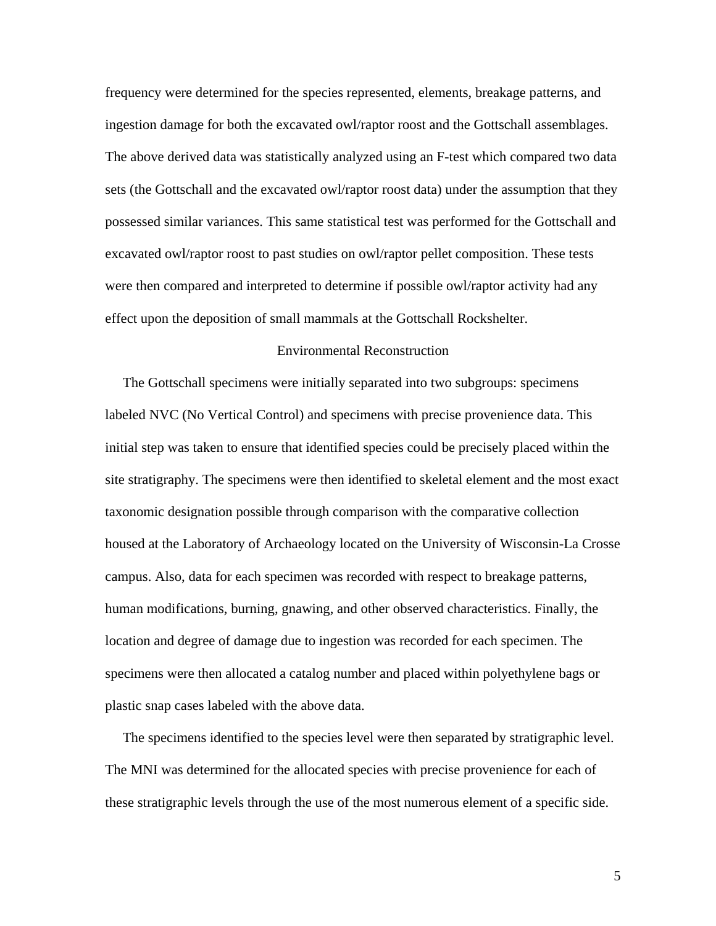frequency were determined for the species represented, elements, breakage patterns, and ingestion damage for both the excavated owl/raptor roost and the Gottschall assemblages. The above derived data was statistically analyzed using an F-test which compared two data sets (the Gottschall and the excavated owl/raptor roost data) under the assumption that they possessed similar variances. This same statistical test was performed for the Gottschall and excavated owl/raptor roost to past studies on owl/raptor pellet composition. These tests were then compared and interpreted to determine if possible owl/raptor activity had any effect upon the deposition of small mammals at the Gottschall Rockshelter.

## Environmental Reconstruction

 The Gottschall specimens were initially separated into two subgroups: specimens labeled NVC (No Vertical Control) and specimens with precise provenience data. This initial step was taken to ensure that identified species could be precisely placed within the site stratigraphy. The specimens were then identified to skeletal element and the most exact taxonomic designation possible through comparison with the comparative collection housed at the Laboratory of Archaeology located on the University of Wisconsin-La Crosse campus. Also, data for each specimen was recorded with respect to breakage patterns, human modifications, burning, gnawing, and other observed characteristics. Finally, the location and degree of damage due to ingestion was recorded for each specimen. The specimens were then allocated a catalog number and placed within polyethylene bags or plastic snap cases labeled with the above data.

 The specimens identified to the species level were then separated by stratigraphic level. The MNI was determined for the allocated species with precise provenience for each of these stratigraphic levels through the use of the most numerous element of a specific side.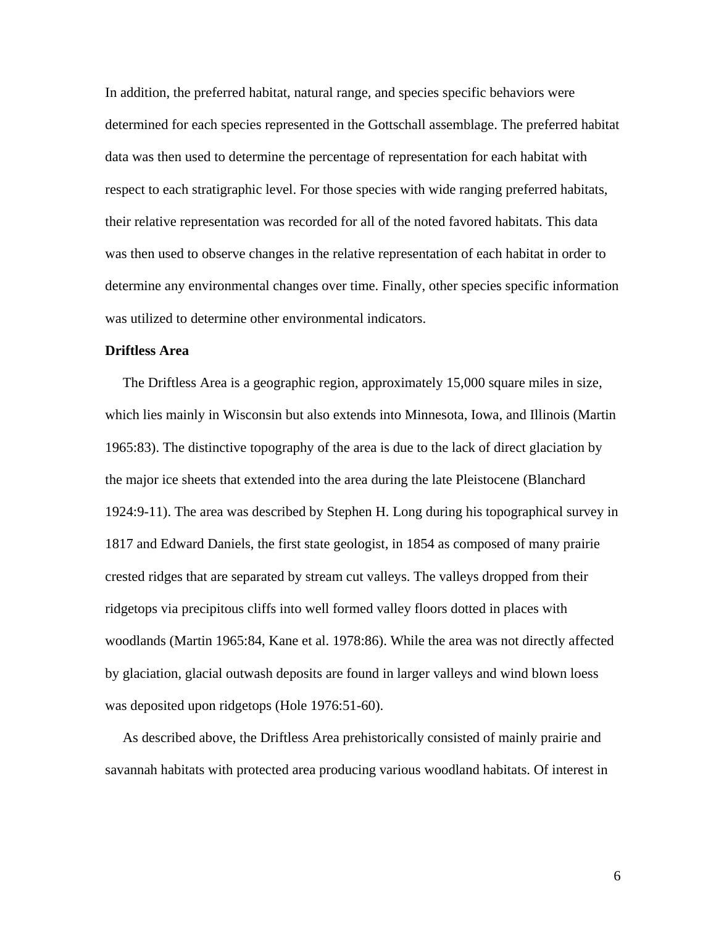In addition, the preferred habitat, natural range, and species specific behaviors were determined for each species represented in the Gottschall assemblage. The preferred habitat data was then used to determine the percentage of representation for each habitat with respect to each stratigraphic level. For those species with wide ranging preferred habitats, their relative representation was recorded for all of the noted favored habitats. This data was then used to observe changes in the relative representation of each habitat in order to determine any environmental changes over time. Finally, other species specific information was utilized to determine other environmental indicators.

## **Driftless Area**

 The Driftless Area is a geographic region, approximately 15,000 square miles in size, which lies mainly in Wisconsin but also extends into Minnesota, Iowa, and Illinois (Martin 1965:83). The distinctive topography of the area is due to the lack of direct glaciation by the major ice sheets that extended into the area during the late Pleistocene (Blanchard 1924:9-11). The area was described by Stephen H. Long during his topographical survey in 1817 and Edward Daniels, the first state geologist, in 1854 as composed of many prairie crested ridges that are separated by stream cut valleys. The valleys dropped from their ridgetops via precipitous cliffs into well formed valley floors dotted in places with woodlands (Martin 1965:84, Kane et al. 1978:86). While the area was not directly affected by glaciation, glacial outwash deposits are found in larger valleys and wind blown loess was deposited upon ridgetops (Hole 1976:51-60).

 As described above, the Driftless Area prehistorically consisted of mainly prairie and savannah habitats with protected area producing various woodland habitats. Of interest in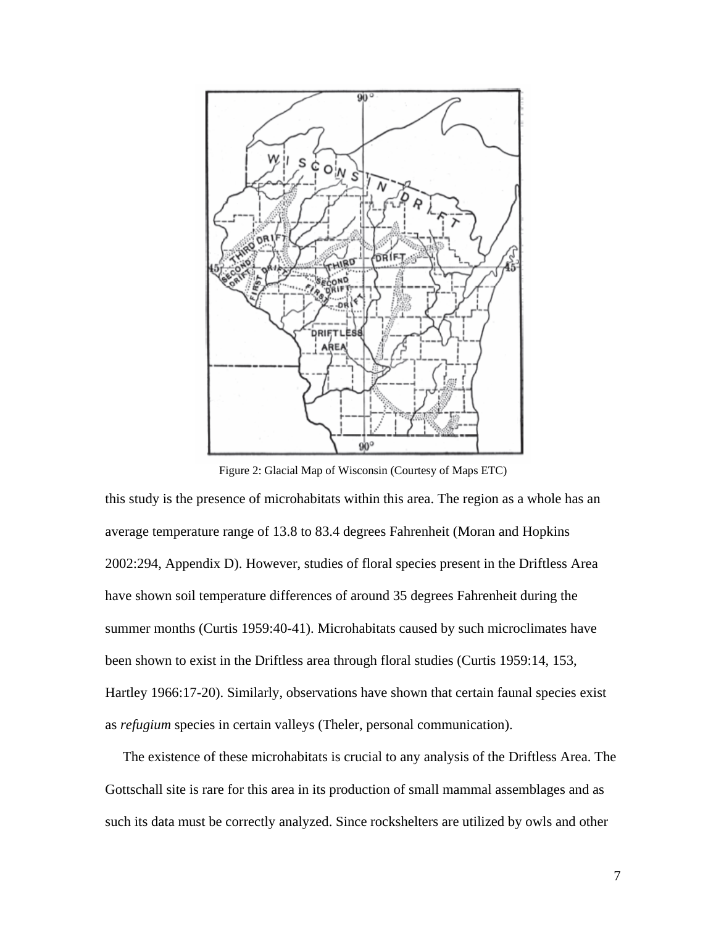

Figure 2: Glacial Map of Wisconsin (Courtesy of Maps ETC)

this study is the presence of microhabitats within this area. The region as a whole has an average temperature range of 13.8 to 83.4 degrees Fahrenheit (Moran and Hopkins 2002:294, Appendix D). However, studies of floral species present in the Driftless Area have shown soil temperature differences of around 35 degrees Fahrenheit during the summer months (Curtis 1959:40-41). Microhabitats caused by such microclimates have been shown to exist in the Driftless area through floral studies (Curtis 1959:14, 153, Hartley 1966:17-20). Similarly, observations have shown that certain faunal species exist as *refugium* species in certain valleys (Theler, personal communication).

 The existence of these microhabitats is crucial to any analysis of the Driftless Area. The Gottschall site is rare for this area in its production of small mammal assemblages and as such its data must be correctly analyzed. Since rockshelters are utilized by owls and other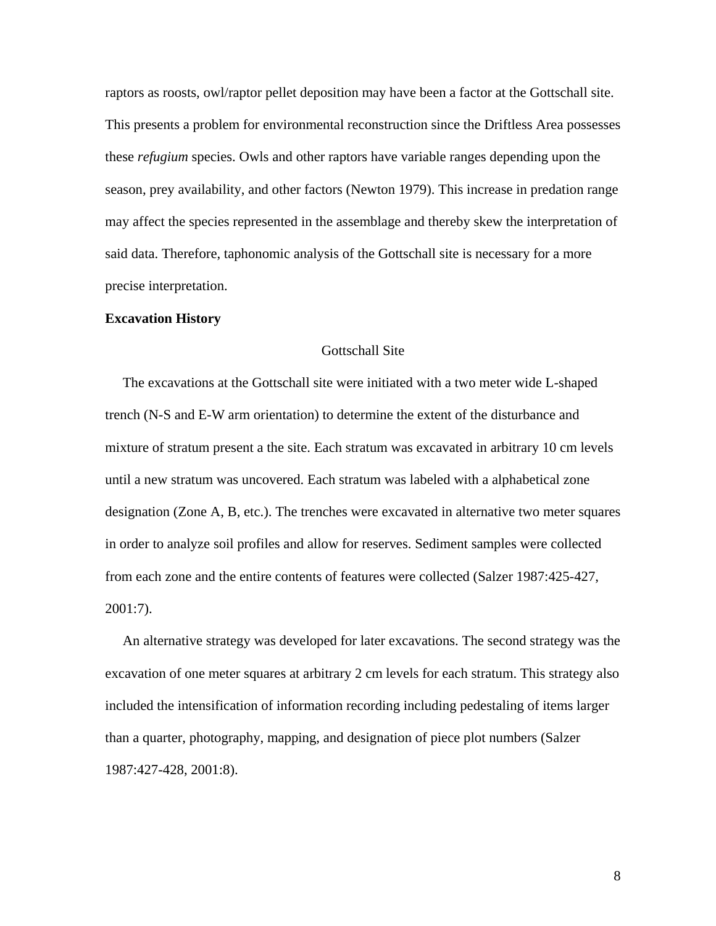raptors as roosts, owl/raptor pellet deposition may have been a factor at the Gottschall site. This presents a problem for environmental reconstruction since the Driftless Area possesses these *refugium* species. Owls and other raptors have variable ranges depending upon the season, prey availability, and other factors (Newton 1979). This increase in predation range may affect the species represented in the assemblage and thereby skew the interpretation of said data. Therefore, taphonomic analysis of the Gottschall site is necessary for a more precise interpretation.

#### **Excavation History**

## Gottschall Site

 The excavations at the Gottschall site were initiated with a two meter wide L-shaped trench (N-S and E-W arm orientation) to determine the extent of the disturbance and mixture of stratum present a the site. Each stratum was excavated in arbitrary 10 cm levels until a new stratum was uncovered. Each stratum was labeled with a alphabetical zone designation (Zone A, B, etc.). The trenches were excavated in alternative two meter squares in order to analyze soil profiles and allow for reserves. Sediment samples were collected from each zone and the entire contents of features were collected (Salzer 1987:425-427, 2001:7).

 An alternative strategy was developed for later excavations. The second strategy was the excavation of one meter squares at arbitrary 2 cm levels for each stratum. This strategy also included the intensification of information recording including pedestaling of items larger than a quarter, photography, mapping, and designation of piece plot numbers (Salzer 1987:427-428, 2001:8).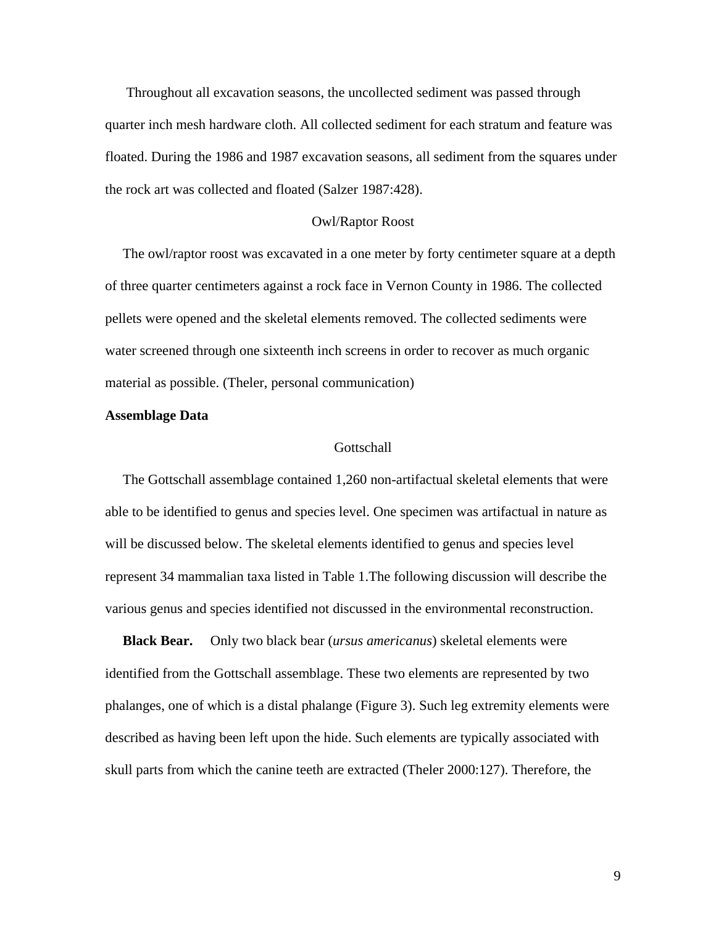Throughout all excavation seasons, the uncollected sediment was passed through quarter inch mesh hardware cloth. All collected sediment for each stratum and feature was floated. During the 1986 and 1987 excavation seasons, all sediment from the squares under the rock art was collected and floated (Salzer 1987:428).

#### Owl/Raptor Roost

 The owl/raptor roost was excavated in a one meter by forty centimeter square at a depth of three quarter centimeters against a rock face in Vernon County in 1986. The collected pellets were opened and the skeletal elements removed. The collected sediments were water screened through one sixteenth inch screens in order to recover as much organic material as possible. (Theler, personal communication)

#### **Assemblage Data**

#### **Gottschall**

 The Gottschall assemblage contained 1,260 non-artifactual skeletal elements that were able to be identified to genus and species level. One specimen was artifactual in nature as will be discussed below. The skeletal elements identified to genus and species level represent 34 mammalian taxa listed in Table 1.The following discussion will describe the various genus and species identified not discussed in the environmental reconstruction.

 **Black Bear.** Only two black bear (*ursus americanus*) skeletal elements were identified from the Gottschall assemblage. These two elements are represented by two phalanges, one of which is a distal phalange (Figure 3). Such leg extremity elements were described as having been left upon the hide. Such elements are typically associated with skull parts from which the canine teeth are extracted (Theler 2000:127). Therefore, the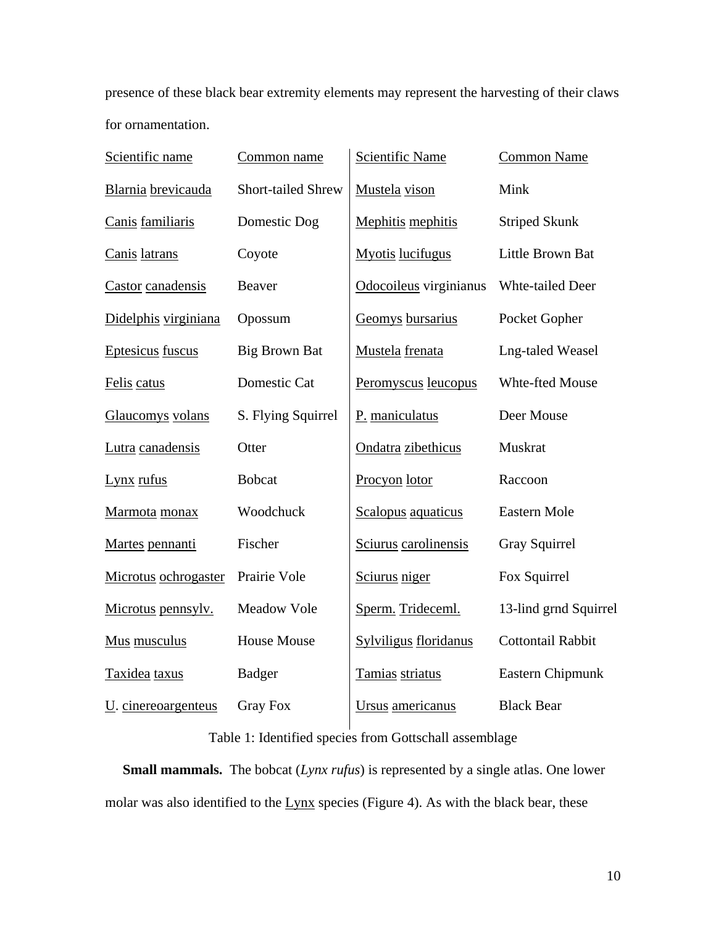presence of these black bear extremity elements may represent the harvesting of their claws for ornamentation.

| Scientific name                        | Common name          | <b>Scientific Name</b>  | <b>Common Name</b>       |  |  |  |
|----------------------------------------|----------------------|-------------------------|--------------------------|--|--|--|
| Blarnia brevicauda                     | Short-tailed Shrew   | Mustela vison           | Mink                     |  |  |  |
| Canis familiaris                       | Domestic Dog         | Mephitis mephitis       | <b>Striped Skunk</b>     |  |  |  |
| Canis latrans                          | Coyote               | <b>Myotis</b> lucifugus | Little Brown Bat         |  |  |  |
| Castor canadensis                      | <b>Beaver</b>        | Odocoileus virginianus  | Whte-tailed Deer         |  |  |  |
| Didelphis virginiana                   | Opossum              | Geomys bursarius        | Pocket Gopher            |  |  |  |
| Eptesicus fuscus                       | <b>Big Brown Bat</b> | Mustela frenata         | <b>Lng-taled Weasel</b>  |  |  |  |
| Felis catus                            | Domestic Cat         | Peromyscus leucopus     | Whte-fted Mouse          |  |  |  |
| Glaucomys volans                       | S. Flying Squirrel   |                         | Deer Mouse               |  |  |  |
| Lutra canadensis                       | Otter                | Ondatra zibethicus      | Muskrat                  |  |  |  |
| Lynx rufus                             | <b>Bobcat</b>        | Procyon lotor           | Raccoon                  |  |  |  |
| Marmota monax                          | Woodchuck            | Scalopus aquaticus      | Eastern Mole             |  |  |  |
| Martes pennanti                        | Fischer              | Sciurus carolinensis    | <b>Gray Squirrel</b>     |  |  |  |
| Microtus ochrogaster                   | Prairie Vole         | Sciurus niger           | Fox Squirrel             |  |  |  |
| Microtus pennsylv.                     | <b>Meadow Vole</b>   | Sperm. Trideceml.       | 13-lind grnd Squirrel    |  |  |  |
| Mus musculus                           | <b>House Mouse</b>   | Sylviligus floridanus   | <b>Cottontail Rabbit</b> |  |  |  |
| Taxidea taxus                          | <b>Badger</b>        | Tamias striatus         | Eastern Chipmunk         |  |  |  |
| U. cinereoargenteus<br><b>Gray Fox</b> |                      | Ursus americanus        | <b>Black Bear</b>        |  |  |  |

# Table 1: Identified species from Gottschall assemblage

 **Small mammals.** The bobcat (*Lynx rufus*) is represented by a single atlas. One lower molar was also identified to the Lynx species (Figure 4). As with the black bear, these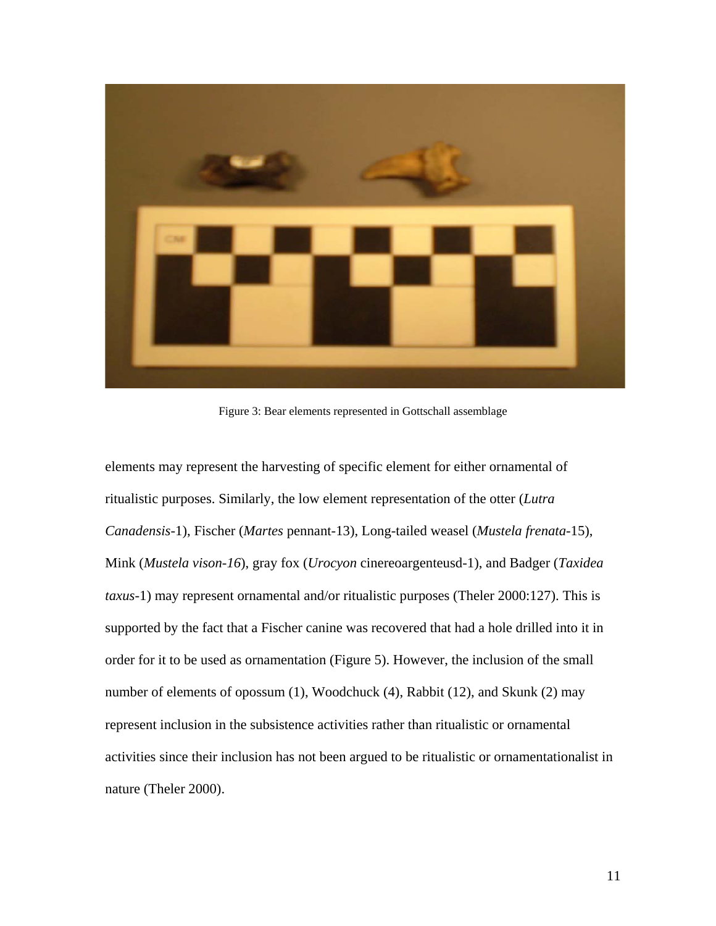

Figure 3: Bear elements represented in Gottschall assemblage

elements may represent the harvesting of specific element for either ornamental of ritualistic purposes. Similarly, the low element representation of the otter (*Lutra Canadensis*-1), Fischer (*Martes* pennant-13), Long-tailed weasel (*Mustela frenata*-15), Mink (*Mustela vison-16*), gray fox (*Urocyon* cinereoargenteusd-1), and Badger (*Taxidea taxus-*1) may represent ornamental and/or ritualistic purposes (Theler 2000:127). This is supported by the fact that a Fischer canine was recovered that had a hole drilled into it in order for it to be used as ornamentation (Figure 5). However, the inclusion of the small number of elements of opossum (1), Woodchuck (4), Rabbit (12), and Skunk (2) may represent inclusion in the subsistence activities rather than ritualistic or ornamental activities since their inclusion has not been argued to be ritualistic or ornamentationalist in nature (Theler 2000).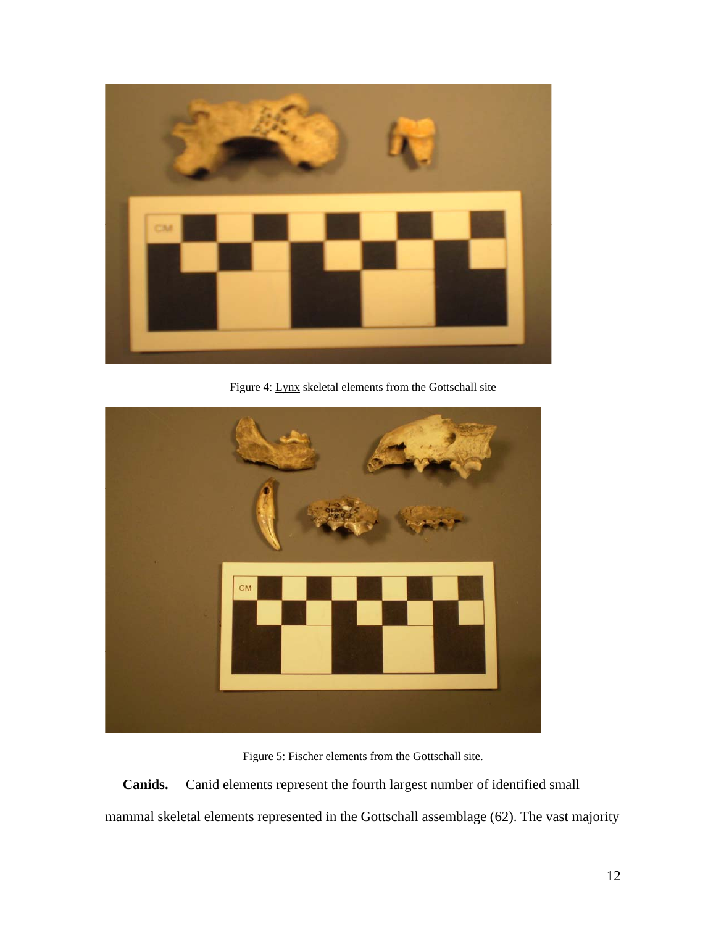

Figure 4: Lynx skeletal elements from the Gottschall site



Figure 5: Fischer elements from the Gottschall site.

 **Canids.** Canid elements represent the fourth largest number of identified small mammal skeletal elements represented in the Gottschall assemblage (62). The vast majority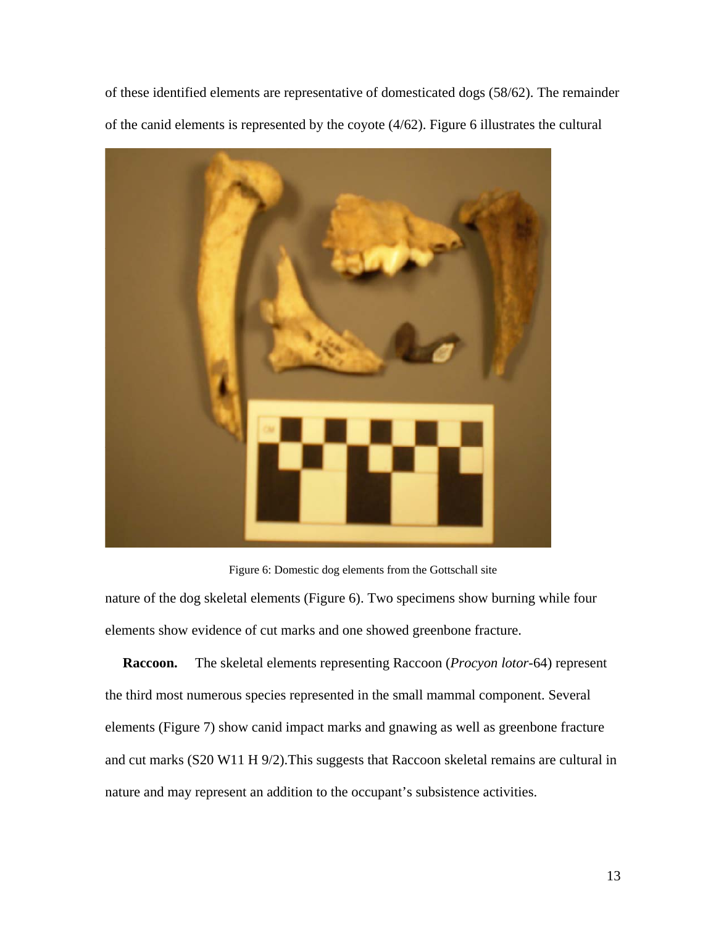of these identified elements are representative of domesticated dogs (58/62). The remainder of the canid elements is represented by the coyote (4/62). Figure 6 illustrates the cultural



Figure 6: Domestic dog elements from the Gottschall site

nature of the dog skeletal elements (Figure 6). Two specimens show burning while four elements show evidence of cut marks and one showed greenbone fracture.

 **Raccoon.** The skeletal elements representing Raccoon (*Procyon lotor*-64) represent the third most numerous species represented in the small mammal component. Several elements (Figure 7) show canid impact marks and gnawing as well as greenbone fracture and cut marks (S20 W11 H 9/2).This suggests that Raccoon skeletal remains are cultural in nature and may represent an addition to the occupant's subsistence activities.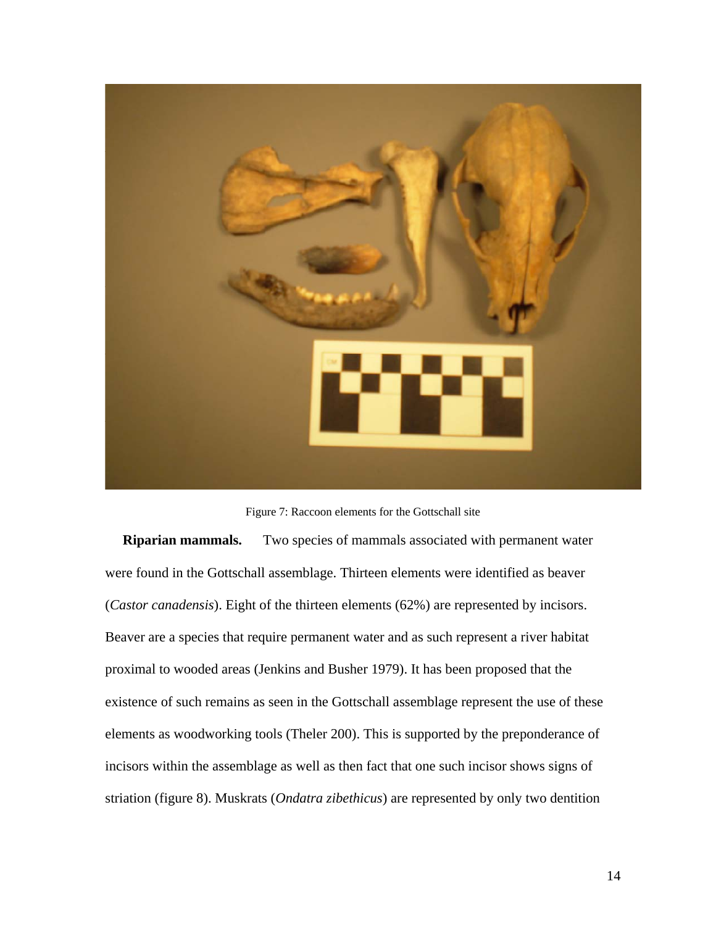

Figure 7: Raccoon elements for the Gottschall site

**Riparian mammals.** Two species of mammals associated with permanent water were found in the Gottschall assemblage. Thirteen elements were identified as beaver (*Castor canadensis*). Eight of the thirteen elements (62%) are represented by incisors. Beaver are a species that require permanent water and as such represent a river habitat proximal to wooded areas (Jenkins and Busher 1979). It has been proposed that the existence of such remains as seen in the Gottschall assemblage represent the use of these elements as woodworking tools (Theler 200). This is supported by the preponderance of incisors within the assemblage as well as then fact that one such incisor shows signs of striation (figure 8). Muskrats (*Ondatra zibethicus*) are represented by only two dentition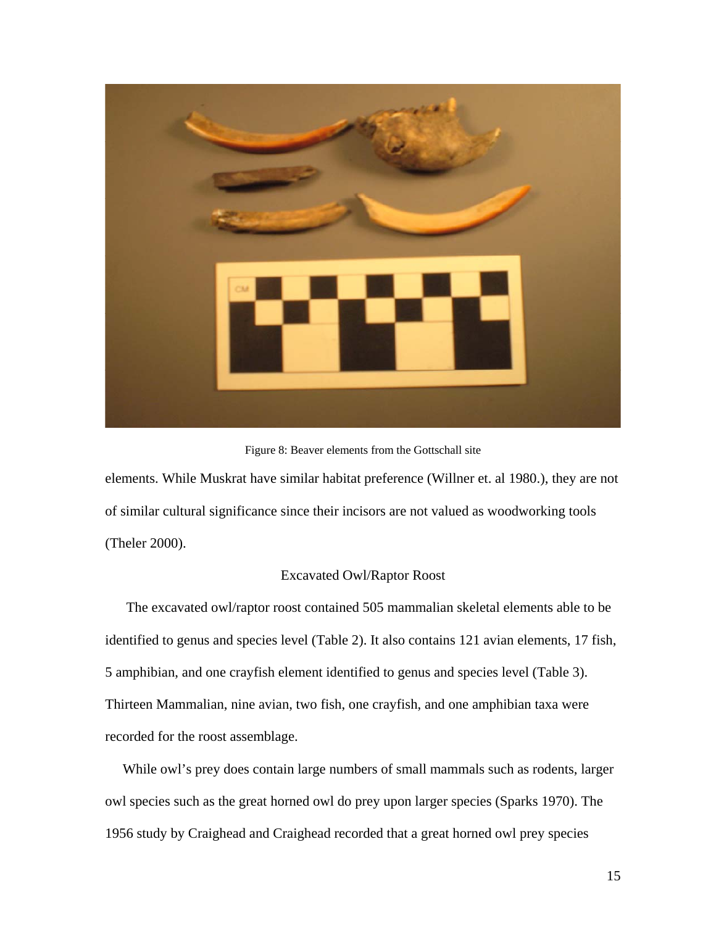

Figure 8: Beaver elements from the Gottschall site

elements. While Muskrat have similar habitat preference (Willner et. al 1980.), they are not of similar cultural significance since their incisors are not valued as woodworking tools (Theler 2000).

## Excavated Owl/Raptor Roost

 The excavated owl/raptor roost contained 505 mammalian skeletal elements able to be identified to genus and species level (Table 2). It also contains 121 avian elements, 17 fish, 5 amphibian, and one crayfish element identified to genus and species level (Table 3). Thirteen Mammalian, nine avian, two fish, one crayfish, and one amphibian taxa were recorded for the roost assemblage.

 While owl's prey does contain large numbers of small mammals such as rodents, larger owl species such as the great horned owl do prey upon larger species (Sparks 1970). The 1956 study by Craighead and Craighead recorded that a great horned owl prey species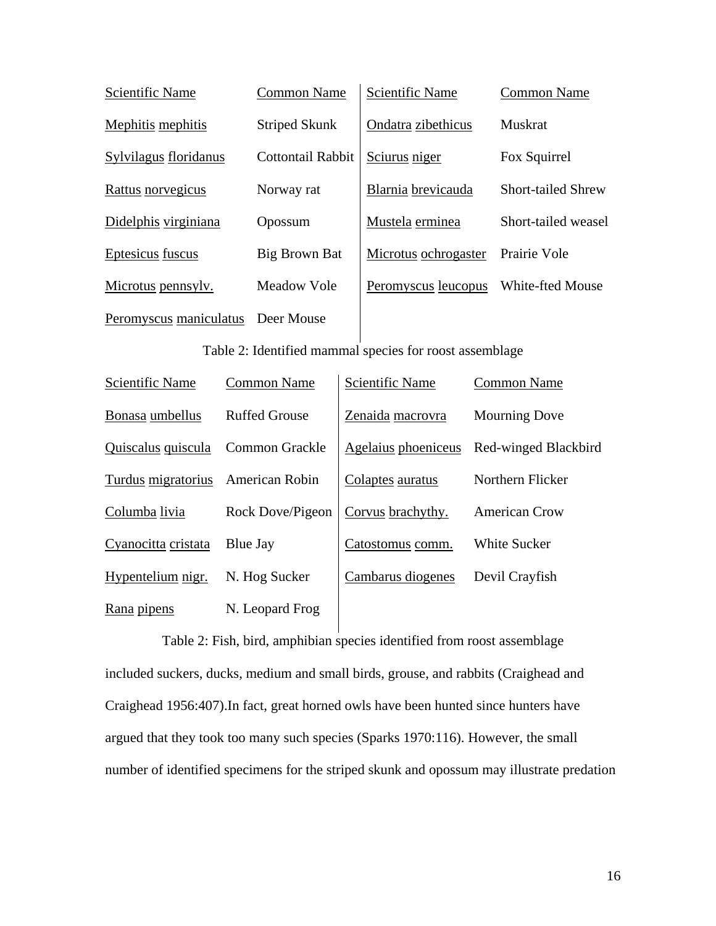| Scientific Name        | Common Name          | Scientific Name      | <b>Common Name</b>        |  |  |  |
|------------------------|----------------------|----------------------|---------------------------|--|--|--|
| Mephitis mephitis      | <b>Striped Skunk</b> | Ondatra zibethicus   | <b>Muskrat</b>            |  |  |  |
| Sylvilagus floridanus  | Cottontail Rabbit    | Sciurus niger        | Fox Squirrel              |  |  |  |
| Rattus norvegicus      | Norway rat           | Blarnia brevicauda   | <b>Short-tailed Shrew</b> |  |  |  |
| Didelphis virginiana   | Opossum              | Mustela erminea      | Short-tailed weasel       |  |  |  |
| Eptesicus fuscus       | Big Brown Bat        | Microtus ochrogaster | Prairie Vole              |  |  |  |
| Microtus pennsylv.     | Meadow Vole          | Peromyscus leucopus  | White-fted Mouse          |  |  |  |
| Peromyscus maniculatus | Deer Mouse           |                      |                           |  |  |  |

Table 2: Identified mammal species for roost assemblage

| Scientific Name     | <b>Common Name</b>    | <b>Scientific Name</b> | <b>Common Name</b>   |
|---------------------|-----------------------|------------------------|----------------------|
| Bonasa umbellus     | <b>Ruffed Grouse</b>  | Zenaida macrovra       | <b>Mourning Dove</b> |
| Quiscalus quiscula  | <b>Common Grackle</b> | Agelaius phoeniceus    | Red-winged Blackbird |
| Turdus migratorius  | American Robin        | Colaptes auratus       | Northern Flicker     |
| Columba livia       | Rock Dove/Pigeon      | Corvus brachythy.      | <b>American Crow</b> |
| Cyanocitta cristata | Blue Jay              | Catostomus comm.       | <b>White Sucker</b>  |
| Hypentelium nigr.   | N. Hog Sucker         | Cambarus diogenes      | Devil Crayfish       |
| Rana pipens         | N. Leopard Frog       |                        |                      |

Table 2: Fish, bird, amphibian species identified from roost assemblage included suckers, ducks, medium and small birds, grouse, and rabbits (Craighead and Craighead 1956:407).In fact, great horned owls have been hunted since hunters have argued that they took too many such species (Sparks 1970:116). However, the small number of identified specimens for the striped skunk and opossum may illustrate predation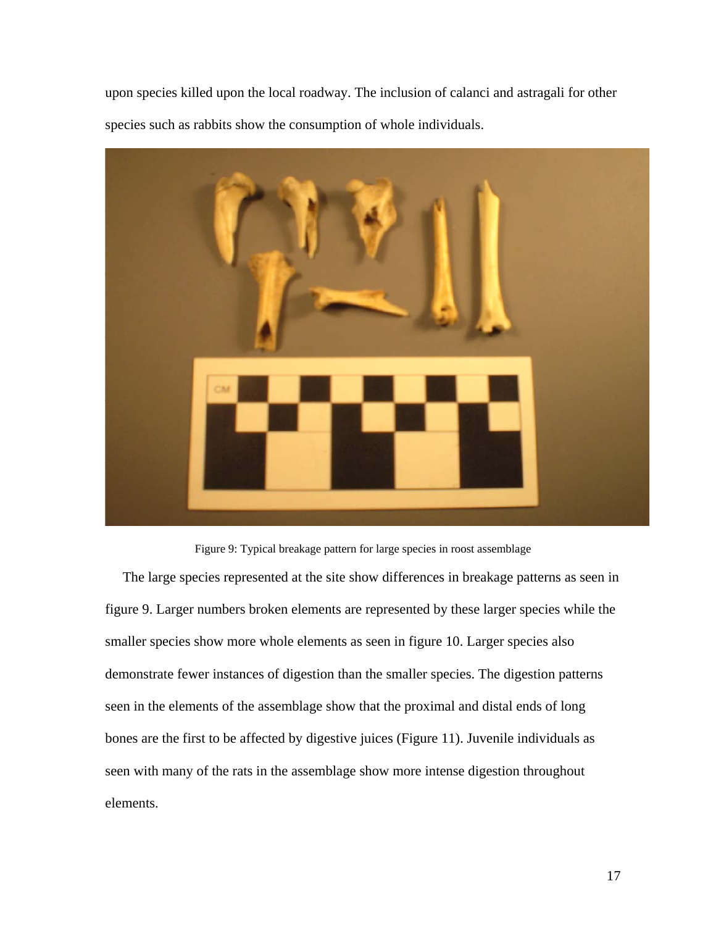upon species killed upon the local roadway. The inclusion of calanci and astragali for other species such as rabbits show the consumption of whole individuals.



Figure 9: Typical breakage pattern for large species in roost assemblage

 The large species represented at the site show differences in breakage patterns as seen in figure 9. Larger numbers broken elements are represented by these larger species while the smaller species show more whole elements as seen in figure 10. Larger species also demonstrate fewer instances of digestion than the smaller species. The digestion patterns seen in the elements of the assemblage show that the proximal and distal ends of long bones are the first to be affected by digestive juices (Figure 11). Juvenile individuals as seen with many of the rats in the assemblage show more intense digestion throughout elements.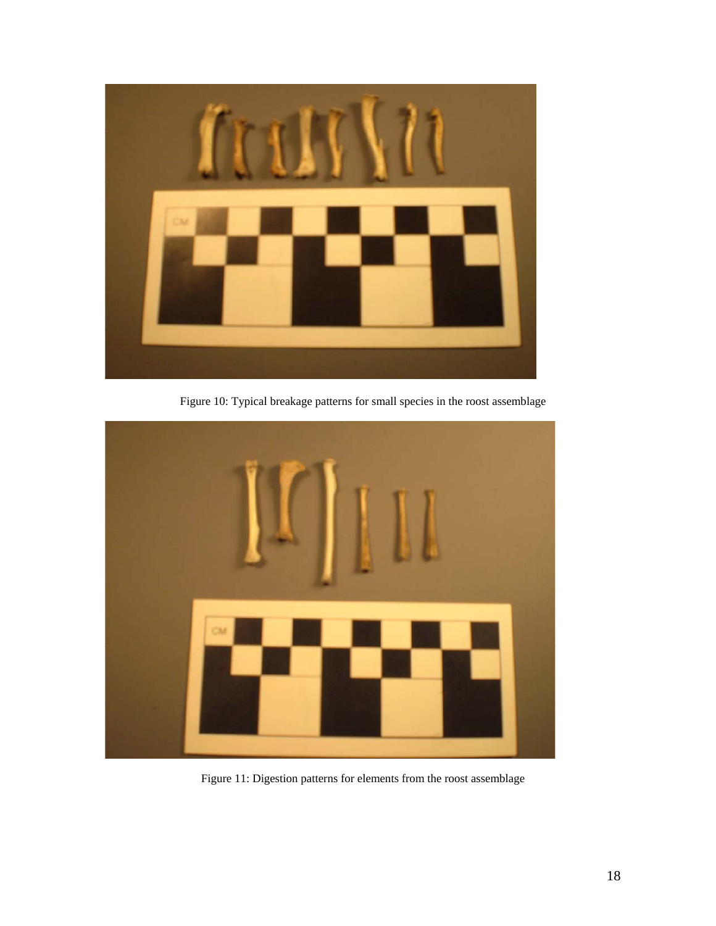

Figure 10: Typical breakage patterns for small species in the roost assemblage



Figure 11: Digestion patterns for elements from the roost assemblage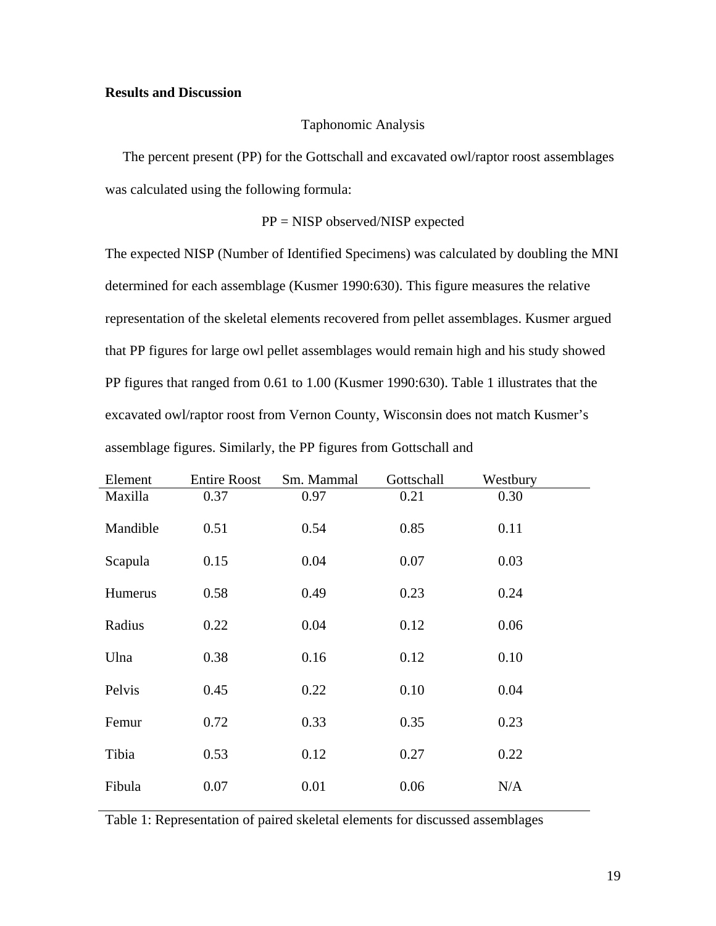## **Results and Discussion**

## Taphonomic Analysis

 The percent present (PP) for the Gottschall and excavated owl/raptor roost assemblages was calculated using the following formula:

# PP = NISP observed/NISP expected

The expected NISP (Number of Identified Specimens) was calculated by doubling the MNI determined for each assemblage (Kusmer 1990:630). This figure measures the relative representation of the skeletal elements recovered from pellet assemblages. Kusmer argued that PP figures for large owl pellet assemblages would remain high and his study showed PP figures that ranged from 0.61 to 1.00 (Kusmer 1990:630). Table 1 illustrates that the excavated owl/raptor roost from Vernon County, Wisconsin does not match Kusmer's assemblage figures. Similarly, the PP figures from Gottschall and

| Element  | <b>Entire Roost</b> | Sm. Mammal | Gottschall | Westbury |  |
|----------|---------------------|------------|------------|----------|--|
| Maxilla  | 0.37                | 0.97       | 0.21       | 0.30     |  |
| Mandible | 0.51                | 0.54       | 0.85       | 0.11     |  |
| Scapula  | 0.15                | 0.04       | 0.07       | 0.03     |  |
| Humerus  | 0.58                | 0.49       | 0.23       | 0.24     |  |
| Radius   | 0.22                | 0.04       | 0.12       | 0.06     |  |
| Ulna     | 0.38                | 0.16       | 0.12       | 0.10     |  |
| Pelvis   | 0.45                | 0.22       | 0.10       | 0.04     |  |
| Femur    | 0.72                | 0.33       | 0.35       | 0.23     |  |
| Tibia    | 0.53                | 0.12       | 0.27       | 0.22     |  |
| Fibula   | 0.07                | 0.01       | 0.06       | N/A      |  |

Table 1: Representation of paired skeletal elements for discussed assemblages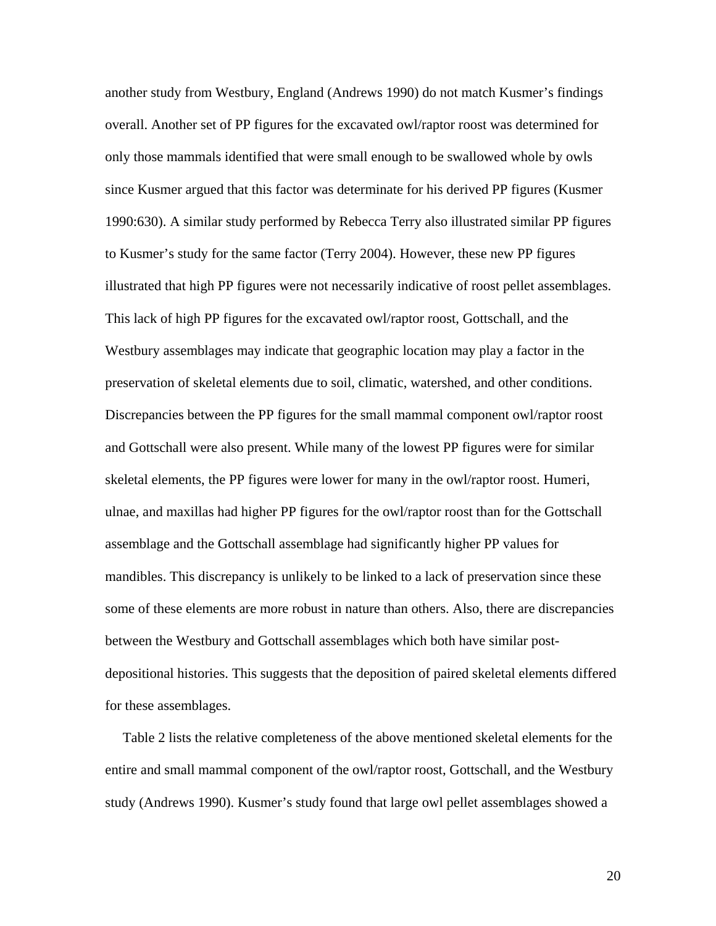another study from Westbury, England (Andrews 1990) do not match Kusmer's findings overall. Another set of PP figures for the excavated owl/raptor roost was determined for only those mammals identified that were small enough to be swallowed whole by owls since Kusmer argued that this factor was determinate for his derived PP figures (Kusmer 1990:630). A similar study performed by Rebecca Terry also illustrated similar PP figures to Kusmer's study for the same factor (Terry 2004). However, these new PP figures illustrated that high PP figures were not necessarily indicative of roost pellet assemblages. This lack of high PP figures for the excavated owl/raptor roost, Gottschall, and the Westbury assemblages may indicate that geographic location may play a factor in the preservation of skeletal elements due to soil, climatic, watershed, and other conditions. Discrepancies between the PP figures for the small mammal component owl/raptor roost and Gottschall were also present. While many of the lowest PP figures were for similar skeletal elements, the PP figures were lower for many in the owl/raptor roost. Humeri, ulnae, and maxillas had higher PP figures for the owl/raptor roost than for the Gottschall assemblage and the Gottschall assemblage had significantly higher PP values for mandibles. This discrepancy is unlikely to be linked to a lack of preservation since these some of these elements are more robust in nature than others. Also, there are discrepancies between the Westbury and Gottschall assemblages which both have similar postdepositional histories. This suggests that the deposition of paired skeletal elements differed for these assemblages.

 Table 2 lists the relative completeness of the above mentioned skeletal elements for the entire and small mammal component of the owl/raptor roost, Gottschall, and the Westbury study (Andrews 1990). Kusmer's study found that large owl pellet assemblages showed a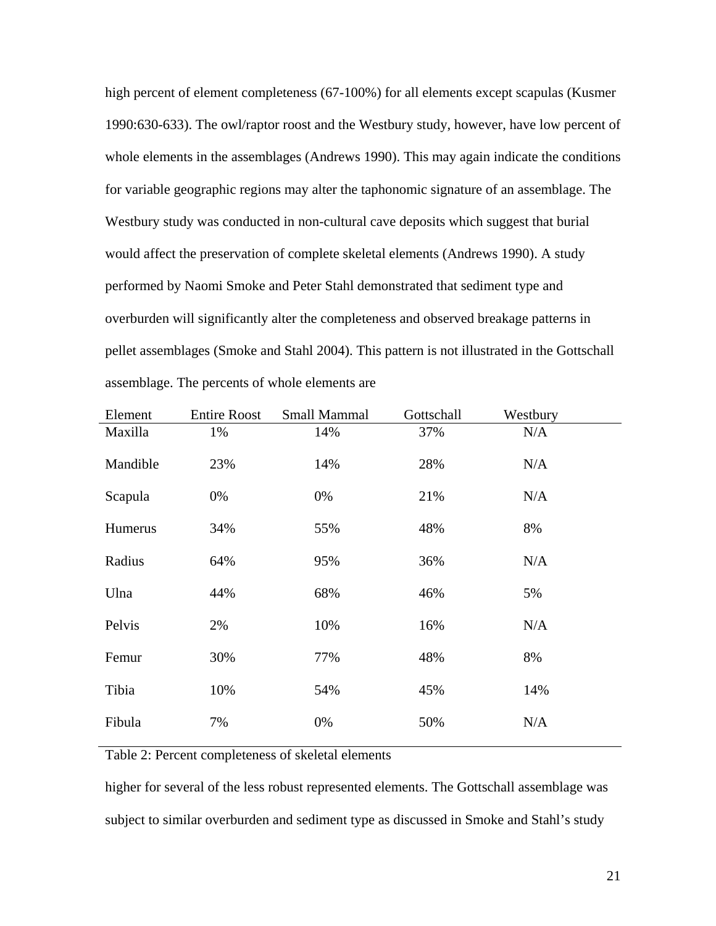high percent of element completeness (67-100%) for all elements except scapulas (Kusmer 1990:630-633). The owl/raptor roost and the Westbury study, however, have low percent of whole elements in the assemblages (Andrews 1990). This may again indicate the conditions for variable geographic regions may alter the taphonomic signature of an assemblage. The Westbury study was conducted in non-cultural cave deposits which suggest that burial would affect the preservation of complete skeletal elements (Andrews 1990). A study performed by Naomi Smoke and Peter Stahl demonstrated that sediment type and overburden will significantly alter the completeness and observed breakage patterns in pellet assemblages (Smoke and Stahl 2004). This pattern is not illustrated in the Gottschall assemblage. The percents of whole elements are

| Element  | <b>Entire Roost</b> | <b>Small Mammal</b> | Gottschall | Westbury |  |
|----------|---------------------|---------------------|------------|----------|--|
| Maxilla  | 1%                  | 14%                 | 37%        | N/A      |  |
| Mandible | 23%                 | 14%                 | 28%        | N/A      |  |
| Scapula  | 0%                  | 0%                  | 21%        | N/A      |  |
| Humerus  | 34%                 | 55%                 | 48%        | 8%       |  |
| Radius   | 64%                 | 95%                 | 36%        | N/A      |  |
| Ulna     | 44%                 | 68%                 | 46%        | 5%       |  |
| Pelvis   | 2%                  | 10%                 | 16%        | N/A      |  |
| Femur    | 30%                 | 77%                 | 48%        | 8%       |  |
| Tibia    | 10%                 | 54%                 | 45%        | 14%      |  |
| Fibula   | 7%                  | 0%                  | 50%        | N/A      |  |
|          |                     |                     |            |          |  |

Table 2: Percent completeness of skeletal elements

higher for several of the less robust represented elements. The Gottschall assemblage was subject to similar overburden and sediment type as discussed in Smoke and Stahl's study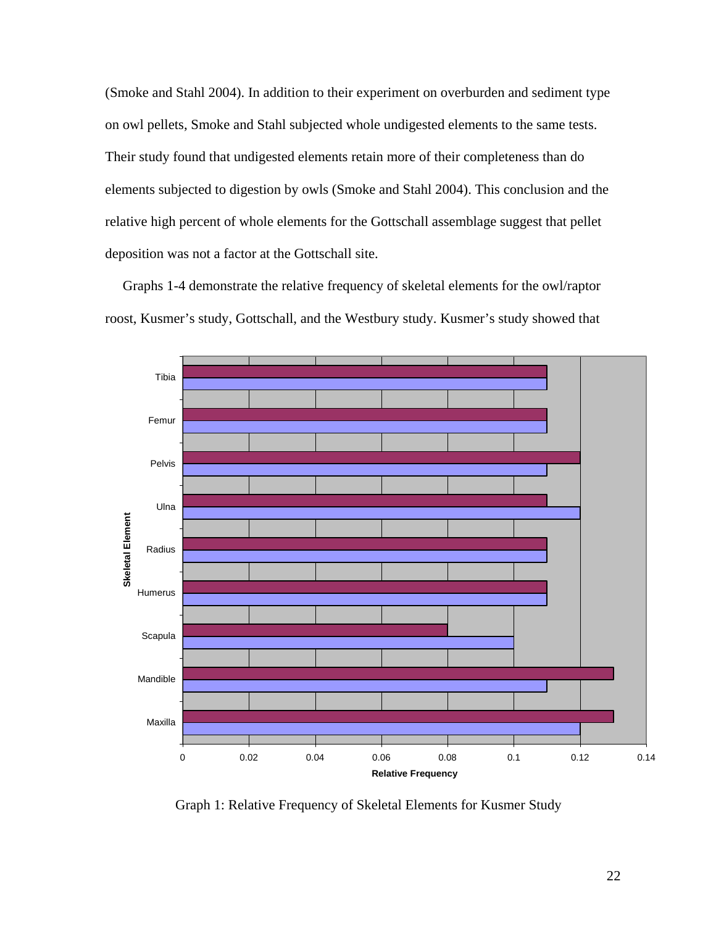(Smoke and Stahl 2004). In addition to their experiment on overburden and sediment type on owl pellets, Smoke and Stahl subjected whole undigested elements to the same tests. Their study found that undigested elements retain more of their completeness than do elements subjected to digestion by owls (Smoke and Stahl 2004). This conclusion and the relative high percent of whole elements for the Gottschall assemblage suggest that pellet deposition was not a factor at the Gottschall site.

 Graphs 1-4 demonstrate the relative frequency of skeletal elements for the owl/raptor roost, Kusmer's study, Gottschall, and the Westbury study. Kusmer's study showed that



Graph 1: Relative Frequency of Skeletal Elements for Kusmer Study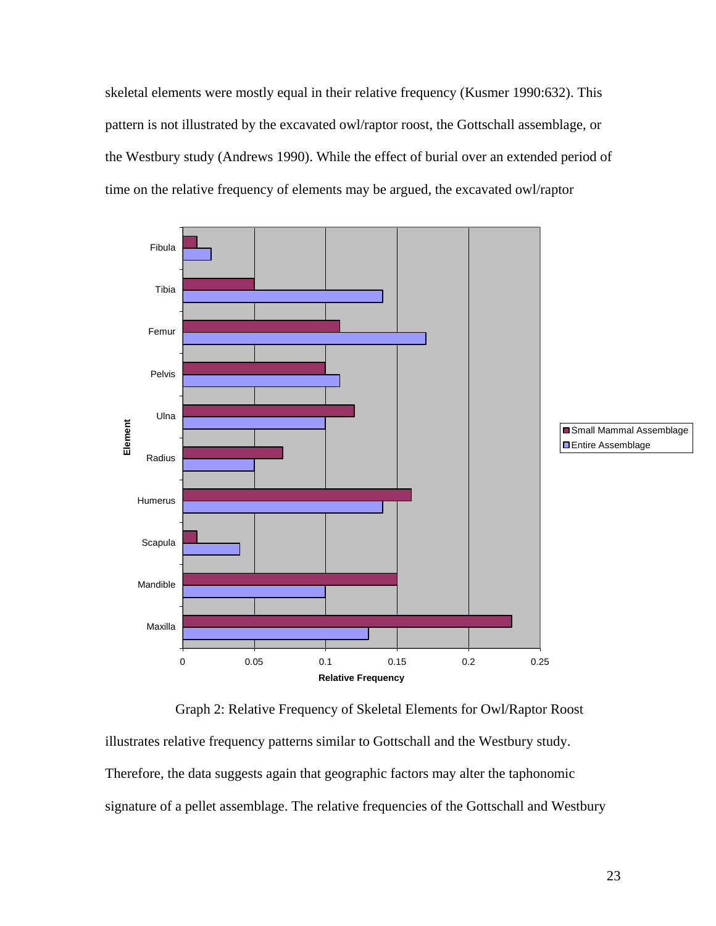skeletal elements were mostly equal in their relative frequency (Kusmer 1990:632). This pattern is not illustrated by the excavated owl/raptor roost, the Gottschall assemblage, or the Westbury study (Andrews 1990). While the effect of burial over an extended period of time on the relative frequency of elements may be argued, the excavated owl/raptor



 Graph 2: Relative Frequency of Skeletal Elements for Owl/Raptor Roost illustrates relative frequency patterns similar to Gottschall and the Westbury study. Therefore, the data suggests again that geographic factors may alter the taphonomic signature of a pellet assemblage. The relative frequencies of the Gottschall and Westbury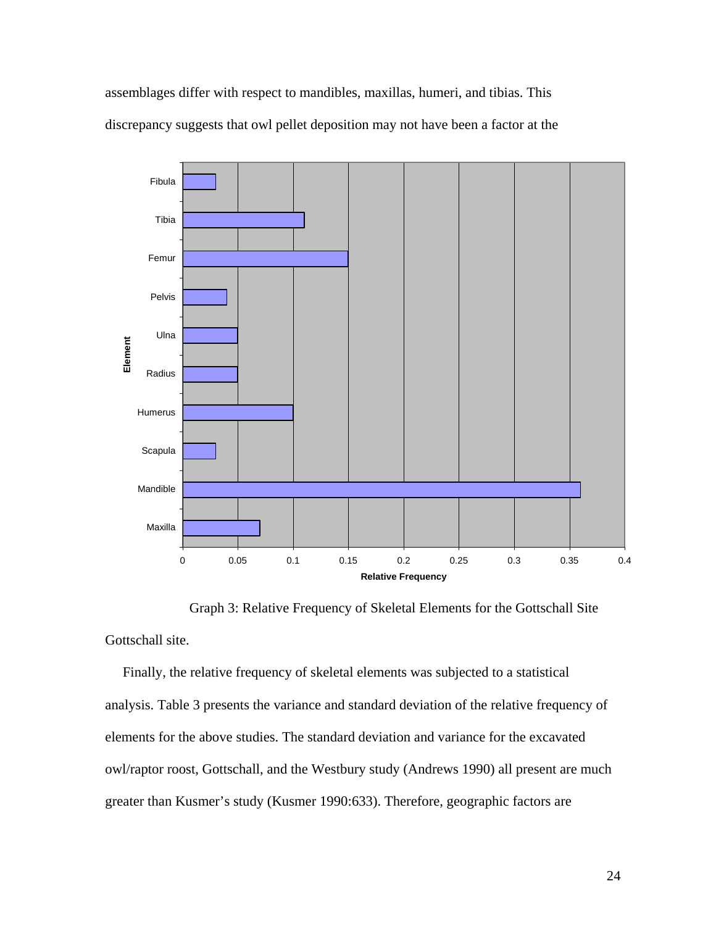assemblages differ with respect to mandibles, maxillas, humeri, and tibias. This discrepancy suggests that owl pellet deposition may not have been a factor at the



Graph 3: Relative Frequency of Skeletal Elements for the Gottschall Site

Gottschall site.

 Finally, the relative frequency of skeletal elements was subjected to a statistical analysis. Table 3 presents the variance and standard deviation of the relative frequency of elements for the above studies. The standard deviation and variance for the excavated owl/raptor roost, Gottschall, and the Westbury study (Andrews 1990) all present are much greater than Kusmer's study (Kusmer 1990:633). Therefore, geographic factors are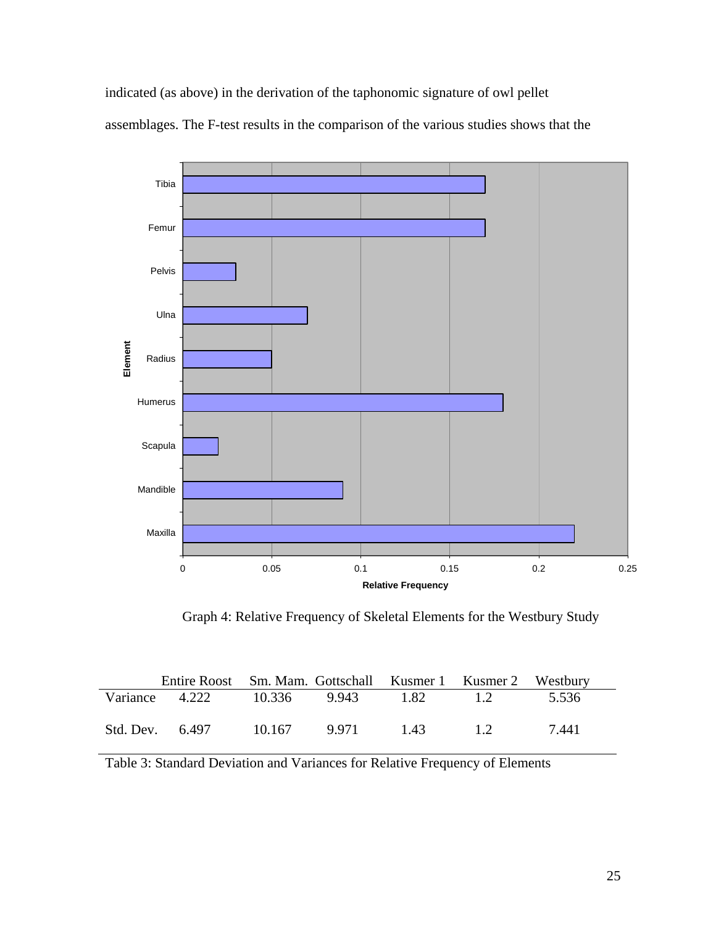indicated (as above) in the derivation of the taphonomic signature of owl pellet assemblages. The F-test results in the comparison of the various studies shows that the



Graph 4: Relative Frequency of Skeletal Elements for the Westbury Study

| Entire Roost Sm. Mam. Gottschall Kusmer 1 Kusmer 2 Westbury |        |       |      |        |       |
|-------------------------------------------------------------|--------|-------|------|--------|-------|
| Variance 4.222 10.336 9.943                                 |        |       | 1.82 | $-1.2$ | 5.536 |
| Std. Dev. 6.497                                             | 10.167 | 9.971 | 1.43 | $\Box$ | 7.441 |

Table 3: Standard Deviation and Variances for Relative Frequency of Elements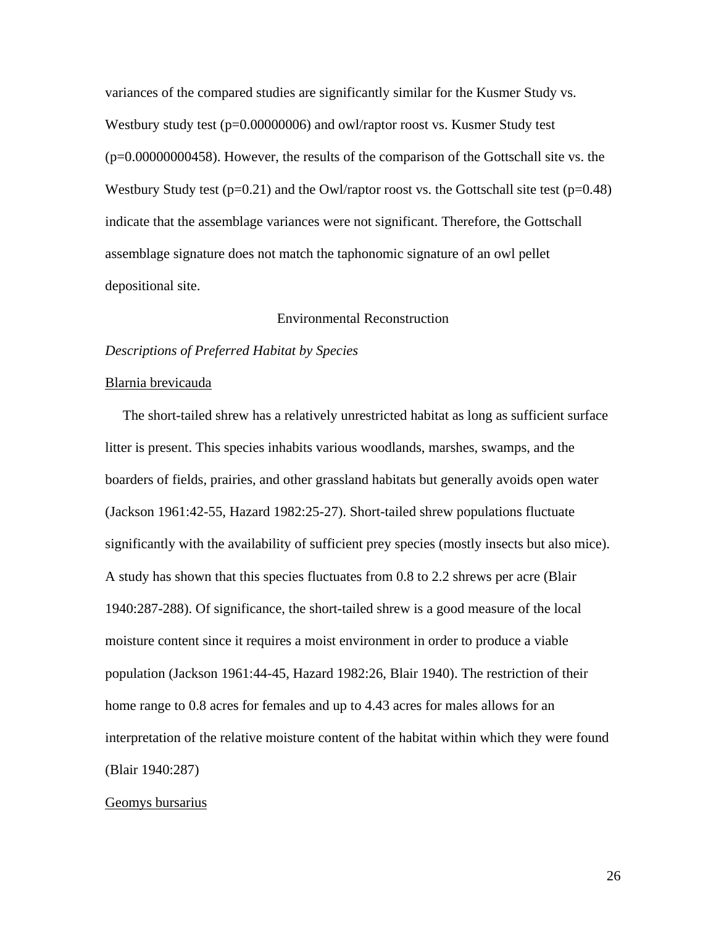variances of the compared studies are significantly similar for the Kusmer Study vs. Westbury study test (p=0.00000006) and owl/raptor roost vs. Kusmer Study test (p=0.00000000458). However, the results of the comparison of the Gottschall site vs. the Westbury Study test ( $p=0.21$ ) and the Owl/raptor roost vs. the Gottschall site test ( $p=0.48$ ) indicate that the assemblage variances were not significant. Therefore, the Gottschall assemblage signature does not match the taphonomic signature of an owl pellet depositional site.

## Environmental Reconstruction

## *Descriptions of Preferred Habitat by Species*

#### Blarnia brevicauda

 The short-tailed shrew has a relatively unrestricted habitat as long as sufficient surface litter is present. This species inhabits various woodlands, marshes, swamps, and the boarders of fields, prairies, and other grassland habitats but generally avoids open water (Jackson 1961:42-55, Hazard 1982:25-27). Short-tailed shrew populations fluctuate significantly with the availability of sufficient prey species (mostly insects but also mice). A study has shown that this species fluctuates from 0.8 to 2.2 shrews per acre (Blair 1940:287-288). Of significance, the short-tailed shrew is a good measure of the local moisture content since it requires a moist environment in order to produce a viable population (Jackson 1961:44-45, Hazard 1982:26, Blair 1940). The restriction of their home range to 0.8 acres for females and up to 4.43 acres for males allows for an interpretation of the relative moisture content of the habitat within which they were found (Blair 1940:287)

#### Geomys bursarius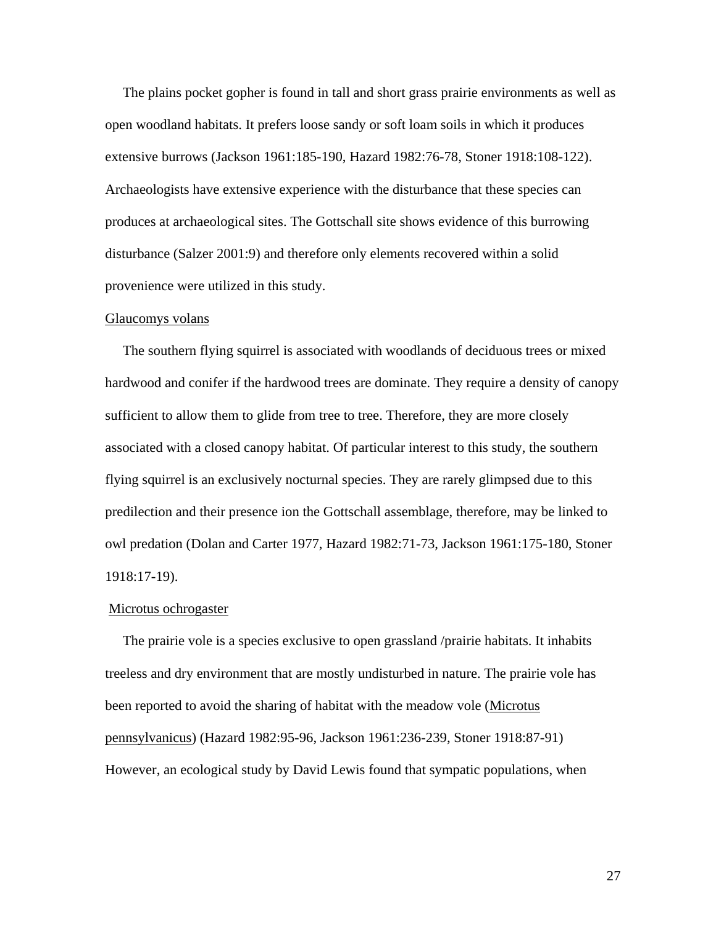The plains pocket gopher is found in tall and short grass prairie environments as well as open woodland habitats. It prefers loose sandy or soft loam soils in which it produces extensive burrows (Jackson 1961:185-190, Hazard 1982:76-78, Stoner 1918:108-122). Archaeologists have extensive experience with the disturbance that these species can produces at archaeological sites. The Gottschall site shows evidence of this burrowing disturbance (Salzer 2001:9) and therefore only elements recovered within a solid provenience were utilized in this study.

#### Glaucomys volans

 The southern flying squirrel is associated with woodlands of deciduous trees or mixed hardwood and conifer if the hardwood trees are dominate. They require a density of canopy sufficient to allow them to glide from tree to tree. Therefore, they are more closely associated with a closed canopy habitat. Of particular interest to this study, the southern flying squirrel is an exclusively nocturnal species. They are rarely glimpsed due to this predilection and their presence ion the Gottschall assemblage, therefore, may be linked to owl predation (Dolan and Carter 1977, Hazard 1982:71-73, Jackson 1961:175-180, Stoner 1918:17-19).

#### Microtus ochrogaster

 The prairie vole is a species exclusive to open grassland /prairie habitats. It inhabits treeless and dry environment that are mostly undisturbed in nature. The prairie vole has been reported to avoid the sharing of habitat with the meadow vole (Microtus pennsylvanicus) (Hazard 1982:95-96, Jackson 1961:236-239, Stoner 1918:87-91) However, an ecological study by David Lewis found that sympatic populations, when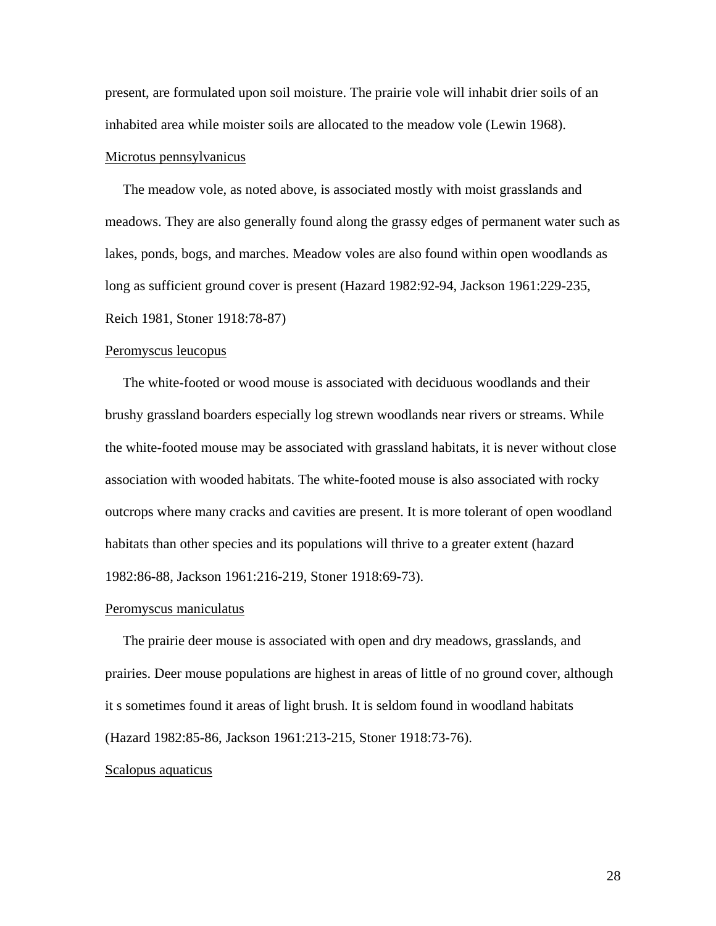present, are formulated upon soil moisture. The prairie vole will inhabit drier soils of an inhabited area while moister soils are allocated to the meadow vole (Lewin 1968).

#### Microtus pennsylvanicus

 The meadow vole, as noted above, is associated mostly with moist grasslands and meadows. They are also generally found along the grassy edges of permanent water such as lakes, ponds, bogs, and marches. Meadow voles are also found within open woodlands as long as sufficient ground cover is present (Hazard 1982:92-94, Jackson 1961:229-235, Reich 1981, Stoner 1918:78-87)

#### Peromyscus leucopus

 The white-footed or wood mouse is associated with deciduous woodlands and their brushy grassland boarders especially log strewn woodlands near rivers or streams. While the white-footed mouse may be associated with grassland habitats, it is never without close association with wooded habitats. The white-footed mouse is also associated with rocky outcrops where many cracks and cavities are present. It is more tolerant of open woodland habitats than other species and its populations will thrive to a greater extent (hazard 1982:86-88, Jackson 1961:216-219, Stoner 1918:69-73).

#### Peromyscus maniculatus

 The prairie deer mouse is associated with open and dry meadows, grasslands, and prairies. Deer mouse populations are highest in areas of little of no ground cover, although it s sometimes found it areas of light brush. It is seldom found in woodland habitats (Hazard 1982:85-86, Jackson 1961:213-215, Stoner 1918:73-76).

## Scalopus aquaticus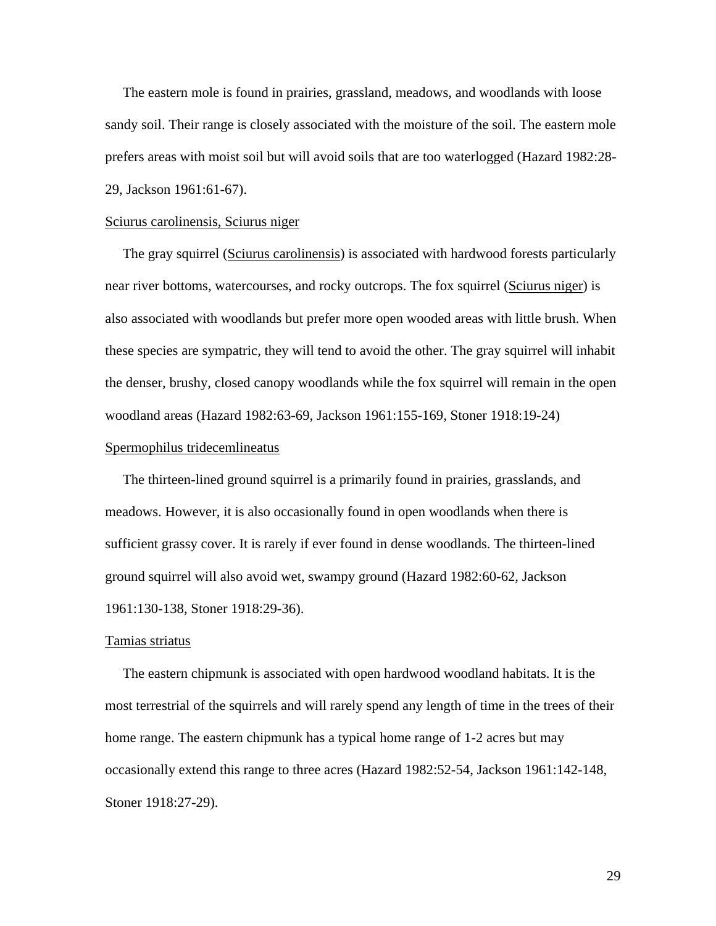The eastern mole is found in prairies, grassland, meadows, and woodlands with loose sandy soil. Their range is closely associated with the moisture of the soil. The eastern mole prefers areas with moist soil but will avoid soils that are too waterlogged (Hazard 1982:28- 29, Jackson 1961:61-67).

#### Sciurus carolinensis, Sciurus niger

The gray squirrel (Sciurus carolinensis) is associated with hardwood forests particularly near river bottoms, watercourses, and rocky outcrops. The fox squirrel (Sciurus niger) is also associated with woodlands but prefer more open wooded areas with little brush. When these species are sympatric, they will tend to avoid the other. The gray squirrel will inhabit the denser, brushy, closed canopy woodlands while the fox squirrel will remain in the open woodland areas (Hazard 1982:63-69, Jackson 1961:155-169, Stoner 1918:19-24)

## Spermophilus tridecemlineatus

 The thirteen-lined ground squirrel is a primarily found in prairies, grasslands, and meadows. However, it is also occasionally found in open woodlands when there is sufficient grassy cover. It is rarely if ever found in dense woodlands. The thirteen-lined ground squirrel will also avoid wet, swampy ground (Hazard 1982:60-62, Jackson 1961:130-138, Stoner 1918:29-36).

#### Tamias striatus

 The eastern chipmunk is associated with open hardwood woodland habitats. It is the most terrestrial of the squirrels and will rarely spend any length of time in the trees of their home range. The eastern chipmunk has a typical home range of 1-2 acres but may occasionally extend this range to three acres (Hazard 1982:52-54, Jackson 1961:142-148, Stoner 1918:27-29).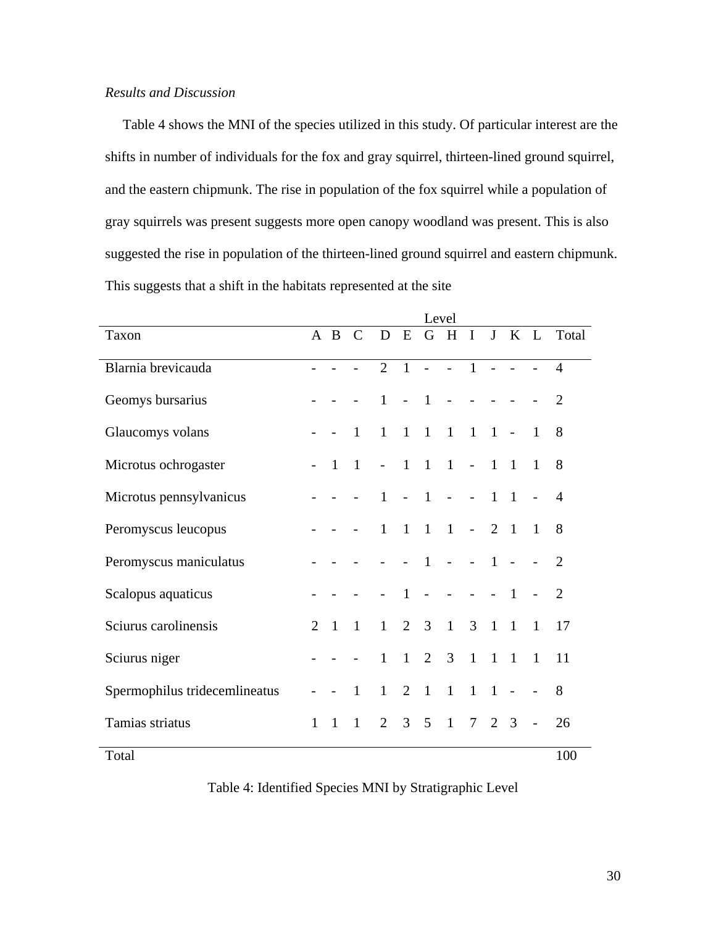# *Results and Discussion*

 Table 4 shows the MNI of the species utilized in this study. Of particular interest are the shifts in number of individuals for the fox and gray squirrel, thirteen-lined ground squirrel, and the eastern chipmunk. The rise in population of the fox squirrel while a population of gray squirrels was present suggests more open canopy woodland was present. This is also suggested the rise in population of the thirteen-lined ground squirrel and eastern chipmunk. This suggests that a shift in the habitats represented at the site

|                               | Level          |              |                |                          |                |                |                 |                |                |                |                |                |
|-------------------------------|----------------|--------------|----------------|--------------------------|----------------|----------------|-----------------|----------------|----------------|----------------|----------------|----------------|
| Taxon                         |                | A B          | $\mathcal{C}$  | D                        | E              | G              | H               | $\mathbf I$    |                | J K L          |                | Total          |
| Blarnia brevicauda            |                |              |                | $\overline{2}$           | $\overline{1}$ | $\sim$         | $\sim$ $-$      | $\blacksquare$ | $\overline{a}$ |                |                | $\overline{4}$ |
| Geomys bursarius              |                |              |                | $\mathbf{1}$             | $\overline{a}$ | $\overline{1}$ | $\overline{a}$  |                |                |                |                | 2              |
| Glaucomys volans              |                |              | $\mathbf{1}$   | $\mathbf{1}$             | $\mathbf{1}$   | $1\quad1$      |                 | $\overline{1}$ | $-1$           |                | $\overline{1}$ | 8              |
| Microtus ochrogaster          |                | 1            | $\mathbf{1}$   | $\overline{\phantom{a}}$ | $\blacksquare$ | $\mathbf{1}$   | $\frac{1}{2}$ - |                | $\mathbf{1}$   | $\mathbf{1}$   | $\mathbf{1}$   | 8              |
| Microtus pennsylvanicus       |                |              |                | $\mathbf{1}$             | $\overline{a}$ | $\overline{1}$ | $\equiv$        |                | $\mathbf{1}$   | $\overline{1}$ |                | 4              |
| Peromyscus leucopus           |                |              |                | $\mathbf{1}$             | $\mathbf{1}$   | $\overline{1}$ | $1 - 2$         |                |                | $\overline{1}$ | $\mathbf{1}$   | 8              |
| Peromyscus maniculatus        |                |              |                |                          |                | $\overline{1}$ | $\overline{a}$  | $\sim$ $-$     | $-1$           | $\overline{a}$ |                | 2              |
| Scalopus aquaticus            |                |              |                |                          | $\mathbf{1}$   | $\overline{a}$ | $\overline{a}$  |                |                | $\mathbf{1}$   |                | $\overline{2}$ |
| Sciurus carolinensis          | $\overline{2}$ | $\mathbf{1}$ | $\overline{1}$ | $\mathbf{1}$             | $\overline{2}$ | $\overline{3}$ | $\overline{1}$  | 3              | $\overline{1}$ | $\overline{1}$ | $\overline{1}$ | 17             |
| Sciurus niger                 |                |              |                | $\mathbf{1}$             | 1              | $\overline{2}$ | 3               | $\mathbf{1}$   | $1 \quad 1$    |                | $\mathbf{1}$   | 11             |
| Spermophilus tridecemlineatus |                |              | $\mathbf{1}$   | $\mathbf{1}$             | $\overline{2}$ | $\mathbf{1}$   | $\mathbf{1}$    | $\mathbf{1}$   | $\mathbf{1}$   | $\overline{a}$ |                | 8              |
| Tamias striatus               | $\mathbf{1}$   | $\mathbf{1}$ | $\mathbf{1}$   | $\overline{2}$           | 3              | $5^{\circ}$    | $\overline{1}$  | $\overline{7}$ | $2 \quad 3$    |                |                | 26             |
| Total                         |                |              |                |                          |                |                |                 |                |                |                |                | 100            |

Table 4: Identified Species MNI by Stratigraphic Level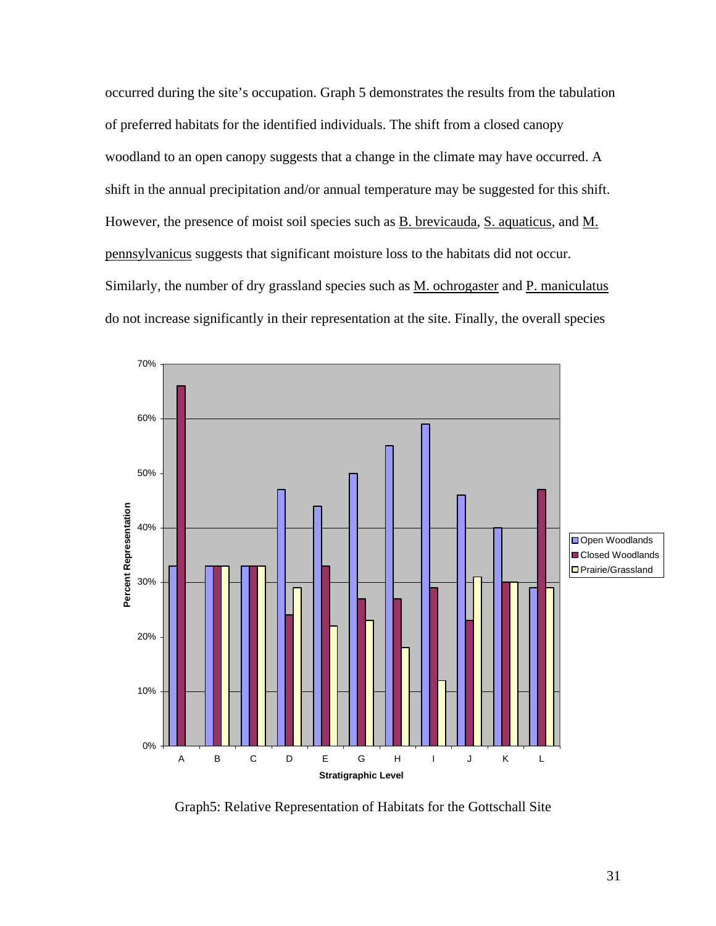occurred during the site's occupation. Graph 5 demonstrates the results from the tabulation of preferred habitats for the identified individuals. The shift from a closed canopy woodland to an open canopy suggests that a change in the climate may have occurred. A shift in the annual precipitation and/or annual temperature may be suggested for this shift. However, the presence of moist soil species such as **B**. brevicauda, S. aquaticus, and M. pennsylvanicus suggests that significant moisture loss to the habitats did not occur. Similarly, the number of dry grassland species such as M. ochrogaster and P. maniculatus do not increase significantly in their representation at the site. Finally, the overall species



Graph5: Relative Representation of Habitats for the Gottschall Site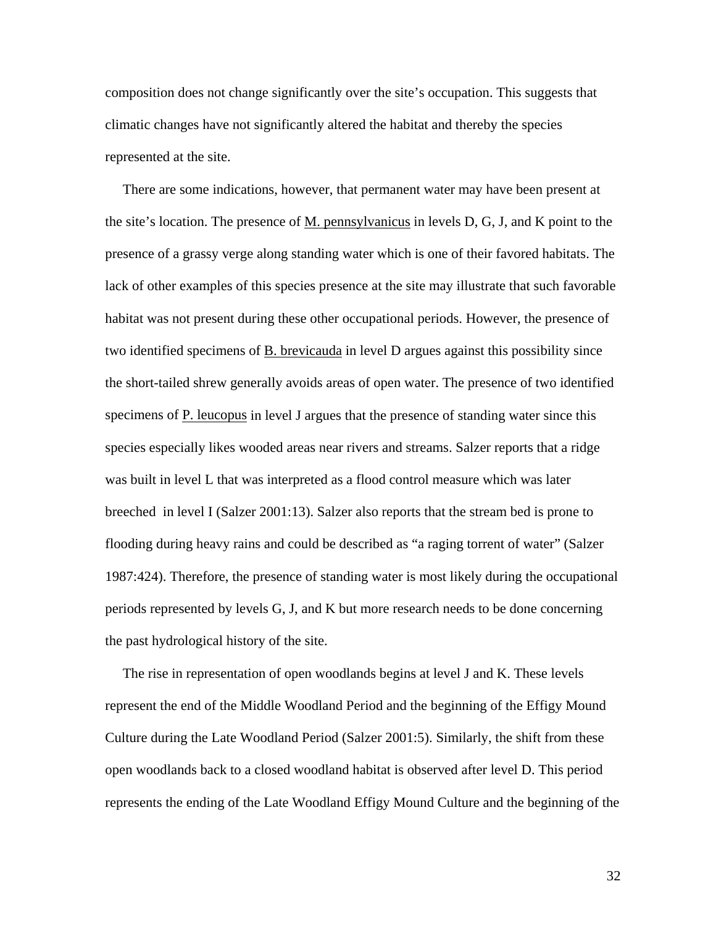composition does not change significantly over the site's occupation. This suggests that climatic changes have not significantly altered the habitat and thereby the species represented at the site.

 There are some indications, however, that permanent water may have been present at the site's location. The presence of  $M$ , pennsylvanicus in levels  $D$ ,  $G$ ,  $J$ , and  $K$  point to the presence of a grassy verge along standing water which is one of their favored habitats. The lack of other examples of this species presence at the site may illustrate that such favorable habitat was not present during these other occupational periods. However, the presence of two identified specimens of B. brevicauda in level D argues against this possibility since the short-tailed shrew generally avoids areas of open water. The presence of two identified specimens of P. leucopus in level J argues that the presence of standing water since this species especially likes wooded areas near rivers and streams. Salzer reports that a ridge was built in level L that was interpreted as a flood control measure which was later breeched in level I (Salzer 2001:13). Salzer also reports that the stream bed is prone to flooding during heavy rains and could be described as "a raging torrent of water" (Salzer 1987:424). Therefore, the presence of standing water is most likely during the occupational periods represented by levels G, J, and K but more research needs to be done concerning the past hydrological history of the site.

 The rise in representation of open woodlands begins at level J and K. These levels represent the end of the Middle Woodland Period and the beginning of the Effigy Mound Culture during the Late Woodland Period (Salzer 2001:5). Similarly, the shift from these open woodlands back to a closed woodland habitat is observed after level D. This period represents the ending of the Late Woodland Effigy Mound Culture and the beginning of the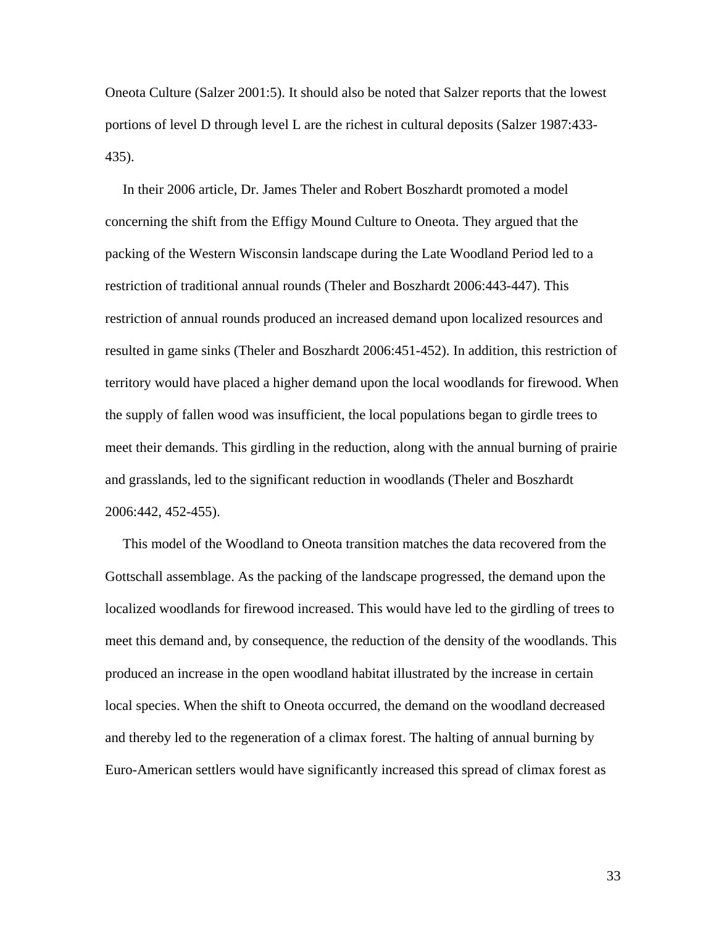Oneota Culture (Salzer 2001:5). It should also be noted that Salzer reports that the lowest portions of level D through level L are the richest in cultural deposits (Salzer 1987:433- 435).

 In their 2006 article, Dr. James Theler and Robert Boszhardt promoted a model concerning the shift from the Effigy Mound Culture to Oneota. They argued that the packing of the Western Wisconsin landscape during the Late Woodland Period led to a restriction of traditional annual rounds (Theler and Boszhardt 2006:443-447). This restriction of annual rounds produced an increased demand upon localized resources and resulted in game sinks (Theler and Boszhardt 2006:451-452). In addition, this restriction of territory would have placed a higher demand upon the local woodlands for firewood. When the supply of fallen wood was insufficient, the local populations began to girdle trees to meet their demands. This girdling in the reduction, along with the annual burning of prairie and grasslands, led to the significant reduction in woodlands (Theler and Boszhardt 2006:442, 452-455).

 This model of the Woodland to Oneota transition matches the data recovered from the Gottschall assemblage. As the packing of the landscape progressed, the demand upon the localized woodlands for firewood increased. This would have led to the girdling of trees to meet this demand and, by consequence, the reduction of the density of the woodlands. This produced an increase in the open woodland habitat illustrated by the increase in certain local species. When the shift to Oneota occurred, the demand on the woodland decreased and thereby led to the regeneration of a climax forest. The halting of annual burning by Euro-American settlers would have significantly increased this spread of climax forest as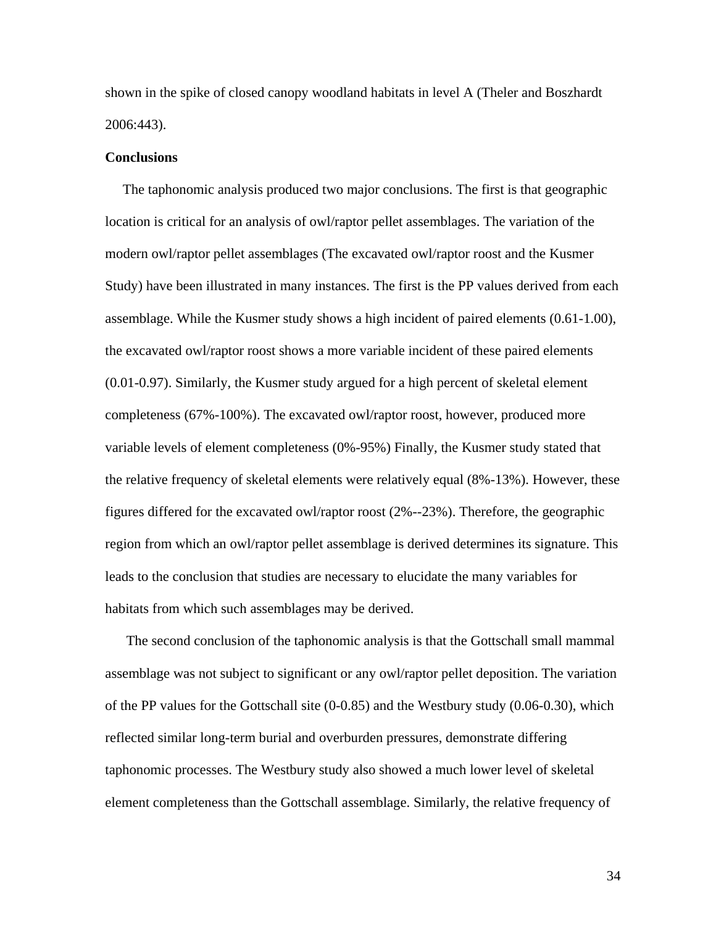shown in the spike of closed canopy woodland habitats in level A (Theler and Boszhardt 2006:443).

## **Conclusions**

The taphonomic analysis produced two major conclusions. The first is that geographic location is critical for an analysis of owl/raptor pellet assemblages. The variation of the modern owl/raptor pellet assemblages (The excavated owl/raptor roost and the Kusmer Study) have been illustrated in many instances. The first is the PP values derived from each assemblage. While the Kusmer study shows a high incident of paired elements (0.61-1.00), the excavated owl/raptor roost shows a more variable incident of these paired elements (0.01-0.97). Similarly, the Kusmer study argued for a high percent of skeletal element completeness (67%-100%). The excavated owl/raptor roost, however, produced more variable levels of element completeness (0%-95%) Finally, the Kusmer study stated that the relative frequency of skeletal elements were relatively equal (8%-13%). However, these figures differed for the excavated owl/raptor roost (2%--23%). Therefore, the geographic region from which an owl/raptor pellet assemblage is derived determines its signature. This leads to the conclusion that studies are necessary to elucidate the many variables for habitats from which such assemblages may be derived.

 The second conclusion of the taphonomic analysis is that the Gottschall small mammal assemblage was not subject to significant or any owl/raptor pellet deposition. The variation of the PP values for the Gottschall site (0-0.85) and the Westbury study (0.06-0.30), which reflected similar long-term burial and overburden pressures, demonstrate differing taphonomic processes. The Westbury study also showed a much lower level of skeletal element completeness than the Gottschall assemblage. Similarly, the relative frequency of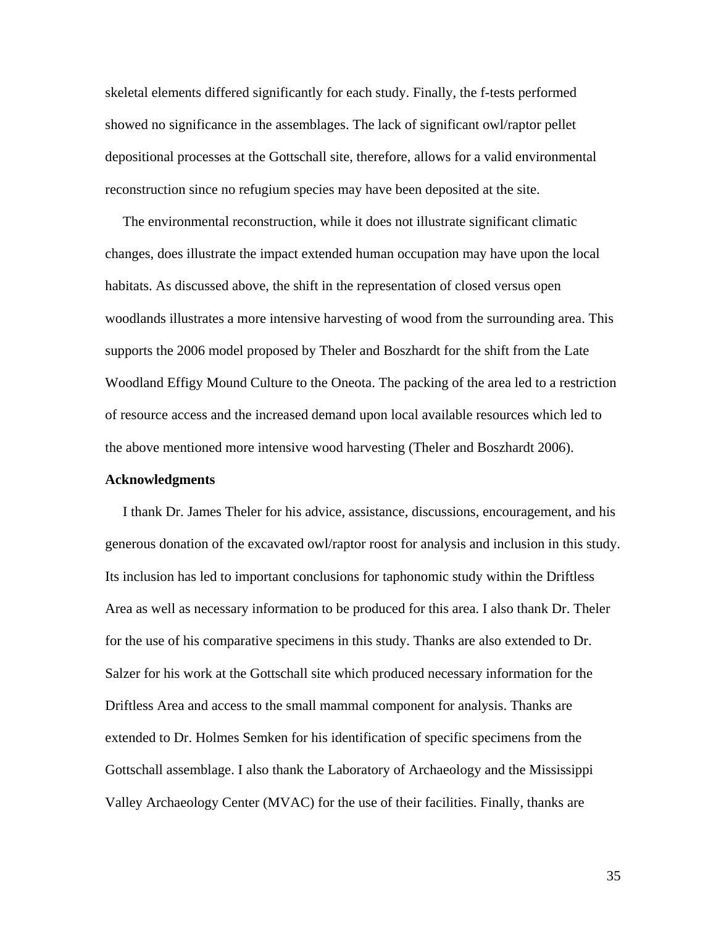skeletal elements differed significantly for each study. Finally, the f-tests performed showed no significance in the assemblages. The lack of significant owl/raptor pellet depositional processes at the Gottschall site, therefore, allows for a valid environmental reconstruction since no refugium species may have been deposited at the site.

 The environmental reconstruction, while it does not illustrate significant climatic changes, does illustrate the impact extended human occupation may have upon the local habitats. As discussed above, the shift in the representation of closed versus open woodlands illustrates a more intensive harvesting of wood from the surrounding area. This supports the 2006 model proposed by Theler and Boszhardt for the shift from the Late Woodland Effigy Mound Culture to the Oneota. The packing of the area led to a restriction of resource access and the increased demand upon local available resources which led to the above mentioned more intensive wood harvesting (Theler and Boszhardt 2006).

#### **Acknowledgments**

I thank Dr. James Theler for his advice, assistance, discussions, encouragement, and his generous donation of the excavated owl/raptor roost for analysis and inclusion in this study. Its inclusion has led to important conclusions for taphonomic study within the Driftless Area as well as necessary information to be produced for this area. I also thank Dr. Theler for the use of his comparative specimens in this study. Thanks are also extended to Dr. Salzer for his work at the Gottschall site which produced necessary information for the Driftless Area and access to the small mammal component for analysis. Thanks are extended to Dr. Holmes Semken for his identification of specific specimens from the Gottschall assemblage. I also thank the Laboratory of Archaeology and the Mississippi Valley Archaeology Center (MVAC) for the use of their facilities. Finally, thanks are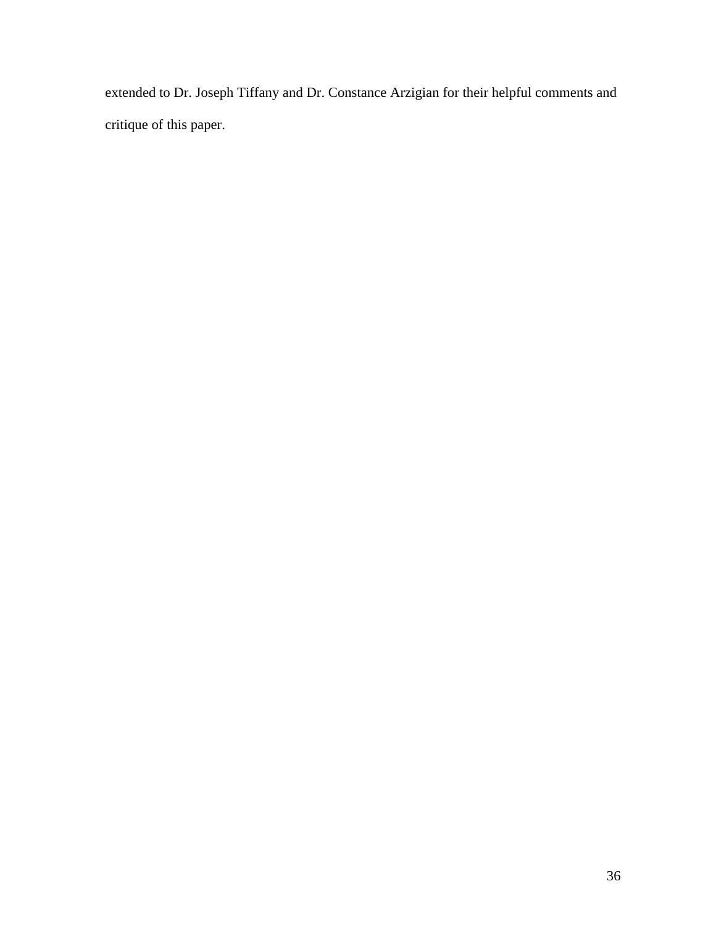extended to Dr. Joseph Tiffany and Dr. Constance Arzigian for their helpful comments and critique of this paper.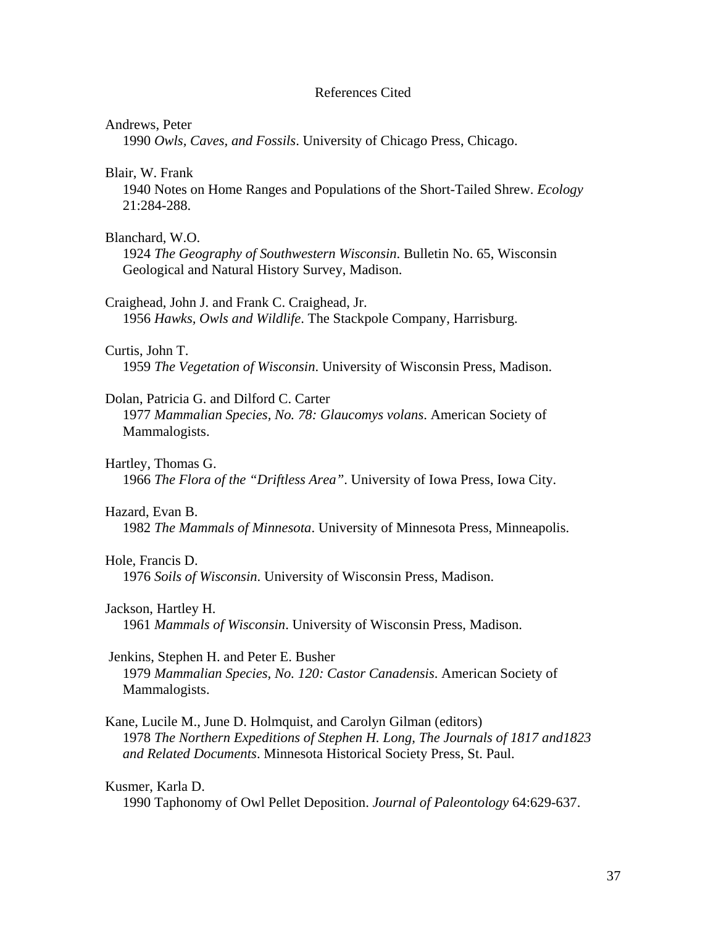#### References Cited

#### Andrews, Peter

1990 *Owls, Caves, and Fossils*. University of Chicago Press, Chicago.

Blair, W. Frank

 1940 Notes on Home Ranges and Populations of the Short-Tailed Shrew. *Ecology* 21:284-288.

#### Blanchard, W.O.

 1924 *The Geography of Southwestern Wisconsin*. Bulletin No. 65, Wisconsin Geological and Natural History Survey, Madison.

Craighead, John J. and Frank C. Craighead, Jr.

1956 *Hawks, Owls and Wildlife*. The Stackpole Company, Harrisburg.

#### Curtis, John T.

1959 *The Vegetation of Wisconsin*. University of Wisconsin Press, Madison.

#### Dolan, Patricia G. and Dilford C. Carter

 1977 *Mammalian Species, No. 78: Glaucomys volans*. American Society of Mammalogists.

#### Hartley, Thomas G.

1966 *The Flora of the "Driftless Area"*. University of Iowa Press, Iowa City.

#### Hazard, Evan B.

1982 *The Mammals of Minnesota*. University of Minnesota Press, Minneapolis.

#### Hole, Francis D.

1976 *Soils of Wisconsin*. University of Wisconsin Press, Madison.

#### Jackson, Hartley H.

1961 *Mammals of Wisconsin*. University of Wisconsin Press, Madison.

#### Jenkins, Stephen H. and Peter E. Busher

 1979 *Mammalian Species, No. 120: Castor Canadensis*. American Society of Mammalogists.

Kane, Lucile M., June D. Holmquist, and Carolyn Gilman (editors) 1978 *The Northern Expeditions of Stephen H. Long, The Journals of 1817 and1823 and Related Documents*. Minnesota Historical Society Press, St. Paul.

#### Kusmer, Karla D.

1990 Taphonomy of Owl Pellet Deposition. *Journal of Paleontology* 64:629-637.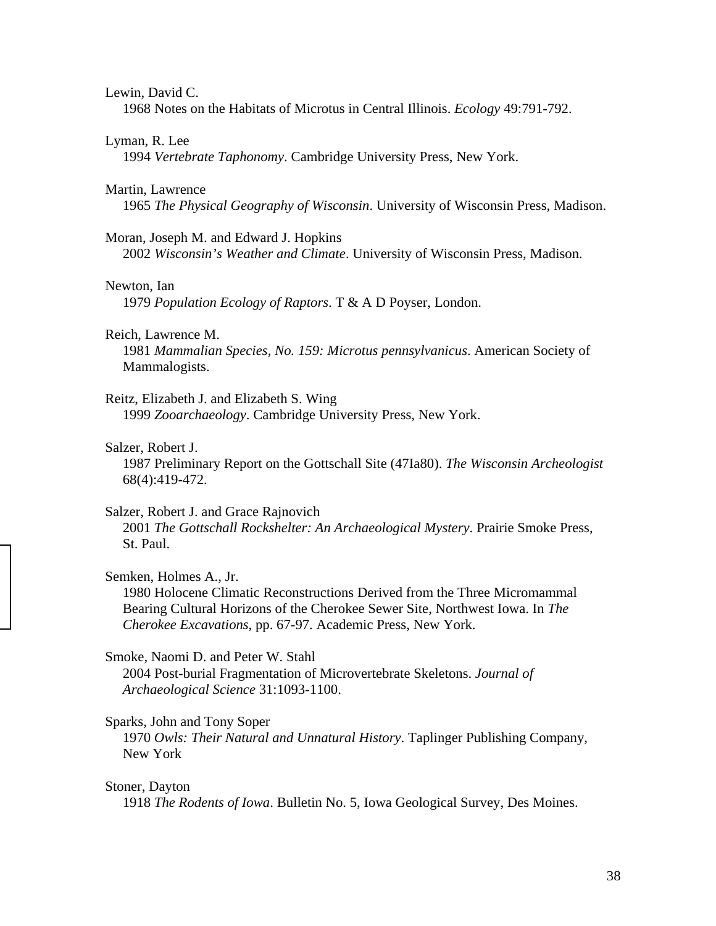#### Lewin, David C.

1968 Notes on the Habitats of Microtus in Central Illinois. *Ecology* 49:791-792.

#### Lyman, R. Lee

1994 *Vertebrate Taphonomy*. Cambridge University Press, New York.

#### Martin, Lawrence

1965 *The Physical Geography of Wisconsin*. University of Wisconsin Press, Madison.

#### Moran, Joseph M. and Edward J. Hopkins

2002 *Wisconsin's Weather and Climate*. University of Wisconsin Press, Madison.

#### Newton, Ian

1979 *Population Ecology of Raptors*. T & A D Poyser, London.

#### Reich, Lawrence M.

 1981 *Mammalian Species, No. 159: Microtus pennsylvanicus*. American Society of Mammalogists.

#### Reitz, Elizabeth J. and Elizabeth S. Wing

1999 *Zooarchaeology*. Cambridge University Press, New York.

#### Salzer, Robert J.

 1987 Preliminary Report on the Gottschall Site (47Ia80). *The Wisconsin Archeologist* 68(4):419-472.

#### Salzer, Robert J. and Grace Rajnovich

 2001 *The Gottschall Rockshelter: An Archaeological Mystery*. Prairie Smoke Press, St. Paul.

#### Semken, Holmes A., Jr.

 1980 Holocene Climatic Reconstructions Derived from the Three Micromammal Bearing Cultural Horizons of the Cherokee Sewer Site, Northwest Iowa. In *The Cherokee Excavations*, pp. 67-97. Academic Press, New York.

#### Smoke, Naomi D. and Peter W. Stahl

 2004 Post-burial Fragmentation of Microvertebrate Skeletons. *Journal of Archaeological Science* 31:1093-1100.

#### Sparks, John and Tony Soper

 1970 *Owls: Their Natural and Unnatural History*. Taplinger Publishing Company, New York

#### Stoner, Dayton

1918 *The Rodents of Iowa*. Bulletin No. 5, Iowa Geological Survey, Des Moines.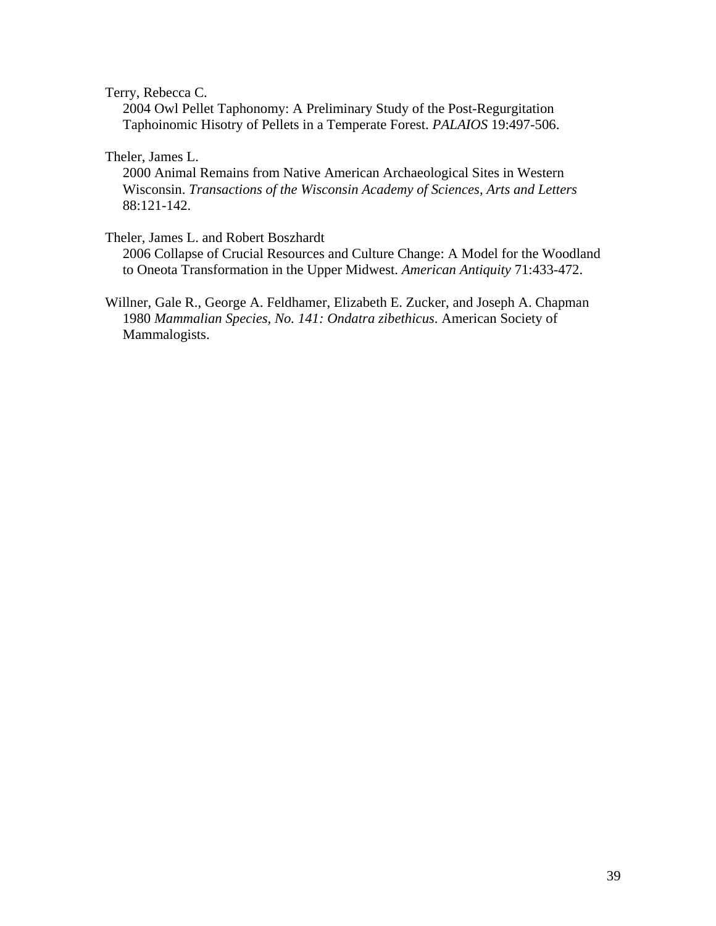Terry, Rebecca C.

 2004 Owl Pellet Taphonomy: A Preliminary Study of the Post-Regurgitation Taphoinomic Hisotry of Pellets in a Temperate Forest. *PALAIOS* 19:497-506.

Theler, James L.

 2000 Animal Remains from Native American Archaeological Sites in Western Wisconsin. *Transactions of the Wisconsin Academy of Sciences, Arts and Letters* 88:121-142.

Theler, James L. and Robert Boszhardt

 2006 Collapse of Crucial Resources and Culture Change: A Model for the Woodland to Oneota Transformation in the Upper Midwest. *American Antiquity* 71:433-472.

Willner, Gale R., George A. Feldhamer, Elizabeth E. Zucker, and Joseph A. Chapman 1980 *Mammalian Species, No. 141: Ondatra zibethicus*. American Society of Mammalogists.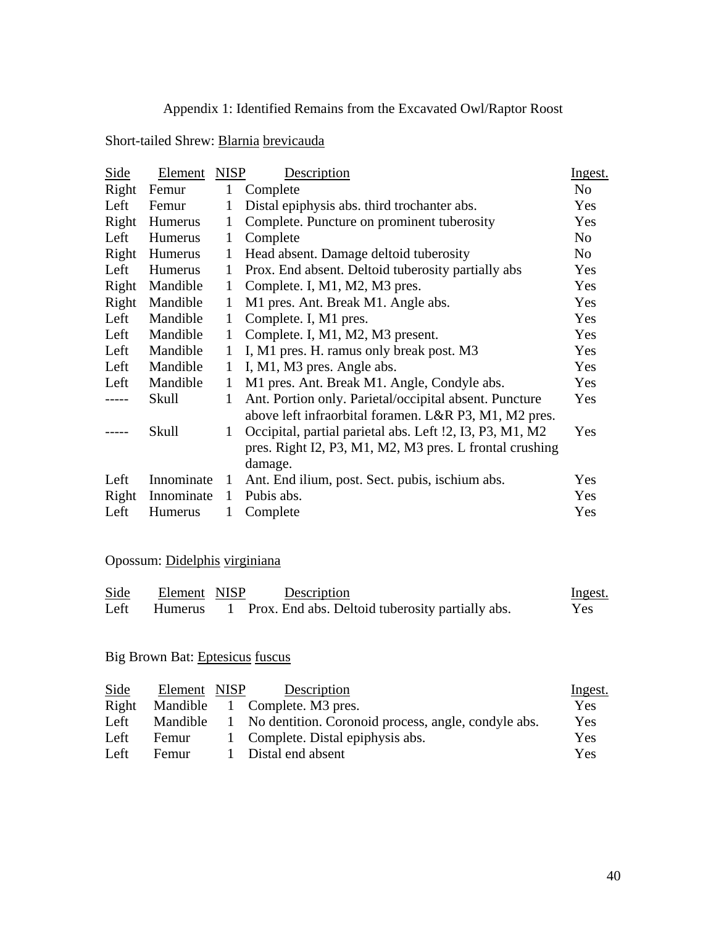### Appendix 1: Identified Remains from the Excavated Owl/Raptor Roost

# Short-tailed Shrew: Blarnia brevicauda

| Side          | Element        | <b>NISP</b>  | Description                                                                                                                    | Ingest.        |
|---------------|----------------|--------------|--------------------------------------------------------------------------------------------------------------------------------|----------------|
| Right         | Femur          | 1            | Complete                                                                                                                       | N <sub>o</sub> |
| Left          | Femur          | 1            | Distal epiphysis abs. third trochanter abs.                                                                                    | Yes            |
| Right         | Humerus        | 1            | Complete. Puncture on prominent tuberosity                                                                                     | Yes            |
| Left          | Humerus        | $\mathbf{1}$ | Complete                                                                                                                       | N <sub>0</sub> |
| Right         | Humerus        | 1            | Head absent. Damage deltoid tuberosity                                                                                         | No             |
| Left          | <b>Humerus</b> | 1            | Prox. End absent. Deltoid tuberosity partially abs                                                                             | Yes            |
| Right         | Mandible       | $\mathbf{1}$ | Complete. I, M1, M2, M3 pres.                                                                                                  | Yes            |
| Right         | Mandible       | 1            | M1 pres. Ant. Break M1. Angle abs.                                                                                             | Yes            |
| Left          | Mandible       | $\mathbf{1}$ | Complete. I, M1 pres.                                                                                                          | Yes            |
| Left          | Mandible       | $\mathbf{1}$ | Complete. I, M1, M2, M3 present.                                                                                               | Yes            |
| Left          | Mandible       | 1            | I, M1 pres. H. ramus only break post. M3                                                                                       | Yes            |
| Left          | Mandible       | $\mathbf{1}$ | I, M1, M3 pres. Angle abs.                                                                                                     | Yes            |
| Left          | Mandible       | $\mathbf{1}$ | M1 pres. Ant. Break M1. Angle, Condyle abs.                                                                                    | Yes            |
| $\frac{1}{2}$ | Skull          | $\mathbf{1}$ | Ant. Portion only. Parietal/occipital absent. Puncture<br>above left infraorbital foramen. L&R P3, M1, M2 pres.                | Yes            |
|               | Skull          | $\mathbf{1}$ | Occipital, partial parietal abs. Left !2, I3, P3, M1, M2<br>pres. Right I2, P3, M1, M2, M3 pres. L frontal crushing<br>damage. | Yes            |
| Left          | Innominate     | $\mathbf{1}$ | Ant. End ilium, post. Sect. pubis, ischium abs.                                                                                | Yes            |
| Right         | Innominate     | $\mathbf{1}$ | Pubis abs.                                                                                                                     | Yes            |
| Left          | <b>Humerus</b> | 1            | Complete                                                                                                                       | Yes            |

### Opossum: Didelphis virginiana

| Side | Element NISP | Description                                                | Ingest. |
|------|--------------|------------------------------------------------------------|---------|
| Left |              | Humerus 1 Prox. End abs. Deltoid tuberosity partially abs. | Yes     |

### Big Brown Bat: Eptesicus fuscus

| Side  | Element NISP | Description                                                    | <u>Ingest.</u> |
|-------|--------------|----------------------------------------------------------------|----------------|
| Right |              | Mandible 1 Complete. M3 pres.                                  | Yes            |
| Left  |              | Mandible 1 No dentition. Coronoid process, angle, condyle abs. | <b>Yes</b>     |
| Left  | Femur        | 1 Complete. Distal epiphysis abs.                              | Yes            |
| Left  | Femur        | 1 Distal end absent                                            | <b>Yes</b>     |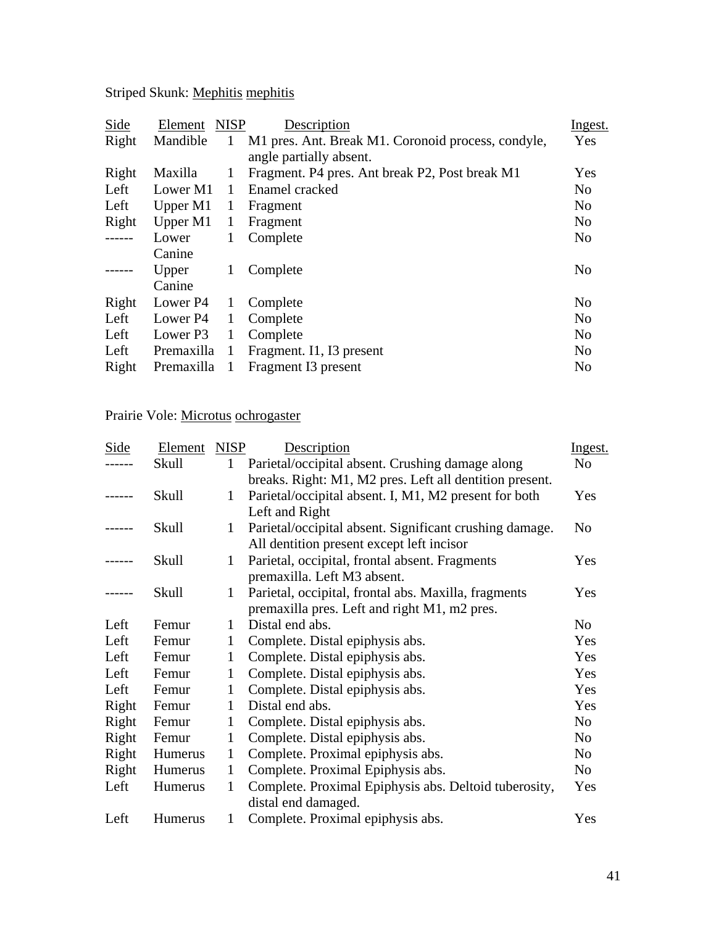Striped Skunk: Mephitis mephitis

| Side   | Element    | <b>NISP</b> | Description                                        | Ingest.        |
|--------|------------|-------------|----------------------------------------------------|----------------|
| Right  | Mandible   | 1           | M1 pres. Ant. Break M1. Coronoid process, condyle, | Yes            |
|        |            |             | angle partially absent.                            |                |
| Right  | Maxilla    | 1           | Fragment. P4 pres. Ant break P2, Post break M1     | Yes            |
| Left   | Lower M1   |             | Enamel cracked                                     | N <sub>o</sub> |
| Left   | Upper M1   | 1           | Fragment                                           | N <sub>0</sub> |
| Right  | Upper M1   | 1           | Fragment                                           | N <sub>o</sub> |
| ------ | Lower      | 1           | Complete                                           | N <sub>0</sub> |
|        | Canine     |             |                                                    |                |
| -----  | Upper      | 1           | Complete                                           | N <sub>o</sub> |
|        | Canine     |             |                                                    |                |
| Right  | Lower P4   | 1           | Complete                                           | N <sub>o</sub> |
| Left   | Lower P4   | 1           | Complete                                           | N <sub>o</sub> |
| Left   | Lower P3   | 1           | Complete                                           | N <sub>0</sub> |
| Left   | Premaxilla | 1           | Fragment. I1, I3 present                           | N <sub>0</sub> |
| Right  | Premaxilla | -1          | Fragment I3 present                                | N <sub>o</sub> |
|        |            |             |                                                    |                |

# Prairie Vole: Microtus ochrogaster

| Side  | Element | <b>NISP</b>  | Description                                             | Ingest.        |
|-------|---------|--------------|---------------------------------------------------------|----------------|
|       | Skull   | 1            | Parietal/occipital absent. Crushing damage along        | N <sub>o</sub> |
|       |         |              | breaks. Right: M1, M2 pres. Left all dentition present. |                |
|       | Skull   | $\mathbf{1}$ | Parietal/occipital absent. I, M1, M2 present for both   | Yes            |
|       |         |              | Left and Right                                          |                |
| ----- | Skull   | 1            | Parietal/occipital absent. Significant crushing damage. | N <sub>o</sub> |
|       |         |              | All dentition present except left incisor               |                |
|       | Skull   | 1            | Parietal, occipital, frontal absent. Fragments          | Yes            |
|       |         |              | premaxilla. Left M3 absent.                             |                |
|       | Skull   | 1            | Parietal, occipital, frontal abs. Maxilla, fragments    | Yes            |
|       |         |              | premaxilla pres. Left and right M1, m2 pres.            |                |
| Left  | Femur   | 1            | Distal end abs.                                         | N <sub>o</sub> |
| Left  | Femur   | 1            | Complete. Distal epiphysis abs.                         | Yes            |
| Left  | Femur   | 1            | Complete. Distal epiphysis abs.                         | Yes            |
| Left  | Femur   |              | Complete. Distal epiphysis abs.                         | Yes            |
| Left  | Femur   | 1            | Complete. Distal epiphysis abs.                         | Yes            |
| Right | Femur   | 1            | Distal end abs.                                         | Yes            |
| Right | Femur   | $\mathbf{1}$ | Complete. Distal epiphysis abs.                         | N <sub>o</sub> |
| Right | Femur   | $\mathbf{1}$ | Complete. Distal epiphysis abs.                         | N <sub>o</sub> |
| Right | Humerus | $\mathbf{1}$ | Complete. Proximal epiphysis abs.                       | N <sub>o</sub> |
| Right | Humerus | 1            | Complete. Proximal Epiphysis abs.                       | N <sub>o</sub> |
| Left  | Humerus | $\mathbf{1}$ | Complete. Proximal Epiphysis abs. Deltoid tuberosity,   | Yes            |
|       |         |              | distal end damaged.                                     |                |
| Left  | Humerus | 1            | Complete. Proximal epiphysis abs.                       | Yes            |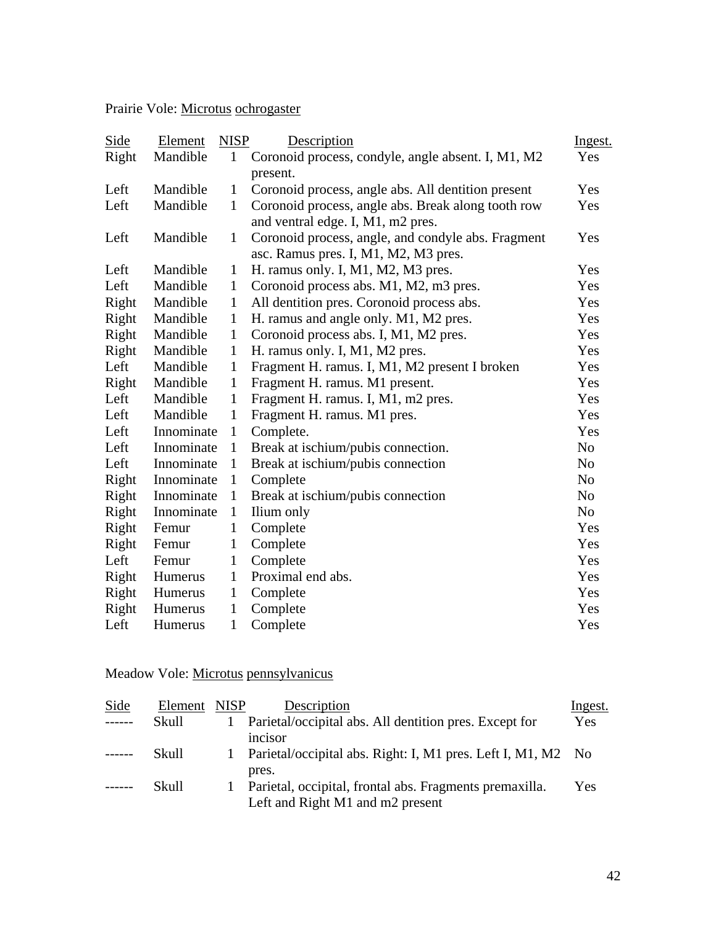Prairie Vole: Microtus ochrogaster

| Side  | Element    | <b>NISP</b>  | Description                                        | Ingest.        |
|-------|------------|--------------|----------------------------------------------------|----------------|
| Right | Mandible   | 1            | Coronoid process, condyle, angle absent. I, M1, M2 | Yes            |
|       |            |              | present.                                           |                |
| Left  | Mandible   | $\mathbf{1}$ | Coronoid process, angle abs. All dentition present | Yes            |
| Left  | Mandible   | $\mathbf{1}$ | Coronoid process, angle abs. Break along tooth row | Yes            |
|       |            |              | and ventral edge. I, M1, m2 pres.                  |                |
| Left  | Mandible   | $\mathbf{1}$ | Coronoid process, angle, and condyle abs. Fragment | Yes            |
|       |            |              | asc. Ramus pres. I, M1, M2, M3 pres.               |                |
| Left  | Mandible   | $\mathbf{1}$ | H. ramus only. I, M1, M2, M3 pres.                 | Yes            |
| Left  | Mandible   | $\mathbf{1}$ | Coronoid process abs. M1, M2, m3 pres.             | Yes            |
| Right | Mandible   | $\mathbf{1}$ | All dentition pres. Coronoid process abs.          | Yes            |
| Right | Mandible   | $\mathbf{1}$ | H. ramus and angle only. M1, M2 pres.              | Yes            |
| Right | Mandible   | $\mathbf{1}$ | Coronoid process abs. I, M1, M2 pres.              | Yes            |
| Right | Mandible   | $\mathbf{1}$ | H. ramus only. I, M1, M2 pres.                     | Yes            |
| Left  | Mandible   | $\mathbf{1}$ | Fragment H. ramus. I, M1, M2 present I broken      | Yes            |
| Right | Mandible   | $\mathbf{1}$ | Fragment H. ramus. M1 present.                     | Yes            |
| Left  | Mandible   | $\mathbf{1}$ | Fragment H. ramus. I, M1, m2 pres.                 | Yes            |
| Left  | Mandible   | 1            | Fragment H. ramus. M1 pres.                        | Yes            |
| Left  | Innominate | $\mathbf{1}$ | Complete.                                          | Yes            |
| Left  | Innominate | 1            | Break at ischium/pubis connection.                 | N <sub>o</sub> |
| Left  | Innominate | $\mathbf{1}$ | Break at ischium/pubis connection                  | N <sub>o</sub> |
| Right | Innominate | $\mathbf{1}$ | Complete                                           | N <sub>0</sub> |
| Right | Innominate | $\mathbf{1}$ | Break at ischium/pubis connection                  | N <sub>o</sub> |
| Right | Innominate | $\mathbf{1}$ | Ilium only                                         | N <sub>o</sub> |
| Right | Femur      | $\mathbf{1}$ | Complete                                           | Yes            |
| Right | Femur      | $\mathbf{1}$ | Complete                                           | Yes            |
| Left  | Femur      | $\mathbf{1}$ | Complete                                           | Yes            |
| Right | Humerus    | $\mathbf{1}$ | Proximal end abs.                                  | Yes            |
| Right | Humerus    | $\mathbf{1}$ | Complete                                           | Yes            |
| Right | Humerus    | $\mathbf{1}$ | Complete                                           | Yes            |
| Left  | Humerus    | $\mathbf{1}$ | Complete                                           | Yes            |

## Meadow Vole: Microtus pennsylvanicus

| Side          | Element | <b>NISP</b>  | Description                                                  | <u>Ingest.</u> |
|---------------|---------|--------------|--------------------------------------------------------------|----------------|
|               | Skull   |              | Parietal/occipital abs. All dentition pres. Except for       | Yes            |
|               |         |              | incisor                                                      |                |
| $\frac{1}{2}$ | Skull   | $\mathbf{L}$ | Parietal/occipital abs. Right: I, M1 pres. Left I, M1, M2 No |                |
|               |         |              | pres.                                                        |                |
|               | Skull   |              | Parietal, occipital, frontal abs. Fragments premaxilla.      | Yes            |
|               |         |              | Left and Right M1 and m2 present                             |                |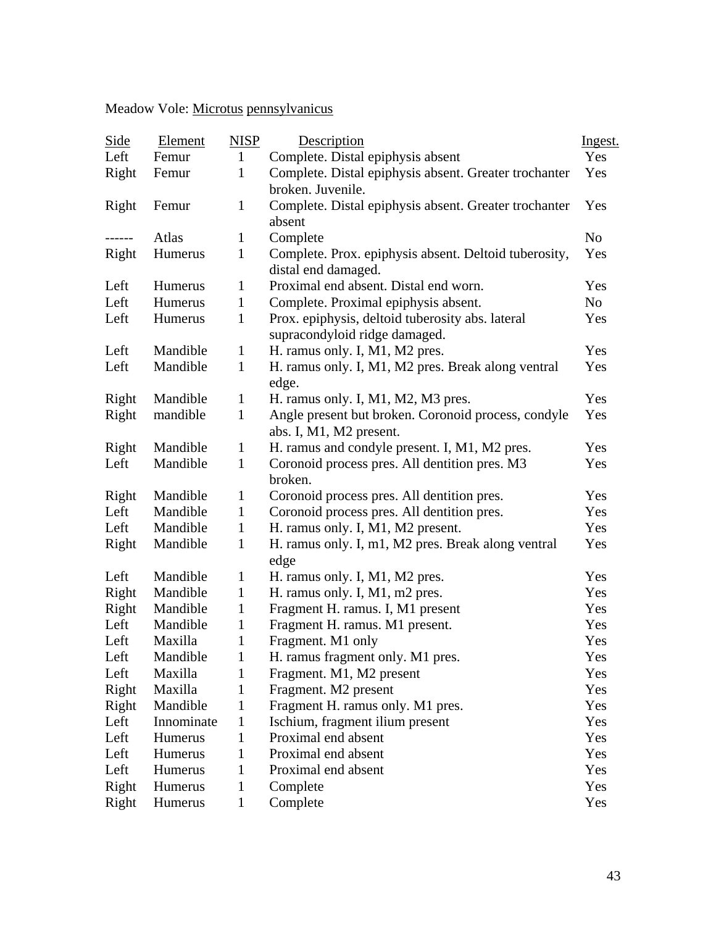## Meadow Vole: Microtus pennsylvanicus

| <b>Side</b>   | Element    | <b>NISP</b>  | Description                                           | Ingest. |
|---------------|------------|--------------|-------------------------------------------------------|---------|
| Left          | Femur      | $\mathbf{1}$ | Complete. Distal epiphysis absent                     | Yes     |
| Right         | Femur      | 1            | Complete. Distal epiphysis absent. Greater trochanter | Yes     |
|               |            |              | broken. Juvenile.                                     |         |
| Right         | Femur      | $\mathbf{1}$ | Complete. Distal epiphysis absent. Greater trochanter | Yes     |
|               |            |              | absent                                                |         |
| $- - - - - -$ | Atlas      | 1            | Complete                                              | No      |
| Right         | Humerus    | 1            | Complete. Prox. epiphysis absent. Deltoid tuberosity, | Yes     |
|               |            |              | distal end damaged.                                   |         |
| Left          | Humerus    | 1            | Proximal end absent. Distal end worn.                 | Yes     |
| Left          | Humerus    | 1            | Complete. Proximal epiphysis absent.                  | No      |
| Left          | Humerus    | 1            | Prox. epiphysis, deltoid tuberosity abs. lateral      | Yes     |
|               |            |              | supracondyloid ridge damaged.                         |         |
| Left          | Mandible   | 1            | H. ramus only. I, M1, M2 pres.                        | Yes     |
| Left          | Mandible   | $\mathbf{1}$ | H. ramus only. I, M1, M2 pres. Break along ventral    | Yes     |
|               |            |              | edge.                                                 |         |
| Right         | Mandible   | $\mathbf 1$  | H. ramus only. I, M1, M2, M3 pres.                    | Yes     |
| Right         | mandible   | $\mathbf{1}$ | Angle present but broken. Coronoid process, condyle   | Yes     |
|               |            |              | abs. I, M1, M2 present.                               |         |
| Right         | Mandible   | 1            | H. ramus and condyle present. I, M1, M2 pres.         | Yes     |
| Left          | Mandible   | $\mathbf{1}$ | Coronoid process pres. All dentition pres. M3         | Yes     |
|               |            |              | broken.                                               |         |
| Right         | Mandible   | 1            | Coronoid process pres. All dentition pres.            | Yes     |
| Left          | Mandible   | $\mathbf{1}$ | Coronoid process pres. All dentition pres.            | Yes     |
| Left          | Mandible   | $\mathbf{1}$ | H. ramus only. I, M1, M2 present.                     | Yes     |
| Right         | Mandible   | 1            | H. ramus only. I, m1, M2 pres. Break along ventral    | Yes     |
|               |            |              | edge                                                  |         |
| Left          | Mandible   | 1            | H. ramus only. I, M1, M2 pres.                        | Yes     |
| Right         | Mandible   | $\mathbf{1}$ | H. ramus only. I, M1, m2 pres.                        | Yes     |
| Right         | Mandible   | $\mathbf{1}$ | Fragment H. ramus. I, M1 present                      | Yes     |
| Left          | Mandible   | 1            | Fragment H. ramus. M1 present.                        | Yes     |
| Left          | Maxilla    | 1            | Fragment. M1 only                                     | Yes     |
| Left          | Mandible   | $\mathbf{1}$ | H. ramus fragment only. M1 pres.                      | Yes     |
| Left          | Maxilla    | 1            | Fragment. M1, M2 present                              | Yes     |
| Right         | Maxilla    | 1            | Fragment. M2 present                                  | Yes     |
| Right         | Mandible   | 1            | Fragment H. ramus only. M1 pres.                      | Yes     |
| Left          | Innominate | 1            | Ischium, fragment ilium present                       | Yes     |
| Left          | Humerus    | 1            | Proximal end absent                                   | Yes     |
| Left          | Humerus    | 1            | Proximal end absent                                   | Yes     |
| Left          | Humerus    | 1            | Proximal end absent                                   | Yes     |
| Right         | Humerus    | 1            | Complete                                              | Yes     |
| Right         | Humerus    | $\mathbf{1}$ | Complete                                              | Yes     |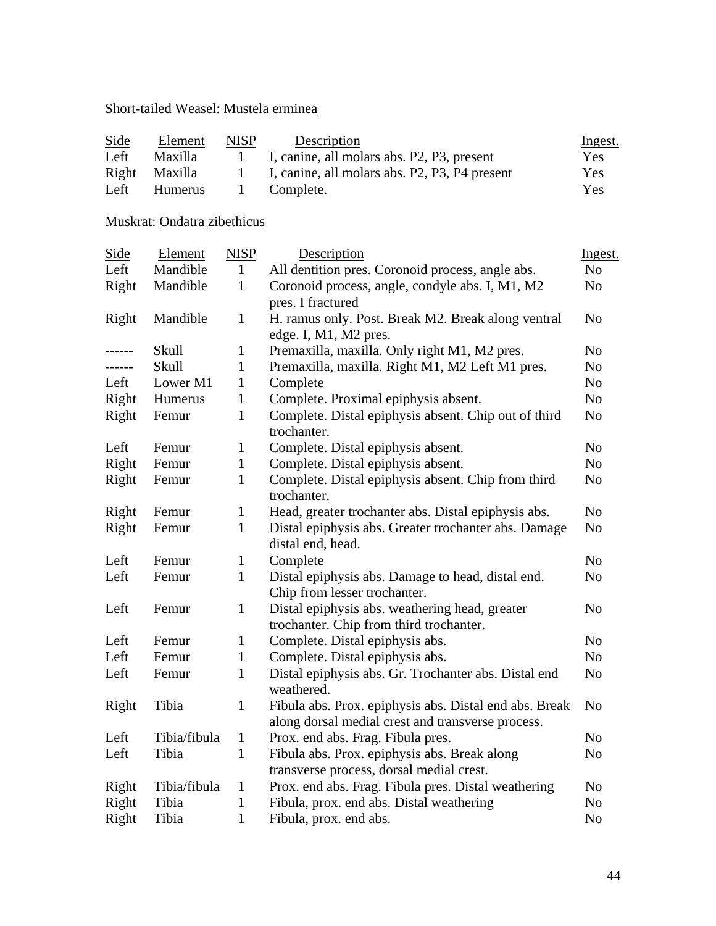### Short-tailed Weasel: Mustela erminea

| Side  | Element        | <b>NISP</b>  | Description                                   | <u>Ingest.</u> |
|-------|----------------|--------------|-----------------------------------------------|----------------|
| Left  | <b>Maxilla</b> | $\mathbf{1}$ | I, canine, all molars abs. P2, P3, present    | Yes.           |
| Right | Maxilla        | $\mathbf{1}$ | I, canine, all molars abs. P2, P3, P4 present | Yes            |
| Left  | Humerus        | $\Box$       | Complete.                                     | Yes            |

## Muskrat: Ondatra zibethicus

| Side   | Element      | <b>NISP</b>  | Description                                                                                                 |                |  |
|--------|--------------|--------------|-------------------------------------------------------------------------------------------------------------|----------------|--|
| Left   | Mandible     | $\mathbf{1}$ | All dentition pres. Coronoid process, angle abs.                                                            |                |  |
| Right  | Mandible     | $\mathbf{1}$ | Coronoid process, angle, condyle abs. I, M1, M2<br>pres. I fractured                                        |                |  |
| Right  | Mandible     | $\mathbf{1}$ | H. ramus only. Post. Break M2. Break along ventral<br>edge. I, M1, M2 pres.                                 | N <sub>0</sub> |  |
| ------ | Skull        | $\mathbf{1}$ | Premaxilla, maxilla. Only right M1, M2 pres.                                                                | N <sub>0</sub> |  |
| ------ | Skull        | $\mathbf{1}$ | Premaxilla, maxilla. Right M1, M2 Left M1 pres.                                                             | N <sub>o</sub> |  |
| Left   | Lower M1     | $\mathbf{1}$ | Complete                                                                                                    | N <sub>o</sub> |  |
| Right  | Humerus      | $\mathbf{1}$ | Complete. Proximal epiphysis absent.                                                                        | N <sub>o</sub> |  |
| Right  | Femur        | $\mathbf{1}$ | Complete. Distal epiphysis absent. Chip out of third<br>trochanter.                                         | No             |  |
| Left   | Femur        | $\mathbf{1}$ | Complete. Distal epiphysis absent.                                                                          | N <sub>o</sub> |  |
| Right  | Femur        | $\mathbf{1}$ | Complete. Distal epiphysis absent.                                                                          | N <sub>o</sub> |  |
| Right  | Femur        | $\mathbf{1}$ | Complete. Distal epiphysis absent. Chip from third<br>trochanter.                                           | N <sub>o</sub> |  |
| Right  | Femur        | $\mathbf{1}$ | Head, greater trochanter abs. Distal epiphysis abs.                                                         | N <sub>o</sub> |  |
| Right  | Femur        | $\mathbf{1}$ | Distal epiphysis abs. Greater trochanter abs. Damage<br>distal end, head.                                   | N <sub>0</sub> |  |
| Left   | Femur        | $\mathbf{1}$ | Complete                                                                                                    | N <sub>o</sub> |  |
| Left   | Femur        | $\mathbf{1}$ | Distal epiphysis abs. Damage to head, distal end.<br>Chip from lesser trochanter.                           | N <sub>o</sub> |  |
| Left   | Femur        | $\mathbf{1}$ | Distal epiphysis abs. weathering head, greater<br>trochanter. Chip from third trochanter.                   | N <sub>0</sub> |  |
| Left   | Femur        | $\mathbf{1}$ | Complete. Distal epiphysis abs.                                                                             | N <sub>o</sub> |  |
| Left   | Femur        | $\mathbf{1}$ | Complete. Distal epiphysis abs.                                                                             | N <sub>o</sub> |  |
| Left   | Femur        | $\mathbf{1}$ | Distal epiphysis abs. Gr. Trochanter abs. Distal end<br>weathered.                                          | N <sub>o</sub> |  |
| Right  | Tibia        | $\mathbf{1}$ | Fibula abs. Prox. epiphysis abs. Distal end abs. Break<br>along dorsal medial crest and transverse process. | N <sub>o</sub> |  |
| Left   | Tibia/fibula | $\mathbf{1}$ | Prox. end abs. Frag. Fibula pres.                                                                           | N <sub>o</sub> |  |
| Left   | Tibia        | $\mathbf{1}$ | Fibula abs. Prox. epiphysis abs. Break along<br>transverse process, dorsal medial crest.                    | N <sub>o</sub> |  |
| Right  | Tibia/fibula | $\mathbf{1}$ | Prox. end abs. Frag. Fibula pres. Distal weathering                                                         | N <sub>o</sub> |  |
| Right  | Tibia        | $\mathbf{1}$ | Fibula, prox. end abs. Distal weathering                                                                    | N <sub>o</sub> |  |
| Right  | Tibia        | $\mathbf{1}$ | Fibula, prox. end abs.<br>N <sub>0</sub>                                                                    |                |  |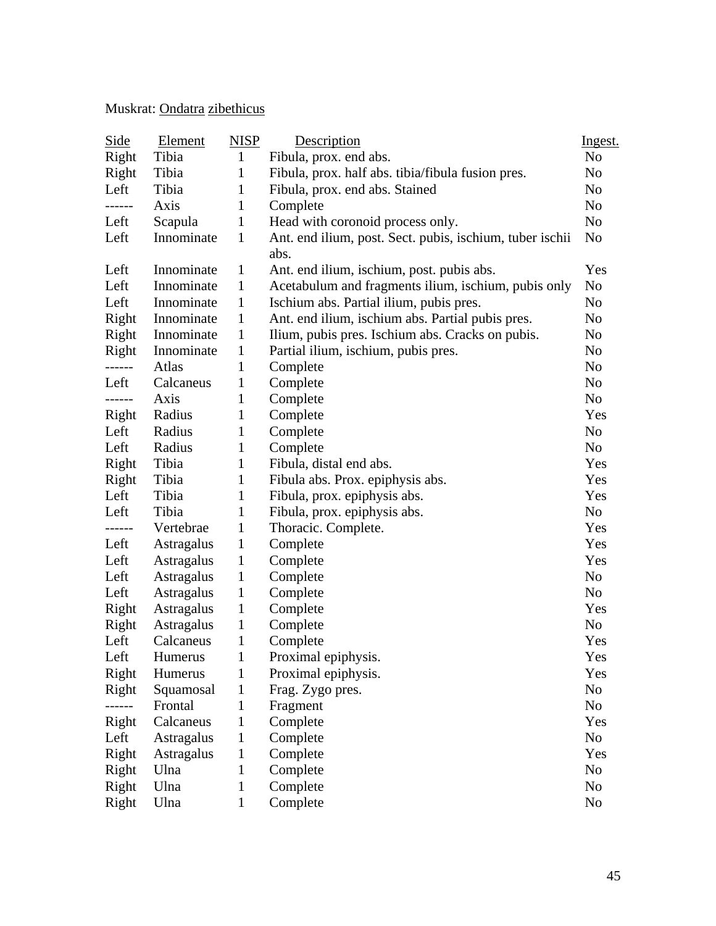## Muskrat: Ondatra zibethicus

| <u>Side</u> | <b>Element</b> | <b>NISP</b>  | Description                                                      | Ingest.        |
|-------------|----------------|--------------|------------------------------------------------------------------|----------------|
| Right       | Tibia          | $\mathbf{1}$ | Fibula, prox. end abs.                                           | N <sub>o</sub> |
| Right       | Tibia          | 1            | Fibula, prox. half abs. tibia/fibula fusion pres.                | No             |
| Left        | Tibia          | $\mathbf{1}$ | Fibula, prox. end abs. Stained                                   | No             |
| .           | Axis           | 1            | Complete                                                         | No             |
| Left        | Scapula        | $\mathbf{1}$ | Head with coronoid process only.                                 | N <sub>o</sub> |
| Left        | Innominate     | $\mathbf{1}$ | Ant. end ilium, post. Sect. pubis, ischium, tuber ischii<br>abs. | No             |
| Left        | Innominate     | $\mathbf{1}$ | Ant. end ilium, ischium, post. pubis abs.                        | Yes            |
| Left        | Innominate     | $\mathbf{1}$ | Acetabulum and fragments ilium, ischium, pubis only              | No             |
| Left        | Innominate     | $\mathbf{1}$ | Ischium abs. Partial ilium, pubis pres.                          | N <sub>o</sub> |
| Right       | Innominate     | $\mathbf{1}$ | Ant. end ilium, ischium abs. Partial pubis pres.                 | No             |
| Right       | Innominate     | $\mathbf{1}$ | Ilium, pubis pres. Ischium abs. Cracks on pubis.                 | No             |
| Right       | Innominate     | $\mathbf{1}$ | Partial ilium, ischium, pubis pres.                              | No             |
| ------      | Atlas          | 1            | Complete                                                         | No             |
| Left        | Calcaneus      | $\mathbf{1}$ | Complete                                                         | N <sub>o</sub> |
| ------      | Axis           | $\mathbf{1}$ | Complete                                                         | N <sub>o</sub> |
| Right       | Radius         | $\mathbf{1}$ | Complete                                                         | Yes            |
| Left        | Radius         | $\mathbf{1}$ | Complete                                                         | N <sub>o</sub> |
| Left        | Radius         | $\mathbf{1}$ | Complete                                                         | No             |
| Right       | Tibia          | $\mathbf{1}$ | Fibula, distal end abs.                                          | Yes            |
| Right       | Tibia          | $\mathbf{1}$ | Fibula abs. Prox. epiphysis abs.                                 | Yes            |
| Left        | Tibia          | $\mathbf{1}$ | Fibula, prox. epiphysis abs.                                     | Yes            |
| Left        | Tibia          | $\mathbf{1}$ | Fibula, prox. epiphysis abs.                                     | No             |
| ------      | Vertebrae      | $\mathbf{1}$ | Thoracic. Complete.                                              | Yes            |
| Left        | Astragalus     | $\mathbf{1}$ | Complete                                                         | Yes            |
| Left        | Astragalus     | $\mathbf{1}$ | Complete                                                         | Yes            |
| Left        | Astragalus     | $\mathbf{1}$ | Complete                                                         | N <sub>o</sub> |
| Left        | Astragalus     | $\mathbf{1}$ | Complete                                                         | No             |
| Right       | Astragalus     | $\mathbf{1}$ | Complete                                                         | Yes            |
| Right       | Astragalus     | $\mathbf{1}$ | Complete                                                         | No             |
| Left        | Calcaneus      | $\mathbf{1}$ | Complete                                                         | Yes            |
| Left        | Humerus        | $\mathbf{1}$ | Proximal epiphysis.                                              | Yes            |
| Right       | Humerus        | $\mathbf{1}$ | Proximal epiphysis.                                              | Yes            |
| Right       | Squamosal      | $\mathbf{1}$ | Frag. Zygo pres.                                                 | No             |
|             | Frontal        | 1            | Fragment                                                         | No             |
| Right       | Calcaneus      | 1            | Complete                                                         | Yes            |
| Left        | Astragalus     | 1            | Complete                                                         | No             |
| Right       | Astragalus     | 1            | Complete                                                         | Yes            |
| Right       | Ulna           | 1            | Complete                                                         | No             |
| Right       | Ulna           | $\mathbf{1}$ | Complete                                                         | No             |
| Right       | Ulna           | $\mathbf{1}$ | Complete                                                         | N <sub>0</sub> |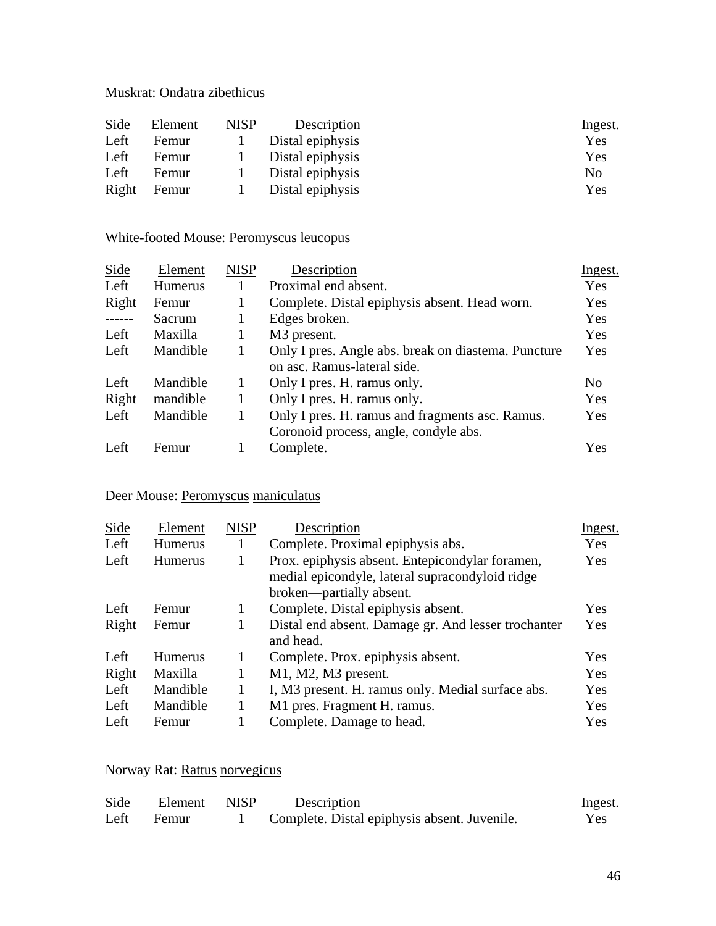## Muskrat: Ondatra zibethicus

| Side  | Element | NISP | Description      | <u>Ingest.</u> |
|-------|---------|------|------------------|----------------|
| Left  | Femur   |      | Distal epiphysis | Yes            |
| Left  | Femur   |      | Distal epiphysis | Yes            |
| Left  | Femur   |      | Distal epiphysis | N <sub>0</sub> |
| Right | Femur   |      | Distal epiphysis | Yes            |

### White-footed Mouse: Peromyscus leucopus

| Element        | <b>NISP</b> | Description                                         | Ingest.        |
|----------------|-------------|-----------------------------------------------------|----------------|
| <b>Humerus</b> |             | Proximal end absent.                                | Yes            |
| Femur          |             | Complete. Distal epiphysis absent. Head worn.       | Yes            |
| Sacrum         |             | Edges broken.                                       | Yes            |
| Maxilla        |             | M <sub>3</sub> present.                             | Yes            |
| Mandible       | 1           | Only I pres. Angle abs. break on diastema. Puncture | Yes            |
|                |             | on asc. Ramus-lateral side.                         |                |
| Mandible       |             | Only I pres. H. ramus only.                         | N <sub>0</sub> |
| mandible       |             | Only I pres. H. ramus only.                         | Yes            |
| Mandible       |             | Only I pres. H. ramus and fragments asc. Ramus.     | Yes            |
|                |             | Coronoid process, angle, condyle abs.               |                |
| Femur          |             | Complete.                                           | Yes            |
|                |             |                                                     |                |

### Deer Mouse: Peromyscus maniculatus

| Side  | Element        | <b>NISP</b> | Description                                                                                                                    | <u>Ingest.</u> |
|-------|----------------|-------------|--------------------------------------------------------------------------------------------------------------------------------|----------------|
| Left  | <b>Humerus</b> | 1           | Complete. Proximal epiphysis abs.                                                                                              | Yes            |
| Left  | <b>Humerus</b> |             | Prox. epiphysis absent. Entepicondylar foramen,<br>medial epicondyle, lateral supracondyloid ridge<br>broken—partially absent. | Yes            |
| Left  | Femur          | 1           | Complete. Distal epiphysis absent.                                                                                             | Yes            |
| Right | Femur          | 1           | Distal end absent. Damage gr. And lesser trochanter<br>and head.                                                               | Yes            |
| Left  | <b>Humerus</b> | 1           | Complete. Prox. epiphysis absent.                                                                                              | Yes            |
| Right | Maxilla        | 1           | M1, M2, M3 present.                                                                                                            | Yes            |
| Left  | Mandible       | 1           | I, M3 present. H. ramus only. Medial surface abs.                                                                              | Yes            |
| Left  | Mandible       |             | M1 pres. Fragment H. ramus.                                                                                                    | Yes            |
| Left  | Femur          |             | Complete. Damage to head.                                                                                                      | Yes            |

### Norway Rat: Rattus norvegicus

| Side | Element | NISP | Description                                  | Ingest.    |
|------|---------|------|----------------------------------------------|------------|
| Left | Femur   |      | Complete. Distal epiphysis absent. Juvenile. | <b>Yes</b> |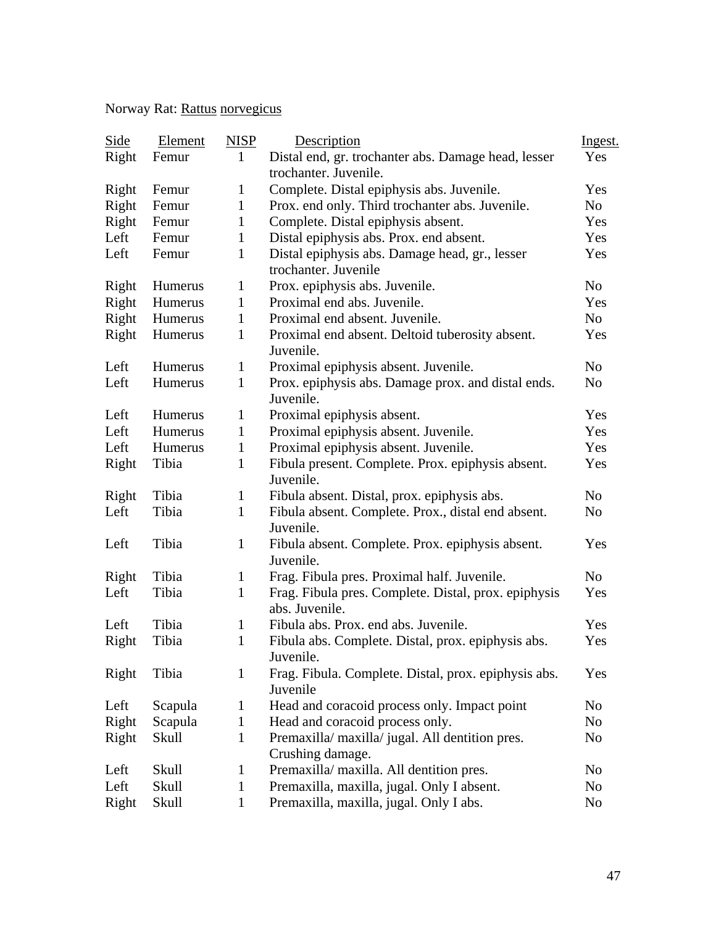## Norway Rat: Rattus norvegicus

| Side  | Element | <b>NISP</b>  | Description                                                            | Ingest.        |
|-------|---------|--------------|------------------------------------------------------------------------|----------------|
| Right | Femur   | $\mathbf{1}$ | Distal end, gr. trochanter abs. Damage head, lesser                    | Yes            |
|       |         |              | trochanter. Juvenile.                                                  |                |
| Right | Femur   | $\mathbf{1}$ | Complete. Distal epiphysis abs. Juvenile.                              | Yes            |
| Right | Femur   | $\mathbf{1}$ | Prox. end only. Third trochanter abs. Juvenile.                        | No             |
| Right | Femur   | $\mathbf{1}$ | Complete. Distal epiphysis absent.                                     | Yes            |
| Left  | Femur   | $\mathbf{1}$ | Distal epiphysis abs. Prox. end absent.                                | Yes            |
| Left  | Femur   | $\mathbf{1}$ | Distal epiphysis abs. Damage head, gr., lesser<br>trochanter. Juvenile | Yes            |
| Right | Humerus | $\mathbf{1}$ | Prox. epiphysis abs. Juvenile.                                         | N <sub>o</sub> |
| Right | Humerus | $\mathbf{1}$ | Proximal end abs. Juvenile.                                            | Yes            |
| Right | Humerus | $\mathbf{1}$ | Proximal end absent. Juvenile.                                         | No             |
| Right | Humerus | $\mathbf{1}$ | Proximal end absent. Deltoid tuberosity absent.<br>Juvenile.           | Yes            |
| Left  | Humerus | $\mathbf{1}$ | Proximal epiphysis absent. Juvenile.                                   | No             |
| Left  | Humerus | $\mathbf{1}$ | Prox. epiphysis abs. Damage prox. and distal ends.<br>Juvenile.        | N <sub>o</sub> |
| Left  | Humerus | $\mathbf{1}$ | Proximal epiphysis absent.                                             | Yes            |
| Left  | Humerus | 1            | Proximal epiphysis absent. Juvenile.                                   | Yes            |
| Left  | Humerus | $\mathbf{1}$ | Proximal epiphysis absent. Juvenile.                                   | Yes            |
| Right | Tibia   | $\mathbf{1}$ | Fibula present. Complete. Prox. epiphysis absent.<br>Juvenile.         | Yes            |
| Right | Tibia   | $\mathbf{1}$ | Fibula absent. Distal, prox. epiphysis abs.                            | No             |
| Left  | Tibia   | $\mathbf{1}$ | Fibula absent. Complete. Prox., distal end absent.<br>Juvenile.        | N <sub>o</sub> |
| Left  | Tibia   | $\mathbf{1}$ | Fibula absent. Complete. Prox. epiphysis absent.<br>Juvenile.          | Yes            |
| Right | Tibia   | $\mathbf{1}$ | Frag. Fibula pres. Proximal half. Juvenile.                            | No             |
| Left  | Tibia   | $\mathbf{1}$ | Frag. Fibula pres. Complete. Distal, prox. epiphysis<br>abs. Juvenile. | Yes            |
| Left  | Tibia   | $\mathbf{1}$ | Fibula abs. Prox. end abs. Juvenile.                                   | Yes            |
| Right | Tibia   | $\mathbf{1}$ | Fibula abs. Complete. Distal, prox. epiphysis abs.<br>Juvenile.        | Yes            |
| Right | Tibia   | 1            | Frag. Fibula. Complete. Distal, prox. epiphysis abs.<br>Juvenile       | Yes            |
| Left  | Scapula | $\mathbf 1$  | Head and coracoid process only. Impact point                           | N <sub>0</sub> |
| Right | Scapula | $\mathbf{1}$ | Head and coracoid process only.                                        | No             |
| Right | Skull   | 1            | Premaxilla/ maxilla/ jugal. All dentition pres.<br>Crushing damage.    | No             |
| Left  | Skull   | $\mathbf{1}$ | Premaxilla/ maxilla. All dentition pres.                               | No             |
| Left  | Skull   | $\mathbf{1}$ | Premaxilla, maxilla, jugal. Only I absent.                             | N <sub>0</sub> |
| Right | Skull   | $\mathbf{1}$ | Premaxilla, maxilla, jugal. Only I abs.                                | No             |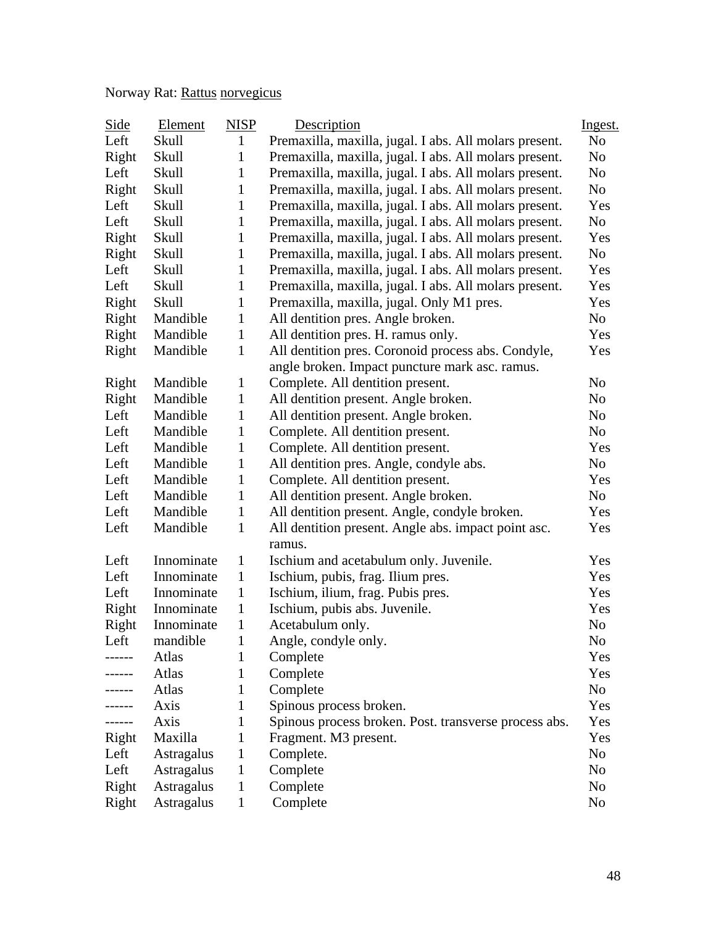## Norway Rat: Rattus norvegicus

| Side   | Element    | <b>NISP</b>  | Description                                                   | Ingest.        |
|--------|------------|--------------|---------------------------------------------------------------|----------------|
| Left   | Skull      | 1            | Premaxilla, maxilla, jugal. I abs. All molars present.        | N <sub>o</sub> |
| Right  | Skull      | $\mathbf{1}$ | Premaxilla, maxilla, jugal. I abs. All molars present.        | No             |
| Left   | Skull      | 1            | Premaxilla, maxilla, jugal. I abs. All molars present.        | No             |
| Right  | Skull      | $\mathbf{1}$ | Premaxilla, maxilla, jugal. I abs. All molars present.        | No             |
| Left   | Skull      | $\mathbf{1}$ | Premaxilla, maxilla, jugal. I abs. All molars present.        | Yes            |
| Left   | Skull      | $\mathbf{1}$ | Premaxilla, maxilla, jugal. I abs. All molars present.        | No.            |
| Right  | Skull      | $\mathbf{1}$ | Premaxilla, maxilla, jugal. I abs. All molars present.        | Yes            |
| Right  | Skull      | $\mathbf{1}$ | Premaxilla, maxilla, jugal. I abs. All molars present.        | No             |
| Left   | Skull      | $\mathbf{1}$ | Premaxilla, maxilla, jugal. I abs. All molars present.        | Yes            |
| Left   | Skull      | 1            | Premaxilla, maxilla, jugal. I abs. All molars present.        | Yes            |
| Right  | Skull      | $\mathbf{1}$ | Premaxilla, maxilla, jugal. Only M1 pres.                     | Yes            |
| Right  | Mandible   | $\mathbf{1}$ | All dentition pres. Angle broken.                             | No             |
| Right  | Mandible   | $\mathbf{1}$ | All dentition pres. H. ramus only.                            | Yes            |
| Right  | Mandible   | $\mathbf{1}$ | All dentition pres. Coronoid process abs. Condyle,            | Yes            |
|        |            |              | angle broken. Impact puncture mark asc. ramus.                |                |
| Right  | Mandible   | $\mathbf{1}$ | Complete. All dentition present.                              | N <sub>o</sub> |
| Right  | Mandible   | $\mathbf{1}$ | All dentition present. Angle broken.                          | N <sub>o</sub> |
| Left   | Mandible   | $\mathbf{1}$ | All dentition present. Angle broken.                          | No             |
| Left   | Mandible   | $\mathbf{1}$ | Complete. All dentition present.                              | No             |
| Left   | Mandible   | $\mathbf{1}$ | Complete. All dentition present.                              | Yes            |
| Left   | Mandible   | $\mathbf{1}$ | All dentition pres. Angle, condyle abs.                       | No             |
| Left   | Mandible   | $\mathbf{1}$ | Complete. All dentition present.                              | Yes            |
| Left   | Mandible   | $\mathbf{1}$ | All dentition present. Angle broken.                          | No             |
| Left   | Mandible   | $\mathbf{1}$ | All dentition present. Angle, condyle broken.                 | Yes            |
| Left   | Mandible   | $\mathbf{1}$ | All dentition present. Angle abs. impact point asc.<br>ramus. | Yes            |
| Left   | Innominate | $\mathbf{1}$ | Ischium and acetabulum only. Juvenile.                        | Yes            |
| Left   | Innominate | $\mathbf{1}$ | Ischium, pubis, frag. Ilium pres.                             | Yes            |
| Left   | Innominate | $\mathbf{1}$ | Ischium, ilium, frag. Pubis pres.                             | Yes            |
| Right  | Innominate | $\mathbf{1}$ | Ischium, pubis abs. Juvenile.                                 | Yes            |
| Right  | Innominate | 1            | Acetabulum only.                                              | N <sub>0</sub> |
| Left   | mandible   | $\mathbf 1$  | Angle, condyle only.                                          | No             |
| ------ | Atlas      | 1            | Complete                                                      | Yes            |
| ------ | Atlas      | 1            | Complete                                                      | Yes            |
| .      | Atlas      | 1            | Complete                                                      | No             |
|        | Axis       | 1            | Spinous process broken.                                       | Yes            |
|        | Axis       | 1            | Spinous process broken. Post. transverse process abs.         | Yes            |
| Right  | Maxilla    | $\mathbf{1}$ | Fragment. M3 present.                                         | Yes            |
| Left   | Astragalus | $\mathbf{1}$ | Complete.                                                     | No             |
| Left   | Astragalus | $\mathbf 1$  | Complete                                                      | No             |
| Right  | Astragalus | 1            | Complete                                                      | No             |
| Right  | Astragalus | 1            | Complete                                                      | No             |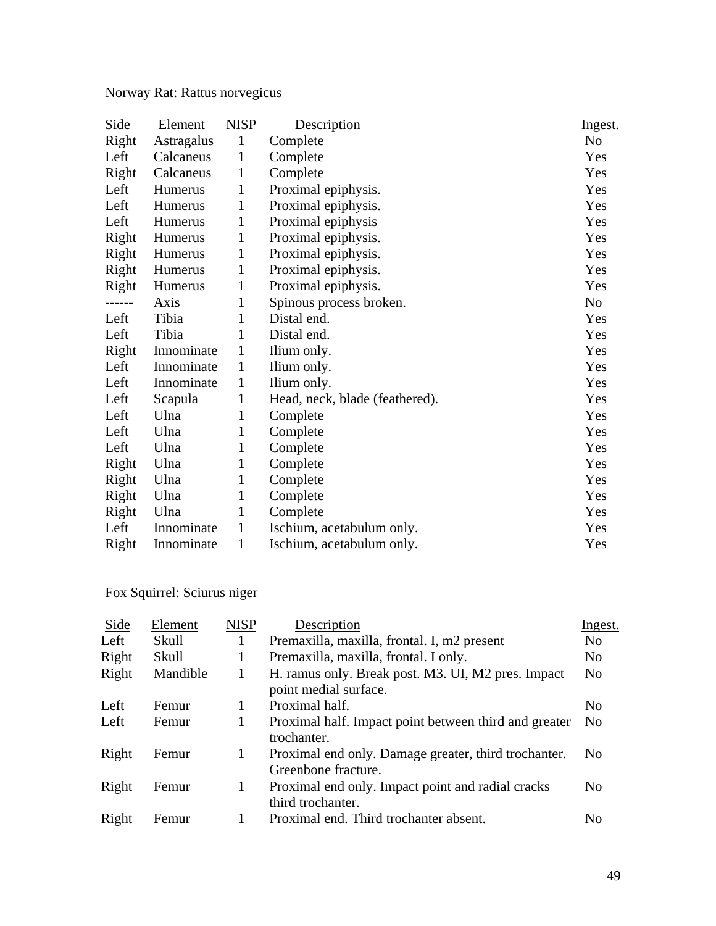Norway Rat: Rattus norvegicus

| <b>Side</b> | Element        | <b>NISP</b>  | Description                    | Ingest.        |
|-------------|----------------|--------------|--------------------------------|----------------|
| Right       | Astragalus     | $\mathbf{1}$ | Complete                       | N <sub>o</sub> |
| Left        | Calcaneus      | $\mathbf{1}$ | Complete                       | Yes            |
| Right       | Calcaneus      | 1            | Complete                       | Yes            |
| Left        | Humerus        | 1            | Proximal epiphysis.            | Yes            |
| Left        | Humerus        | $\mathbf{1}$ | Proximal epiphysis.            | Yes            |
| Left        | Humerus        | $\mathbf{1}$ | Proximal epiphysis             | Yes            |
| Right       | Humerus        | $\mathbf{1}$ | Proximal epiphysis.            | Yes            |
| Right       | <b>Humerus</b> | 1            | Proximal epiphysis.            | Yes            |
| Right       | Humerus        | 1            | Proximal epiphysis.            | Yes            |
| Right       | Humerus        | 1            | Proximal epiphysis.            | Yes            |
| ------      | Axis           | 1            | Spinous process broken.        | No             |
| Left        | Tibia          | 1            | Distal end.                    | Yes            |
| Left        | Tibia          | 1            | Distal end.                    | Yes            |
| Right       | Innominate     | 1            | Ilium only.                    | Yes            |
| Left        | Innominate     | $\mathbf{1}$ | Ilium only.                    | Yes            |
| Left        | Innominate     | $\mathbf{1}$ | Ilium only.                    | Yes            |
| Left        | Scapula        | $\mathbf{1}$ | Head, neck, blade (feathered). | Yes            |
| Left        | Ulna           | 1            | Complete                       | Yes            |
| Left        | Ulna           | 1            | Complete                       | Yes            |
| Left        | Ulna           | 1            | Complete                       | Yes            |
| Right       | Ulna           | 1            | Complete                       | Yes            |
| Right       | Ulna           | $\mathbf{1}$ | Complete                       | Yes            |
| Right       | Ulna           | 1            | Complete                       | Yes            |
| Right       | Ulna           | 1            | Complete                       | Yes            |
| Left        | Innominate     | 1            | Ischium, acetabulum only.      | Yes            |
| Right       | Innominate     | 1            | Ischium, acetabulum only.      | Yes            |

## Fox Squirrel: Sciurus niger

| Side  | Element  | <b>NISP</b> | Description                                                                 | Ingest.        |
|-------|----------|-------------|-----------------------------------------------------------------------------|----------------|
| Left  | Skull    |             | Premaxilla, maxilla, frontal. I, m2 present                                 | N <sub>0</sub> |
| Right | Skull    | 1           | Premaxilla, maxilla, frontal. I only.                                       | N <sub>0</sub> |
| Right | Mandible | 1           | H. ramus only. Break post. M3. UI, M2 pres. Impact<br>point medial surface. | No             |
| Left  | Femur    |             | Proximal half.                                                              | N <sub>0</sub> |
| Left  | Femur    | 1           | Proximal half. Impact point between third and greater<br>trochanter.        | N <sub>0</sub> |
| Right | Femur    | 1           | Proximal end only. Damage greater, third trochanter.<br>Greenbone fracture. | N <sub>0</sub> |
| Right | Femur    | 1           | Proximal end only. Impact point and radial cracks<br>third trochanter.      | N <sub>0</sub> |
| Right | Femur    |             | Proximal end. Third trochanter absent.                                      | No             |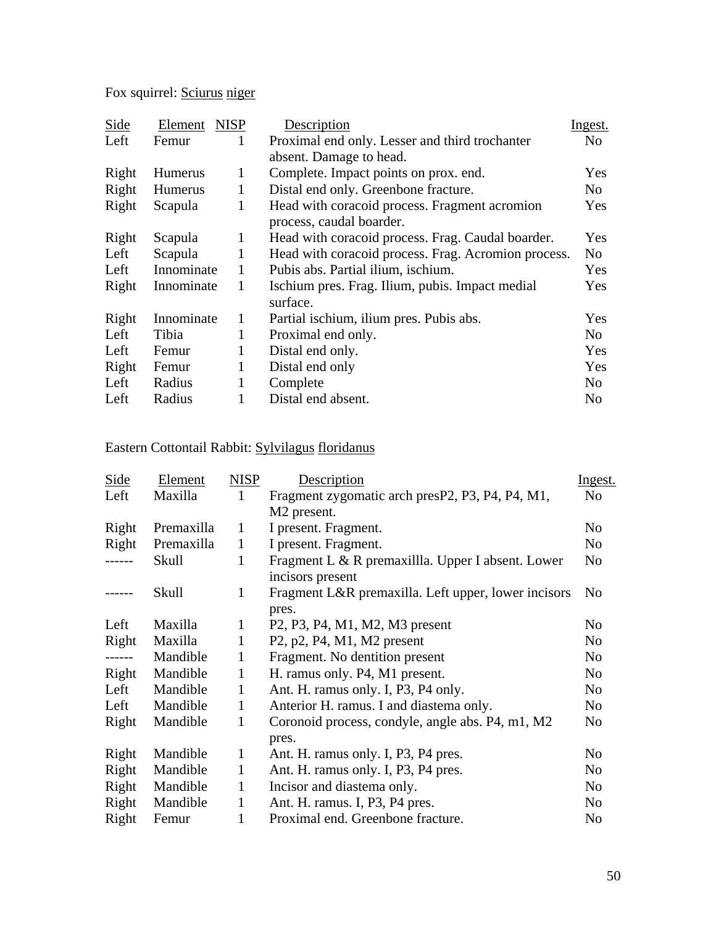Fox squirrel: Sciurus niger

| Side  | Element        | <b>NISP</b>  | Description                                                               | Ingest.        |
|-------|----------------|--------------|---------------------------------------------------------------------------|----------------|
| Left  | Femur          | 1            | Proximal end only. Lesser and third trochanter                            | No             |
|       |                |              | absent. Damage to head.                                                   |                |
| Right | <b>Humerus</b> | 1            | Complete. Impact points on prox. end.                                     | <b>Yes</b>     |
| Right | <b>Humerus</b> | 1            | Distal end only. Greenbone fracture.                                      | No             |
| Right | Scapula        | 1            | Head with coracoid process. Fragment acromion<br>process, caudal boarder. | <b>Yes</b>     |
| Right | Scapula        | 1            | Head with coracoid process. Frag. Caudal boarder.                         | <b>Yes</b>     |
| Left  | Scapula        | 1            | Head with coracoid process. Frag. Acromion process.                       | N <sub>0</sub> |
| Left  | Innominate     | 1            | Pubis abs. Partial ilium, ischium.                                        | Yes            |
| Right | Innominate     | 1            | Ischium pres. Frag. Ilium, pubis. Impact medial<br>surface.               | <b>Yes</b>     |
| Right | Innominate     | $\mathbf{1}$ | Partial ischium, ilium pres. Pubis abs.                                   | <b>Yes</b>     |
| Left  | Tibia          | 1            | Proximal end only.                                                        | No             |
| Left  | Femur          | 1            | Distal end only.                                                          | Yes            |
| Right | Femur          | 1            | Distal end only                                                           | Yes            |
| Left  | Radius         | 1            | Complete                                                                  | No             |
| Left  | Radius         | 1            | Distal end absent.                                                        | No             |

## Eastern Cottontail Rabbit: Sylvilagus floridanus

| <b>Side</b> | Element    | <b>NISP</b>  | Description                                                                                                 | Ingest.        |
|-------------|------------|--------------|-------------------------------------------------------------------------------------------------------------|----------------|
| Left        | Maxilla    | $\mathbf{1}$ | Fragment zygomatic arch presP2, P3, P4, P4, M1,                                                             | N <sub>o</sub> |
|             |            |              | M <sub>2</sub> present.                                                                                     |                |
| Right       | Premaxilla | $\mathbf{1}$ | I present. Fragment.                                                                                        | N <sub>o</sub> |
| Right       | Premaxilla | $\mathbf{1}$ | I present. Fragment.                                                                                        | N <sub>0</sub> |
| -----       | Skull      | $\mathbf{1}$ | Fragment L & R premaxillla. Upper I absent. Lower<br>incisors present                                       | N <sub>0</sub> |
|             | Skull      | 1            | Fragment L&R premaxilla. Left upper, lower incisors<br>pres.                                                | N <sub>0</sub> |
| Left        | Maxilla    | $\mathbf{1}$ | P <sub>2</sub> , P <sub>3</sub> , P <sub>4</sub> , M <sub>1</sub> , M <sub>2</sub> , M <sub>3</sub> present | N <sub>0</sub> |
| Right       | Maxilla    | 1            | P2, p2, P4, M1, M2 present                                                                                  | N <sub>o</sub> |
| ------      | Mandible   | 1            | Fragment. No dentition present                                                                              | No             |
| Right       | Mandible   | 1            | H. ramus only. P4, M1 present.                                                                              | N <sub>o</sub> |
| Left        | Mandible   | 1            | Ant. H. ramus only. I, P3, P4 only.                                                                         | N <sub>o</sub> |
| Left        | Mandible   | $\mathbf{1}$ | Anterior H. ramus. I and diastema only.                                                                     | N <sub>0</sub> |
| Right       | Mandible   | 1            | Coronoid process, condyle, angle abs. P4, m1, M2<br>pres.                                                   | N <sub>0</sub> |
| Right       | Mandible   | 1            | Ant. H. ramus only. I, P3, P4 pres.                                                                         | N <sub>o</sub> |
| Right       | Mandible   | 1            | Ant. H. ramus only. I, P3, P4 pres.                                                                         | N <sub>o</sub> |
| Right       | Mandible   | $\mathbf{1}$ | Incisor and diastema only.                                                                                  | N <sub>o</sub> |
| Right       | Mandible   | $\mathbf{1}$ | Ant. H. ramus. I, P3, P4 pres.                                                                              | N <sub>0</sub> |
| Right       | Femur      | 1            | Proximal end. Greenbone fracture.                                                                           | N <sub>o</sub> |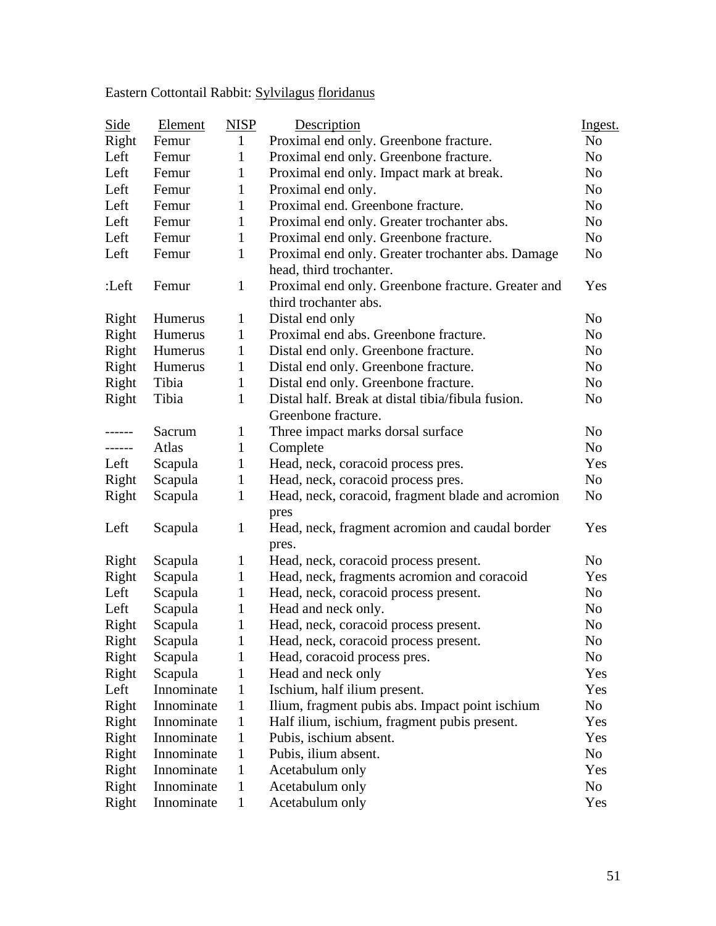# Eastern Cottontail Rabbit: Sylvilagus floridanus

| <b>Side</b> | <b>Element</b> | <b>NISP</b>                                    | Description                                        | Ingest.        |
|-------------|----------------|------------------------------------------------|----------------------------------------------------|----------------|
| Right       | Femur          | $\mathbf{1}$                                   | Proximal end only. Greenbone fracture.             | N <sub>o</sub> |
| Left        | Femur          | $\mathbf{1}$                                   | Proximal end only. Greenbone fracture.             | N <sub>o</sub> |
| Left        | Femur          | $\mathbf{1}$                                   | Proximal end only. Impact mark at break.           | N <sub>o</sub> |
| Left        | Femur          | $\mathbf{1}$                                   | Proximal end only.                                 | N <sub>o</sub> |
| Left        | Femur          | $\mathbf{1}$                                   | Proximal end. Greenbone fracture.                  | N <sub>o</sub> |
| Left        | Femur          | $\mathbf{1}$                                   | Proximal end only. Greater trochanter abs.         | N <sub>o</sub> |
| Left        | Femur          | $\mathbf{1}$                                   | Proximal end only. Greenbone fracture.             | N <sub>0</sub> |
| Left        | Femur          | $\mathbf{1}$                                   | Proximal end only. Greater trochanter abs. Damage  | No             |
|             |                |                                                | head, third trochanter.                            |                |
| :Left       | Femur          | $\mathbf{1}$                                   | Proximal end only. Greenbone fracture. Greater and | Yes            |
|             |                |                                                | third trochanter abs.                              |                |
| Right       | Humerus        | $\mathbf{1}$                                   | Distal end only                                    | N <sub>o</sub> |
| Right       | Humerus        | $\mathbf{1}$                                   | Proximal end abs. Greenbone fracture.              | N <sub>o</sub> |
| Right       | Humerus        | $\mathbf{1}$                                   | Distal end only. Greenbone fracture.               | No             |
| Right       | Humerus        | $\mathbf{1}$                                   | Distal end only. Greenbone fracture.               | N <sub>o</sub> |
| Right       | Tibia          | $\mathbf{1}$                                   | Distal end only. Greenbone fracture.               | N <sub>o</sub> |
| Right       | Tibia          | $\mathbf{1}$                                   | Distal half. Break at distal tibia/fibula fusion.  | No             |
|             |                |                                                | Greenbone fracture.                                |                |
| ------      | Sacrum         | $\mathbf{1}$                                   | Three impact marks dorsal surface                  | N <sub>o</sub> |
| ------      | Atlas          | $\mathbf{1}$                                   | Complete                                           | N <sub>o</sub> |
| Left        | Scapula        | $\mathbf{1}$                                   | Head, neck, coracoid process pres.                 | Yes            |
| Right       | Scapula        | $\mathbf{1}$                                   | Head, neck, coracoid process pres.                 | No.            |
| Right       | Scapula        | $\mathbf{1}$                                   | Head, neck, coracoid, fragment blade and acromion  | N <sub>o</sub> |
|             |                |                                                | pres                                               |                |
| Left        | Scapula        | $\mathbf{1}$                                   | Head, neck, fragment acromion and caudal border    | Yes            |
|             |                |                                                | pres.                                              |                |
| Right       | Scapula        | $\mathbf{1}$                                   | Head, neck, coracoid process present.              | N <sub>0</sub> |
| Right       | Scapula        | $\mathbf{1}$                                   | Head, neck, fragments acromion and coracoid        | Yes            |
| Left        | Scapula        | $\mathbf{1}$                                   | Head, neck, coracoid process present.              | No.            |
| Left        | Scapula        | $\mathbf{1}$                                   | Head and neck only.                                | N <sub>o</sub> |
| Right       | Scapula        | $\mathbf{1}$                                   | Head, neck, coracoid process present.              | N <sub>o</sub> |
| Right       | Scapula        | $\mathbf{1}% \in\mathbb{Z}_{+}^{d}[z,\bar{z}]$ | Head, neck, coracoid process present.              | No             |
| Right       | Scapula        | 1                                              | Head, coracoid process pres.                       | No             |
| Right       | Scapula        | 1                                              | Head and neck only                                 | Yes            |
| Left        | Innominate     | $\mathbf{1}$                                   | Ischium, half ilium present.                       | Yes            |
| Right       | Innominate     | $\mathbf{1}$                                   | Ilium, fragment pubis abs. Impact point ischium    | No             |
| Right       | Innominate     | $\mathbf{1}$                                   | Half ilium, ischium, fragment pubis present.       | Yes            |
| Right       | Innominate     | $\mathbf{1}$                                   | Pubis, ischium absent.                             | Yes            |
| Right       | Innominate     | $\mathbf{1}$                                   | Pubis, ilium absent.                               | No             |
| Right       | Innominate     | $\mathbf{1}$                                   | Acetabulum only                                    | Yes            |
| Right       | Innominate     | 1                                              | Acetabulum only                                    | No             |
| Right       | Innominate     | $\mathbf{1}$                                   | Acetabulum only                                    | Yes            |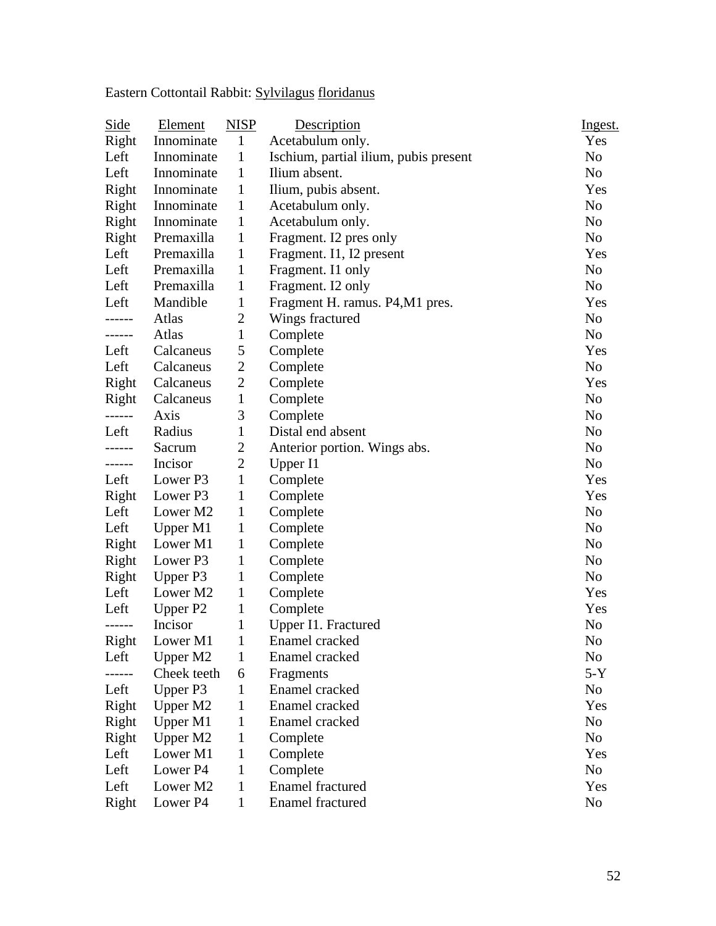Eastern Cottontail Rabbit: Sylvilagus floridanus

| Side   | Element     | <b>NISP</b>    | Description                           | Ingest.        |
|--------|-------------|----------------|---------------------------------------|----------------|
| Right  | Innominate  | $\mathbf{1}$   | Acetabulum only.                      | Yes            |
| Left   | Innominate  | 1              | Ischium, partial ilium, pubis present | N <sub>o</sub> |
| Left   | Innominate  | 1              | Ilium absent.                         | N <sub>o</sub> |
| Right  | Innominate  | 1              | Ilium, pubis absent.                  | Yes            |
| Right  | Innominate  | 1              | Acetabulum only.                      | N <sub>o</sub> |
| Right  | Innominate  | 1              | Acetabulum only.                      | N <sub>o</sub> |
| Right  | Premaxilla  | 1              | Fragment. I2 pres only                | N <sub>o</sub> |
| Left   | Premaxilla  | 1              | Fragment. I1, I2 present              | Yes            |
| Left   | Premaxilla  | 1              | Fragment. I1 only                     | No             |
| Left   | Premaxilla  | 1              | Fragment. I2 only                     | N <sub>o</sub> |
| Left   | Mandible    | $\mathbf{1}$   | Fragment H. ramus. P4, M1 pres.       | Yes            |
| -----  | Atlas       | $\overline{c}$ | Wings fractured                       | N <sub>o</sub> |
| ------ | Atlas       | 1              | Complete                              | N <sub>o</sub> |
| Left   | Calcaneus   | 5              | Complete                              | Yes            |
| Left   | Calcaneus   | $\overline{2}$ | Complete                              | No             |
| Right  | Calcaneus   | $\overline{c}$ | Complete                              | Yes            |
| Right  | Calcaneus   | 1              | Complete                              | N <sub>0</sub> |
| ------ | Axis        | 3              | Complete                              | N <sub>0</sub> |
| Left   | Radius      | $\mathbf{1}$   | Distal end absent                     | N <sub>o</sub> |
| ------ | Sacrum      | $\overline{c}$ | Anterior portion. Wings abs.          | N <sub>o</sub> |
| ------ | Incisor     | $\overline{2}$ | Upper I1                              | N <sub>0</sub> |
| Left   | Lower P3    | $\mathbf{1}$   | Complete                              | Yes            |
| Right  | Lower P3    | 1              | Complete                              | Yes            |
| Left   | Lower M2    | $\mathbf{1}$   | Complete                              | No             |
| Left   | Upper M1    | 1              | Complete                              | N <sub>o</sub> |
| Right  | Lower M1    | 1              | Complete                              | N <sub>o</sub> |
| Right  | Lower P3    | 1              | Complete                              | N <sub>o</sub> |
| Right  | Upper P3    | 1              | Complete                              | No             |
| Left   | Lower M2    | 1              | Complete                              | Yes            |
| Left   | Upper P2    | 1              | Complete                              | Yes            |
| ------ | Incisor     | 1              | Upper I1. Fractured                   | N <sub>0</sub> |
| Right  | Lower M1    | 1              | Enamel cracked                        | No             |
| Left   | Upper M2    | 1              | Enamel cracked                        | No             |
|        | Cheek teeth | 6              | Fragments                             | $5-Y$          |
| Left   | Upper P3    | 1              | Enamel cracked                        | No             |
| Right  | Upper M2    | 1              | Enamel cracked                        | Yes            |
| Right  | Upper M1    | 1              | Enamel cracked                        | N <sub>o</sub> |
| Right  | Upper M2    | 1              | Complete                              | N <sub>o</sub> |
| Left   | Lower M1    | 1              | Complete                              | Yes            |
| Left   | Lower P4    | 1              | Complete                              | N <sub>o</sub> |
| Left   | Lower M2    | 1              | <b>Enamel</b> fractured               | Yes            |
| Right  | Lower P4    | $\mathbf{1}$   | Enamel fractured                      | N <sub>0</sub> |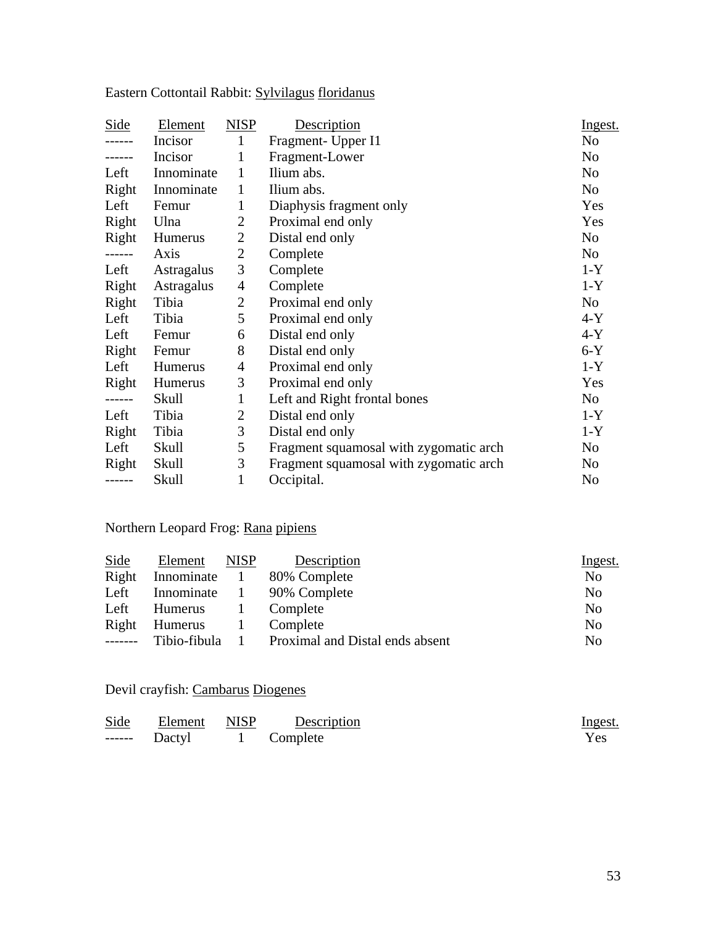| Side   | Element    | <b>NISP</b>    | Description                            | Ingest. |
|--------|------------|----------------|----------------------------------------|---------|
|        | Incisor    | 1              | Fragment- Upper I1                     | No      |
| .      | Incisor    | 1              | Fragment-Lower                         | No      |
| Left   | Innominate | 1              | Ilium abs.                             | No      |
| Right  | Innominate | 1              | Ilium abs.                             | No      |
| Left   | Femur      | 1              | Diaphysis fragment only                | Yes     |
| Right  | Ulna       | $\overline{2}$ | Proximal end only                      | Yes     |
| Right  | Humerus    | $\overline{2}$ | Distal end only                        | No      |
| ------ | Axis       | $\overline{2}$ | Complete                               | No      |
| Left   | Astragalus | 3              | Complete                               | $1-Y$   |
| Right  | Astragalus | $\overline{4}$ | Complete                               | $1-Y$   |
| Right  | Tibia      | $\overline{2}$ | Proximal end only                      | No      |
| Left   | Tibia      | 5              | Proximal end only                      | $4-Y$   |
| Left   | Femur      | 6              | Distal end only                        | $4-Y$   |
| Right  | Femur      | 8              | Distal end only                        | $6-Y$   |
| Left   | Humerus    | $\overline{4}$ | Proximal end only                      | $1-Y$   |
| Right  | Humerus    | 3              | Proximal end only                      | Yes     |
| ------ | Skull      | $\mathbf{1}$   | Left and Right frontal bones           | No      |
| Left   | Tibia      | $\overline{2}$ | Distal end only                        | $1-Y$   |
| Right  | Tibia      | 3              | Distal end only                        | $1-Y$   |
| Left   | Skull      | 5              | Fragment squamosal with zygomatic arch | No      |
| Right  | Skull      | 3              | Fragment squamosal with zygomatic arch | No      |
| ------ | Skull      | 1              | Occipital.                             | No      |

Eastern Cottontail Rabbit: Sylvilagus floridanus

## Northern Leopard Frog: Rana pipiens

| Side            | Element    | <b>NISP</b> | Description                                    | Ingest.        |
|-----------------|------------|-------------|------------------------------------------------|----------------|
| Right           | Innominate |             | 80% Complete                                   | N <sub>0</sub> |
| Left            | Innominate | $\sim 1$    | 90% Complete                                   | N <sub>0</sub> |
| Left            | Humerus    |             | Complete                                       | N <sub>o</sub> |
| Right           | Humerus    | $\sim$ 1.   | Complete                                       | N <sub>o</sub> |
| $- - - - - - -$ |            |             | Tibio-fibula 1 Proximal and Distal ends absent | No             |

## Devil crayfish: Cambarus Diogenes

| <b>Side</b> | Element NISP | Description | <u>Ingest.</u> |
|-------------|--------------|-------------|----------------|
|             | Dactyl       | 1 Complete  | Yes            |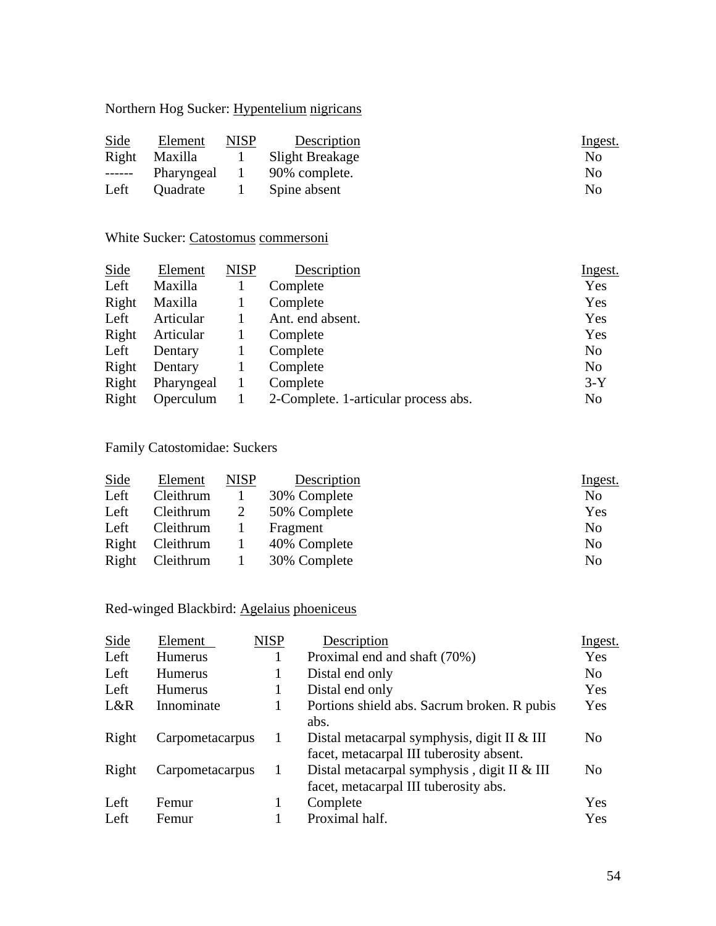### Northern Hog Sucker: Hypentelium nigricans

| Side  | Element         | NISP | Description     | <u>Ingest.</u> |
|-------|-----------------|------|-----------------|----------------|
| Right | <b>Maxilla</b>  |      | Slight Breakage | N <sub>0</sub> |
|       | Pharyngeal      |      | 90% complete.   | No             |
| Left  | <b>Ouadrate</b> |      | Spine absent    | N <sub>0</sub> |

### White Sucker: Catostomus commersoni

| <b>Side</b> | Element    | <b>NISP</b> | Description                          | Ingest.        |
|-------------|------------|-------------|--------------------------------------|----------------|
| Left        | Maxilla    |             | Complete                             | Yes            |
| Right       | Maxilla    |             | Complete                             | Yes            |
| Left        | Articular  |             | Ant. end absent.                     | Yes            |
| Right       | Articular  |             | Complete                             | Yes            |
| Left        | Dentary    |             | Complete                             | N <sub>o</sub> |
| Right       | Dentary    |             | Complete                             | N <sub>o</sub> |
| Right       | Pharyngeal |             | Complete                             | $3-Y$          |
| Right       | Operculum  |             | 2-Complete. 1-articular process abs. | N <sub>0</sub> |

### Family Catostomidae: Suckers

| Side  | Element   | <b>NISP</b>  | Description  | Ingest.        |
|-------|-----------|--------------|--------------|----------------|
| Left  | Cleithrum |              | 30% Complete | N <sub>0</sub> |
| Left  | Cleithrum | 2            | 50% Complete | Yes            |
| Left  | Cleithrum |              | Fragment     | N <sub>0</sub> |
| Right | Cleithrum | $\perp$      | 40% Complete | N <sub>0</sub> |
| Right | Cleithrum | $\mathbf{L}$ | 30% Complete | No             |

## Red-winged Blackbird: Agelaius phoeniceus

| <b>Side</b> | Element         | <b>NISP</b> | Description                                                                               | Ingest.        |
|-------------|-----------------|-------------|-------------------------------------------------------------------------------------------|----------------|
| Left        | <b>Humerus</b>  |             | Proximal end and shaft (70%)                                                              | Yes            |
| Left        | <b>Humerus</b>  |             | Distal end only                                                                           | N <sub>0</sub> |
| Left        | <b>Humerus</b>  |             | Distal end only                                                                           | Yes            |
| L&R         | Innominate      |             | Portions shield abs. Sacrum broken. R pubis<br>abs.                                       | Yes            |
| Right       | Carpometacarpus |             | Distal metacarpal symphysis, digit II $&$ III<br>facet, metacarpal III tuberosity absent. | No             |
| Right       | Carpometacarpus | 1           | Distal metacarpal symphysis, digit II $&$ III<br>facet, metacarpal III tuberosity abs.    | N <sub>0</sub> |
| Left        | Femur           |             | Complete                                                                                  | Yes            |
| Left        | Femur           |             | Proximal half.                                                                            | Yes            |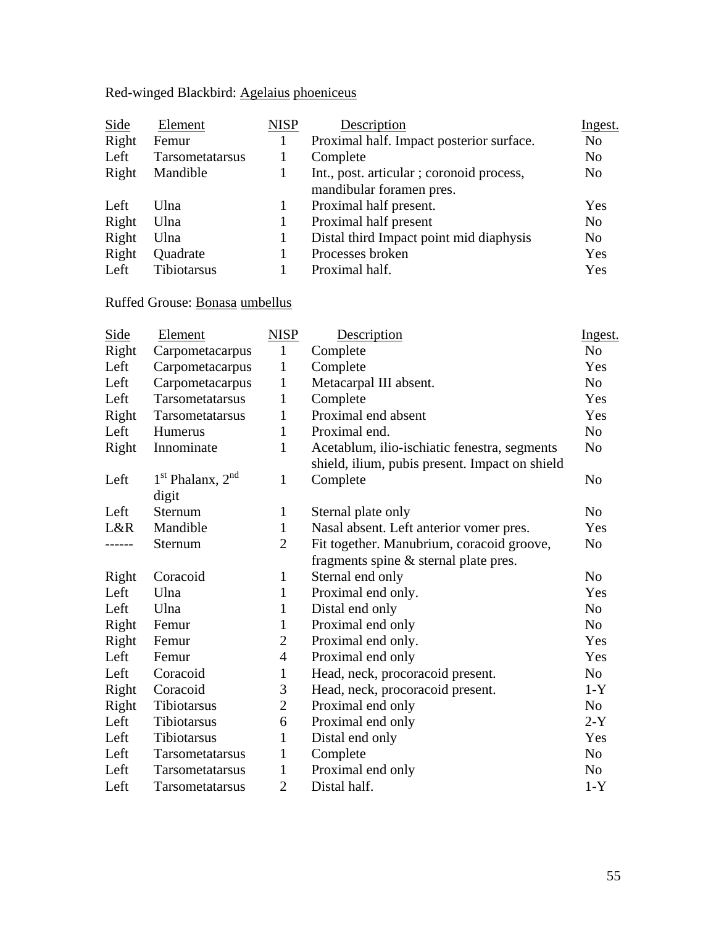Red-winged Blackbird: Agelaius phoeniceus

| <b>Side</b> | Element         | <b>NISP</b> | Description                                                          | Ingest.        |
|-------------|-----------------|-------------|----------------------------------------------------------------------|----------------|
| Right       | Femur           |             | Proximal half. Impact posterior surface.                             | N <sub>0</sub> |
| Left        | Tarsometatarsus |             | Complete                                                             | N <sub>o</sub> |
| Right       | Mandible        |             | Int., post. articular; coronoid process,<br>mandibular foramen pres. | N <sub>0</sub> |
| Left        | Ulna            |             | Proximal half present.                                               | Yes            |
| Right       | Ulna            |             | Proximal half present                                                | No             |
| Right       | Ulna            |             | Distal third Impact point mid diaphysis                              | N <sub>0</sub> |
| Right       | Quadrate        |             | Processes broken                                                     | Yes            |
| Left        | Tibiotarsus     |             | Proximal half.                                                       | Yes            |

## Ruffed Grouse: Bonasa umbellus

| Side  | Element                | <b>NISP</b>    | Description                                    | Ingest.        |
|-------|------------------------|----------------|------------------------------------------------|----------------|
| Right | Carpometacarpus        | $\mathbf{1}$   | Complete                                       | N <sub>0</sub> |
| Left  | Carpometacarpus        | $\mathbf{1}$   | Complete                                       | Yes            |
| Left  | Carpometacarpus        | 1              | Metacarpal III absent.                         | N <sub>o</sub> |
| Left  | Tarsometatarsus        | $\mathbf{1}$   | Complete                                       | Yes            |
| Right | Tarsometatarsus        | 1              | Proximal end absent                            | Yes            |
| Left  | Humerus                | $\mathbf{1}$   | Proximal end.                                  | N <sub>o</sub> |
| Right | Innominate             | $\mathbf{1}$   | Acetablum, ilio-ischiatic fenestra, segments   | N <sub>o</sub> |
|       |                        |                | shield, ilium, pubis present. Impact on shield |                |
| Left  | $1st$ Phalanx, $2nd$   | 1              | Complete                                       | N <sub>o</sub> |
|       | digit                  |                |                                                |                |
| Left  | Sternum                | $\mathbf{1}$   | Sternal plate only                             | N <sub>0</sub> |
| L&R   | Mandible               | $\mathbf{1}$   | Nasal absent. Left anterior vomer pres.        | Yes            |
| ----- | Sternum                | $\overline{2}$ | Fit together. Manubrium, coracoid groove,      | N <sub>o</sub> |
|       |                        |                | fragments spine & sternal plate pres.          |                |
| Right | Coracoid               | $\mathbf{1}$   | Sternal end only                               | N <sub>o</sub> |
| Left  | Ulna                   | 1              | Proximal end only.                             | Yes            |
| Left  | Ulna                   | $\mathbf{1}$   | Distal end only                                | N <sub>o</sub> |
| Right | Femur                  | $\mathbf{1}$   | Proximal end only                              | N <sub>o</sub> |
| Right | Femur                  | $\overline{2}$ | Proximal end only.                             | Yes            |
| Left  | Femur                  | $\overline{4}$ | Proximal end only                              | Yes            |
| Left  | Coracoid               | $\mathbf{1}$   | Head, neck, procoracoid present.               | No             |
| Right | Coracoid               | 3              | Head, neck, procoracoid present.               | $1-Y$          |
| Right | Tibiotarsus            | $\overline{2}$ | Proximal end only                              | No             |
| Left  | Tibiotarsus            | 6              | Proximal end only                              | $2-Y$          |
| Left  | Tibiotarsus            | 1              | Distal end only                                | Yes            |
| Left  | Tarsometatarsus        | $\mathbf{1}$   | Complete                                       | N <sub>o</sub> |
| Left  | Tarsometatarsus        | $\mathbf{1}$   | Proximal end only                              | N <sub>o</sub> |
| Left  | <b>Tarsometatarsus</b> | $\overline{2}$ | Distal half.                                   | $1-Y$          |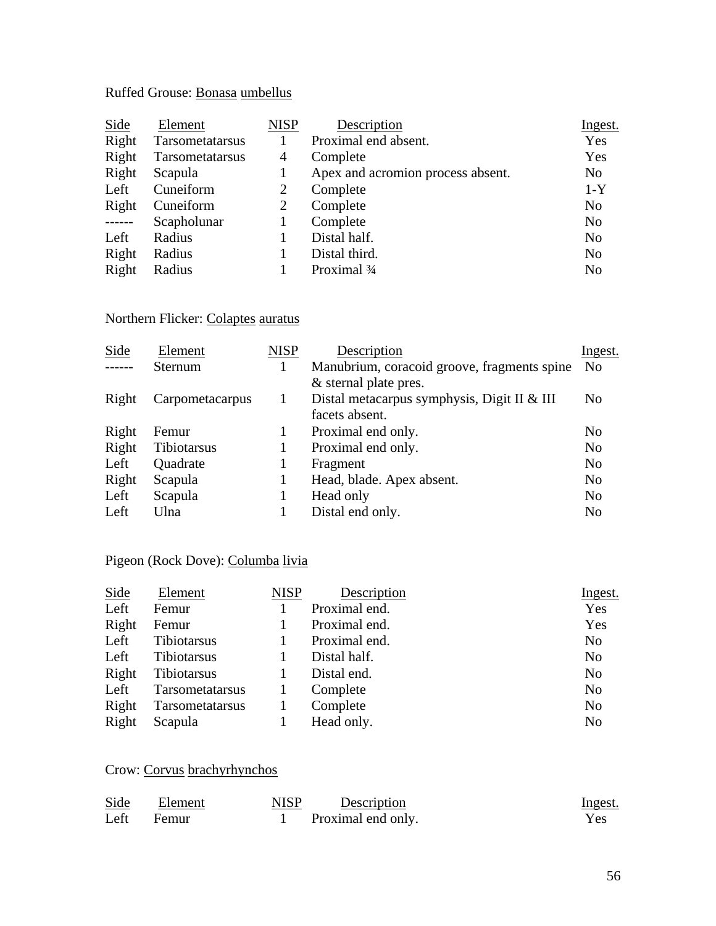## Ruffed Grouse: Bonasa umbellus

| Side     | Element         | <b>NISP</b> | Description                       | Ingest.        |
|----------|-----------------|-------------|-----------------------------------|----------------|
| Right    | Tarsometatarsus |             | Proximal end absent.              | Yes            |
| Right    | Tarsometatarsus | 4           | Complete                          | Yes            |
| Right    | Scapula         |             | Apex and acromion process absent. | N <sub>o</sub> |
| Left     | Cuneiform       | 2           | Complete                          | $1-Y$          |
| Right    | Cuneiform       | 2           | Complete                          | N <sub>o</sub> |
| $-----1$ | Scapholunar     |             | Complete                          | N <sub>o</sub> |
| Left     | Radius          |             | Distal half.                      | N <sub>o</sub> |
| Right    | Radius          |             | Distal third.                     | N <sub>o</sub> |
| Right    | Radius          |             | Proximal 3/4                      | N <sub>o</sub> |

## Northern Flicker: Colaptes auratus

| Element         | <b>NISP</b> | Description                                 | Ingest.        |
|-----------------|-------------|---------------------------------------------|----------------|
| Sternum         |             | Manubrium, coracoid groove, fragments spine | N <sub>0</sub> |
|                 |             | & sternal plate pres.                       |                |
| Carpometacarpus |             | Distal metacarpus symphysis, Digit II & III | No             |
|                 |             | facets absent.                              |                |
| Femur           |             | Proximal end only.                          | No             |
| Tibiotarsus     |             | Proximal end only.                          | No             |
| Quadrate        |             | Fragment                                    | N <sub>o</sub> |
| Scapula         |             | Head, blade. Apex absent.                   | N <sub>o</sub> |
| Scapula         |             | Head only                                   | No             |
| Ulna            |             | Distal end only.                            | N <sub>o</sub> |
|                 |             |                                             |                |

## Pigeon (Rock Dove): Columba livia

| Element         | <b>NISP</b> | Description   | Ingest.        |
|-----------------|-------------|---------------|----------------|
| Femur           |             | Proximal end. | Yes            |
| Femur           |             | Proximal end. | Yes            |
| Tibiotarsus     |             | Proximal end. | N <sub>o</sub> |
| Tibiotarsus     |             | Distal half.  | N <sub>o</sub> |
| Tibiotarsus     |             | Distal end.   | N <sub>o</sub> |
| Tarsometatarsus |             | Complete      | N <sub>o</sub> |
| Tarsometatarsus |             | Complete      | N <sub>o</sub> |
| Scapula         |             | Head only.    | N <sub>o</sub> |
|                 |             |               |                |

## Crow: Corvus brachyrhynchos

| Side | Element | NISP | Description        | <u>Ingest.</u> |
|------|---------|------|--------------------|----------------|
| Left | Femur   |      | Proximal end only. | Yes.           |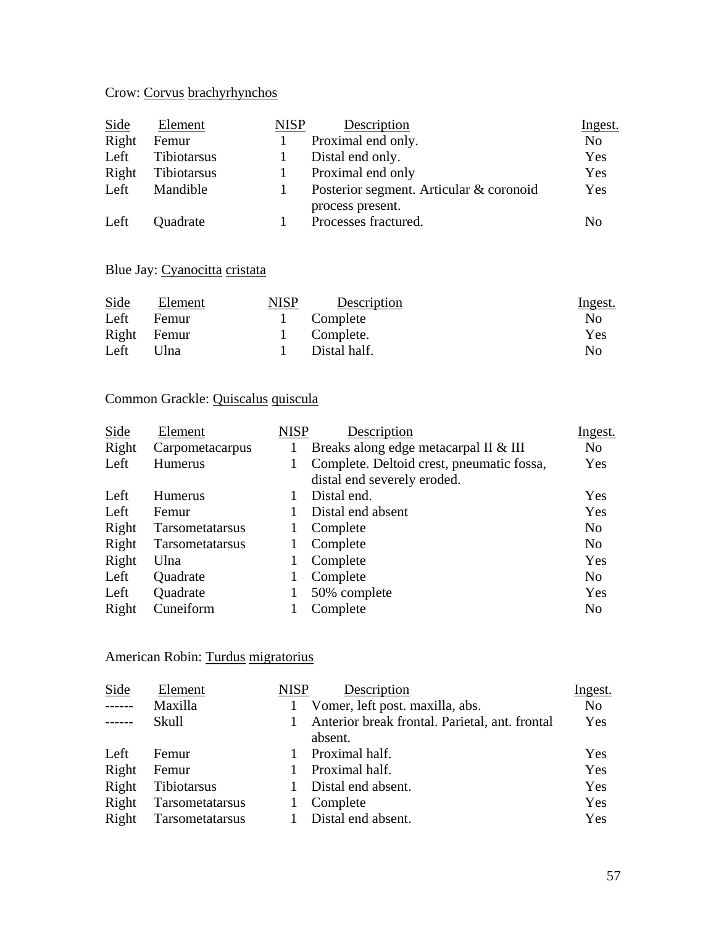## Crow: Corvus brachyrhynchos

| Side  | Element     | <b>NISP</b> | Description                             | Ingest.        |
|-------|-------------|-------------|-----------------------------------------|----------------|
| Right | Femur       |             | Proximal end only.                      | N <sub>0</sub> |
| Left  | Tibiotarsus |             | Distal end only.                        | Yes            |
| Right | Tibiotarsus |             | Proximal end only                       | Yes            |
| Left  | Mandible    |             | Posterior segment. Articular & coronoid | Yes            |
|       |             |             | process present.                        |                |
| Left  | Quadrate    |             | Processes fractured.                    | No             |

### Blue Jay: Cyanocitta cristata

| Side | Element     | <b>NISP</b> | Description  | <u>Ingest.</u> |
|------|-------------|-------------|--------------|----------------|
| Left | Femur       |             | Complete     | No             |
|      | Right Femur |             | 1 Complete.  | Yes            |
| Left | Ulna        |             | Distal half. | No             |

### Common Grackle: Quiscalus quiscula

| Side  | Element         | <b>NISP</b> | Description                               | Ingest.        |
|-------|-----------------|-------------|-------------------------------------------|----------------|
| Right | Carpometacarpus |             | Breaks along edge metacarpal II & III     | N <sub>o</sub> |
| Left  | Humerus         |             | Complete. Deltoid crest, pneumatic fossa, | Yes            |
|       |                 |             | distal end severely eroded.               |                |
| Left  | <b>Humerus</b>  |             | Distal end.                               | Yes            |
| Left  | Femur           |             | Distal end absent                         | Yes            |
| Right | Tarsometatarsus |             | Complete                                  | N <sub>o</sub> |
| Right | Tarsometatarsus |             | Complete                                  | N <sub>o</sub> |
| Right | Ulna            |             | Complete                                  | Yes            |
| Left  | Quadrate        |             | Complete                                  | N <sub>o</sub> |
| Left  | Quadrate        |             | 50% complete                              | Yes            |
| Right | Cuneiform       |             | Complete                                  | N <sub>0</sub> |
|       |                 |             |                                           |                |

## American Robin: Turdus migratorius

| Side          | Element         | <b>NISP</b> | Description                                    | Ingest.        |
|---------------|-----------------|-------------|------------------------------------------------|----------------|
| $- - - - - -$ | Maxilla         |             | Vomer, left post. maxilla, abs.                | N <sub>0</sub> |
| $- - - - - -$ | Skull           |             | Anterior break frontal. Parietal, ant. frontal | Yes            |
|               |                 |             | absent.                                        |                |
| Left          | Femur           |             | Proximal half.                                 | Yes            |
| Right         | Femur           |             | Proximal half.                                 | Yes            |
| Right         | Tibiotarsus     |             | Distal end absent.                             | Yes            |
| Right         | Tarsometatarsus |             | Complete                                       | Yes            |
| Right         | Tarsometatarsus |             | Distal end absent.                             | Yes            |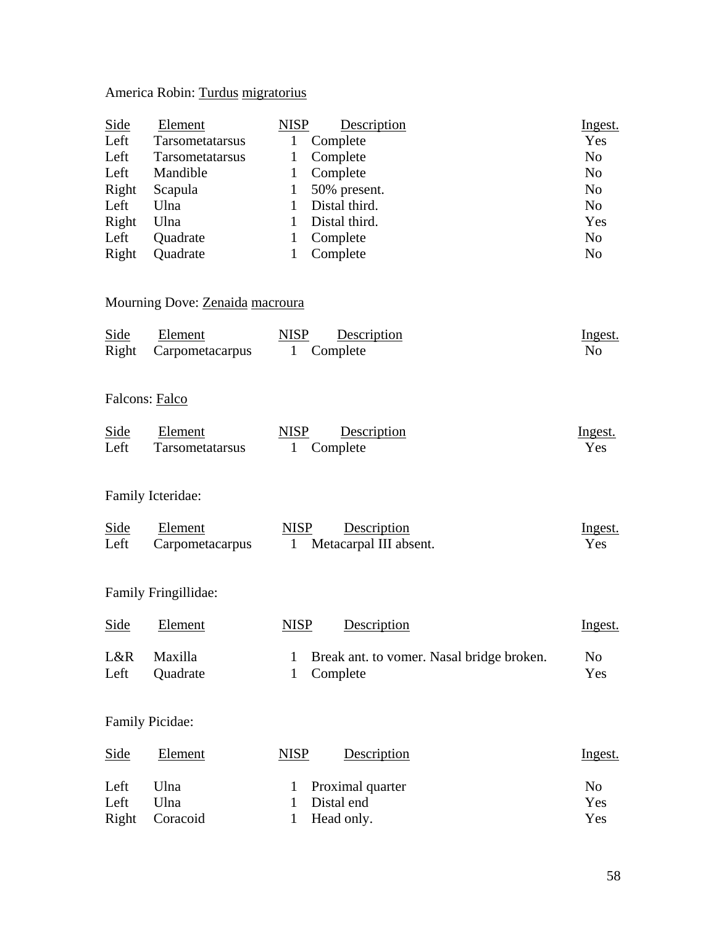## America Robin: Turdus migratorius

| <b>Side</b>    | Element                         | <b>NISP</b> | Description   | Ingest.        |
|----------------|---------------------------------|-------------|---------------|----------------|
| Left           | <b>Tarsometatarsus</b>          | 1           | Complete      | Yes            |
| Left           | <b>Tarsometatarsus</b>          | 1           | Complete      | N <sub>o</sub> |
| Left           | Mandible                        | 1           | Complete      | N <sub>0</sub> |
| Right          | Scapula                         | 1           | 50% present.  | N <sub>0</sub> |
| Left           | Ulna                            |             | Distal third. | N <sub>o</sub> |
| Right          | Ulna                            | 1           | Distal third. | Yes            |
| Left           | Quadrate                        | 1           | Complete      | N <sub>o</sub> |
| Right          | Quadrate                        | 1           | Complete      | N <sub>0</sub> |
|                |                                 |             |               |                |
|                | Mourning Dove: Zenaida macroura |             |               |                |
| Side           | Element                         | <b>NISP</b> | Description   | Ingest.        |
| Right          | Carpometacarpus                 | 1           | Complete      | N <sub>0</sub> |
|                |                                 |             |               |                |
| Falcons: Falco |                                 |             |               |                |

| Side | Element                | <b>NISP</b> | Description | <u>Ingest.</u> |
|------|------------------------|-------------|-------------|----------------|
| Left | <b>Tarsometatarsus</b> |             | 1 Complete  | Yes            |

### Family Icteridae:

| Side | Element         | NISP | Description                         | Ingest. |
|------|-----------------|------|-------------------------------------|---------|
| Left | Carpometacarpus |      | <sup>1</sup> Metacarpal III absent. | Yes     |

## Family Fringillidae:

| Side | Element        | <b>NISP</b><br>Description                  | <u>Ingest.</u> |
|------|----------------|---------------------------------------------|----------------|
| L&R  | <b>Maxilla</b> | 1 Break ant. to vomer. Nasal bridge broken. | N <sub>0</sub> |
| Left | Quadrate       | 1 Complete                                  | Yes            |

### Family Picidae:

| Side  | Element  | NISP<br>Description | <u>Ingest.</u> |
|-------|----------|---------------------|----------------|
| Left  | Ulna     | 1 Proximal quarter  | $\rm No$       |
| Left  | Ulna     | Distal end          | Yes            |
| Right | Coracoid | Head only.          | Yes            |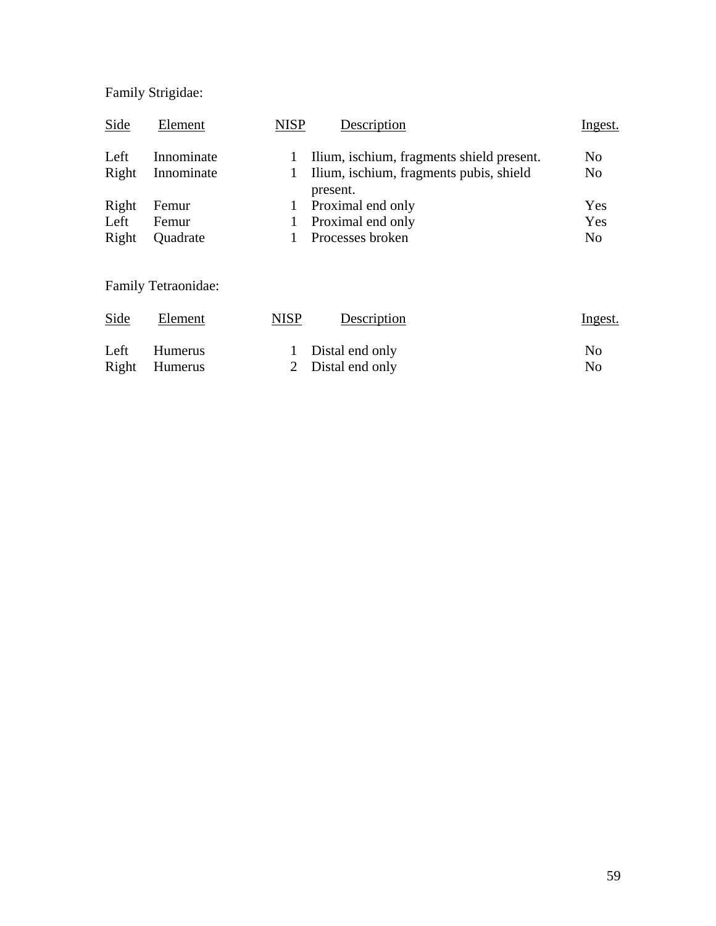# Family Strigidae:

| Side  | Element    | <b>NISP</b> | Description                                         | <u>Ingest.</u> |
|-------|------------|-------------|-----------------------------------------------------|----------------|
| Left  | Innominate |             | Ilium, ischium, fragments shield present.           | N <sub>0</sub> |
| Right | Innominate |             | Ilium, ischium, fragments pubis, shield<br>present. | N <sub>0</sub> |
| Right | Femur      |             | Proximal end only                                   | Yes            |
| Left  | Femur      |             | Proximal end only                                   | Yes            |
| Right | Quadrate   |             | Processes broken                                    | N <sub>0</sub> |

Family Tetraonidae:

| Side  | Element        | MISP | Description       | <u>Ingest.</u> |
|-------|----------------|------|-------------------|----------------|
| Left  | <b>Humerus</b> |      | 1 Distal end only | No             |
| Right | Humerus        |      | 2 Distal end only | No             |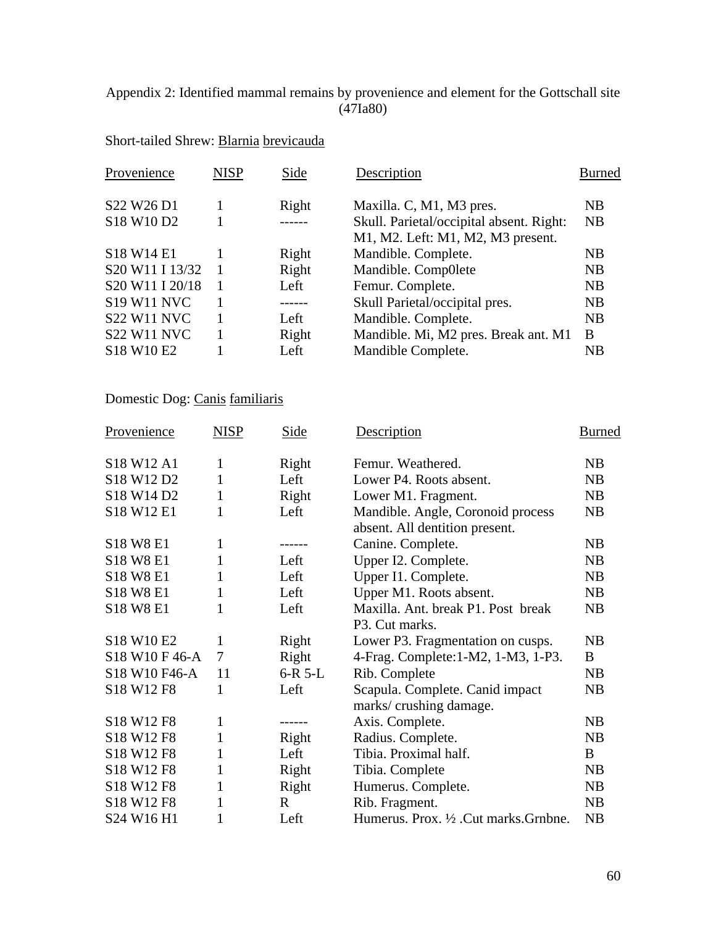#### Appendix 2: Identified mammal remains by provenience and element for the Gottschall site (47Ia80)

## Short-tailed Shrew: Blarnia brevicauda

| Provenience        | <b>NISP</b>    | Side  | Description                              | <b>Burned</b> |
|--------------------|----------------|-------|------------------------------------------|---------------|
| S22 W26 D1         |                | Right | Maxilla. C, M1, M3 pres.                 | NB            |
| S18 W10 D2         |                | $---$ | Skull. Parietal/occipital absent. Right: | <b>NB</b>     |
|                    |                |       | M1, M2. Left: M1, M2, M3 present.        |               |
| S18 W14 E1         |                | Right | Mandible. Complete.                      | NB            |
| S20 W11 I 13/32    |                | Right | Mandible. Comp0lete                      | NB            |
| S20 W11 I 20/18    | $\overline{1}$ | Left  | Femur. Complete.                         | NB            |
| <b>S19 W11 NVC</b> |                | ----- | Skull Parietal/occipital pres.           | NB            |
| <b>S22 W11 NVC</b> |                | Left  | Mandible. Complete.                      | NB            |
| <b>S22 W11 NVC</b> |                | Right | Mandible. Mi, M2 pres. Break ant. M1     | B             |
| S18 W10 E2         |                | Left  | Mandible Complete.                       | NB            |

### Domestic Dog: Canis familiaris

| Provenience    | <b>NISP</b> | Side      | Description                           | <b>Burned</b> |
|----------------|-------------|-----------|---------------------------------------|---------------|
| S18 W12 A1     | 1           | Right     | Femur. Weathered.                     | NB            |
| S18 W12 D2     | 1           | Left      | Lower P4. Roots absent.               | NB            |
| S18 W14 D2     | 1           | Right     | Lower M1. Fragment.                   | NB            |
| S18 W12 E1     | 1           | Left      | Mandible. Angle, Coronoid process     | NB            |
|                |             |           | absent. All dentition present.        |               |
| S18 W8 E1      | 1           | ------    | Canine. Complete.                     | NB            |
| S18 W8 E1      | 1           | Left      | Upper I2. Complete.                   | <b>NB</b>     |
| S18 W8 E1      | 1           | Left      | Upper I1. Complete.                   | <b>NB</b>     |
| S18 W8 E1      | 1           | Left      | Upper M1. Roots absent.               | NB            |
| S18 W8 E1      | 1           | Left      | Maxilla. Ant. break P1. Post break    | NB            |
|                |             |           | P3. Cut marks.                        |               |
| S18 W10 E2     | 1           | Right     | Lower P3. Fragmentation on cusps.     | NB            |
| S18 W10 F 46-A | 7           | Right     | 4-Frag. Complete: 1-M2, 1-M3, 1-P3.   | B             |
| S18 W10 F46-A  | 11          | $6-R$ 5-L | Rib. Complete                         | NB            |
| S18 W12 F8     | 1           | Left      | Scapula. Complete. Canid impact       | NB            |
|                |             |           | marks/crushing damage.                |               |
| S18 W12 F8     | 1           | ------    | Axis. Complete.                       | NB            |
| S18 W12 F8     | 1           | Right     | Radius. Complete.                     | NB            |
| S18 W12 F8     | 1           | Left      | Tibia. Proximal half.                 | B             |
| S18 W12 F8     | 1           | Right     | Tibia. Complete                       | NB.           |
| S18 W12 F8     | 1           | Right     | Humerus. Complete.                    | <b>NB</b>     |
| S18 W12 F8     | 1           | R         | Rib. Fragment.                        | NB            |
| S24 W16 H1     | 1           | Left      | Humerus. Prox. 1/2 .Cut marks.Grnbne. | NB            |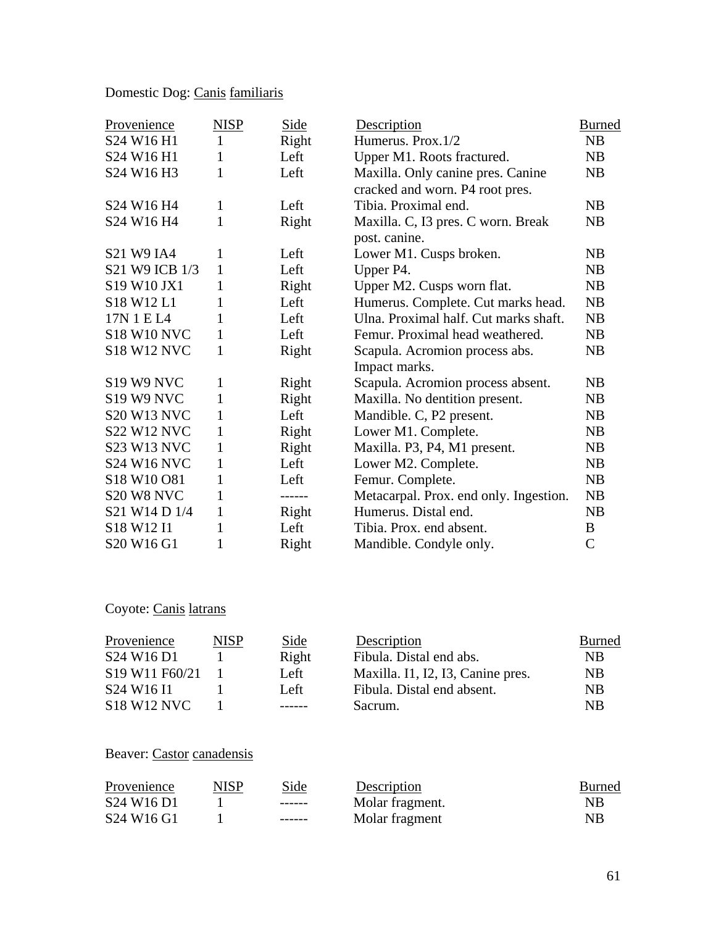## Domestic Dog: Canis familiaris

| Provenience                                    | <b>NISP</b>  | Side   | Description                            | <b>Burned</b> |
|------------------------------------------------|--------------|--------|----------------------------------------|---------------|
| S24 W16 H1                                     | 1            | Right  | Humerus. Prox.1/2                      | NB            |
| S24 W16 H1                                     | 1            | Left   | Upper M1. Roots fractured.             | NB            |
| S <sub>24</sub> W <sub>16</sub> H <sub>3</sub> | 1            | Left   | Maxilla. Only canine pres. Canine      | NB            |
|                                                |              |        | cracked and worn. P4 root pres.        |               |
| S24 W16 H4                                     | 1            | Left   | Tibia. Proximal end.                   | NB            |
| S24 W16 H4                                     | 1            | Right  | Maxilla. C, I3 pres. C worn. Break     | NB            |
|                                                |              |        | post. canine.                          |               |
| <b>S21 W9 IA4</b>                              | 1            | Left   | Lower M1. Cusps broken.                | NB            |
| S21 W9 ICB 1/3                                 | $\mathbf{1}$ | Left   | Upper P4.                              | NB            |
| S19 W10 JX1                                    | 1            | Right  | Upper M2. Cusps worn flat.             | NB            |
| S18 W12 L1                                     | $\mathbf{1}$ | Left   | Humerus. Complete. Cut marks head.     | NB            |
| 17N 1 E L4                                     | 1            | Left   | Ulna. Proximal half. Cut marks shaft.  | NB            |
| <b>S18 W10 NVC</b>                             | $\mathbf{1}$ | Left   | Femur. Proximal head weathered.        | NB            |
| <b>S18 W12 NVC</b>                             | $\mathbf{1}$ | Right  | Scapula. Acromion process abs.         | NB            |
|                                                |              |        | Impact marks.                          |               |
| S <sub>19</sub> W <sub>9</sub> NVC             | 1            | Right  | Scapula. Acromion process absent.      | NB            |
| S <sub>19</sub> W <sub>9</sub> NVC             | 1            | Right  | Maxilla. No dentition present.         | NB            |
| <b>S20 W13 NVC</b>                             | 1            | Left   | Mandible. C, P2 present.               | NB            |
| <b>S22 W12 NVC</b>                             | $\mathbf{1}$ | Right  | Lower M1. Complete.                    | NB            |
| <b>S23 W13 NVC</b>                             | 1            | Right  | Maxilla. P3, P4, M1 present.           | NB            |
| <b>S24 W16 NVC</b>                             | 1            | Left   | Lower M2. Complete.                    | NB            |
| S18 W10 O81                                    | 1            | Left   | Femur. Complete.                       | NB            |
| S <sub>20</sub> W <sub>8</sub> NVC             | 1            | ------ | Metacarpal. Prox. end only. Ingestion. | NB            |
| S21 W14 D 1/4                                  | 1            | Right  | Humerus. Distal end.                   | NB            |
| S <sub>18</sub> W <sub>12</sub> I <sub>1</sub> | 1            | Left   | Tibia. Prox. end absent.               | B             |
| S20 W16 G1                                     | 1            | Right  | Mandible. Condyle only.                | $\mathcal{C}$ |

# Coyote: Canis latrans

| Provenience                                                     | <b>NISP</b> | Side          | Description                       | <b>Burned</b>  |
|-----------------------------------------------------------------|-------------|---------------|-----------------------------------|----------------|
| S <sub>24</sub> W <sub>16</sub> D <sub>1</sub>                  |             | Right         | Fibula. Distal end abs.           | NB.            |
| S <sub>19</sub> W <sub>11</sub> F <sub>60</sub> /2 <sub>1</sub> |             | Left          | Maxilla. I1, I2, I3, Canine pres. | <b>NB</b>      |
| S <sub>24</sub> W <sub>16</sub> I <sub>1</sub>                  |             | Left          | Fibula. Distal end absent.        | N <sub>R</sub> |
| <b>S18 W12 NVC</b>                                              |             | $- - - - - -$ | Sacrum.                           | <b>NB</b>      |

# Beaver: Castor canadensis

| Provenience                                    | <b>NISP</b> | Side    | Description     | <b>Burned</b> |
|------------------------------------------------|-------------|---------|-----------------|---------------|
| S <sub>24</sub> W <sub>16</sub> D <sub>1</sub> |             | ------- | Molar fragment. | NΒ            |
| S <sub>24</sub> W <sub>16</sub> G <sub>1</sub> |             | ------  | Molar fragment  | NB            |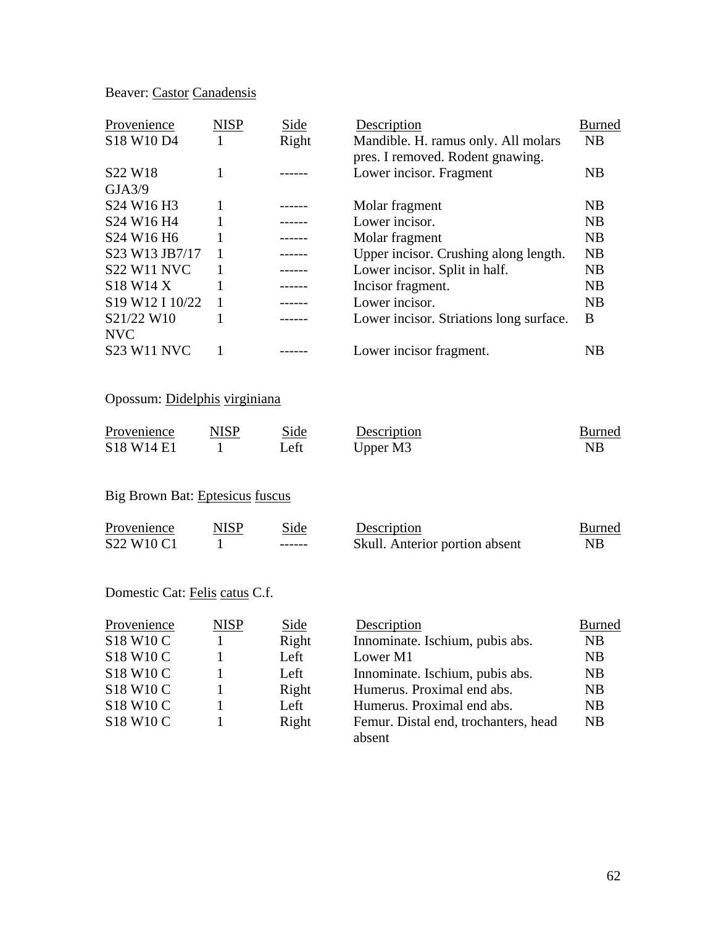## Beaver: Castor Canadensis

| Provenience                                    | <b>NISP</b> | Side  | Description                             | Burned    |
|------------------------------------------------|-------------|-------|-----------------------------------------|-----------|
| S18 W10 D4                                     |             | Right | Mandible. H. ramus only. All molars     | <b>NB</b> |
|                                                |             |       | pres. I removed. Rodent gnawing.        |           |
| S <sub>22</sub> W <sub>18</sub>                |             |       | Lower incisor. Fragment                 | NB        |
| GJA3/9                                         |             |       |                                         |           |
| S <sub>24</sub> W <sub>16</sub> H <sub>3</sub> |             |       | Molar fragment                          | NB        |
| S24 W16 H4                                     |             |       | Lower incisor.                          | <b>NB</b> |
| S <sub>24</sub> W <sub>16</sub> H <sub>6</sub> |             |       | Molar fragment                          | <b>NB</b> |
| S23 W13 JB7/17                                 |             |       | Upper incisor. Crushing along length.   | <b>NB</b> |
| <b>S22 W11 NVC</b>                             |             |       | Lower incisor. Split in half.           | NB        |
| S <sub>18</sub> W <sub>14</sub> X              |             |       | Incisor fragment.                       | <b>NB</b> |
| S19 W12 I 10/22                                |             |       | Lower incisor.                          | <b>NB</b> |
| S21/22 W10                                     |             |       | Lower incisor. Striations long surface. | B         |
| <b>NVC</b>                                     |             |       |                                         |           |
| <b>S23 W11 NVC</b>                             |             |       | Lower incisor fragment.                 | NB        |

### Opossum: Didelphis virginiana

| Provenience | NISP | Side. | Description | Burned |
|-------------|------|-------|-------------|--------|
| S18 W14 E1  |      | Left  | Upper M3    |        |

### Big Brown Bat: Eptesicus fuscus

| Provenience                                    | NISP | Side    | Description                    | <b>Burned</b> |
|------------------------------------------------|------|---------|--------------------------------|---------------|
| S <sub>22</sub> W <sub>10</sub> C <sub>1</sub> |      | ------- | Skull. Anterior portion absent | ΝB            |

## Domestic Cat: Felis catus C.f.

| Provenience | <b>NISP</b> | Side  | Description                          | <b>Burned</b> |
|-------------|-------------|-------|--------------------------------------|---------------|
| S18 W10 C   |             | Right | Innominate. Ischium, pubis abs.      | <b>NB</b>     |
| S18 W10 C   |             | Left  | Lower M1                             | <b>NB</b>     |
| S18 W10 C   |             | Left  | Innominate. Ischium, pubis abs.      | NB            |
| S18 W10 C   |             | Right | Humerus. Proximal end abs.           | <b>NB</b>     |
| S18 W10 C   |             | Left  | Humerus. Proximal end abs.           | <b>NB</b>     |
| S18 W10 C   |             | Right | Femur. Distal end, trochanters, head | NB            |
|             |             |       | absent                               |               |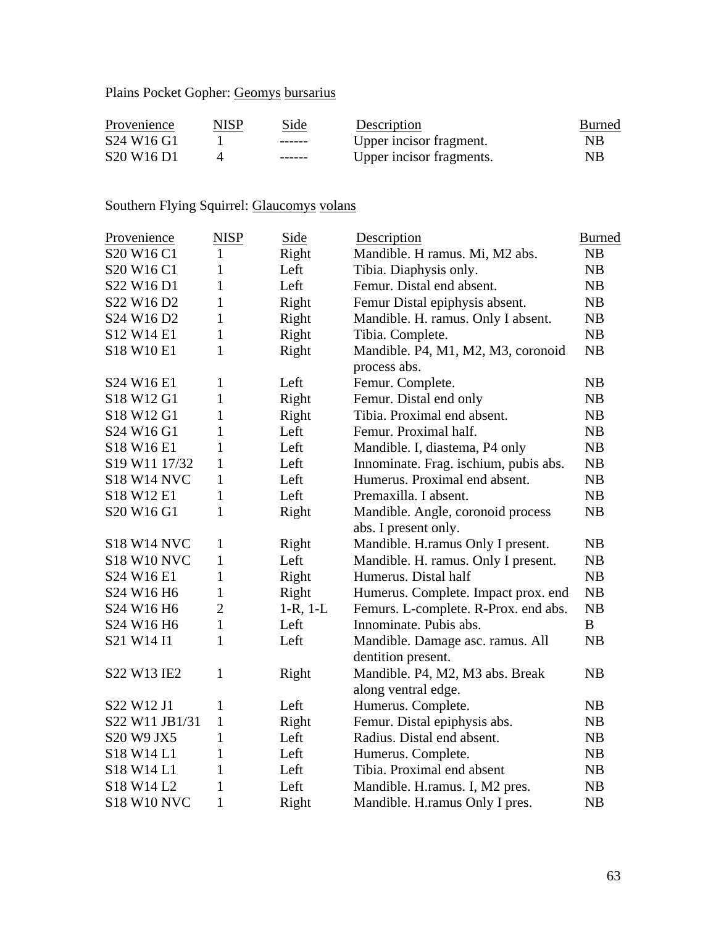Plains Pocket Gopher: Geomys bursarius

| Provenience                                    | <b>NISP</b> | Side          | Description              | Burned |
|------------------------------------------------|-------------|---------------|--------------------------|--------|
| S <sub>24</sub> W <sub>16</sub> G <sub>1</sub> |             | -------       | Upper incisor fragment.  | NΒ     |
| S <sub>20</sub> W <sub>16</sub> D <sub>1</sub> |             | $- - - - - -$ | Upper incisor fragments. | NΒ     |

## Southern Flying Squirrel: Glaucomys volans

| Provenience                                    | <b>NISP</b>    | Side          | Description                           | <b>Burned</b> |
|------------------------------------------------|----------------|---------------|---------------------------------------|---------------|
| S <sub>20</sub> W <sub>16</sub> C <sub>1</sub> | 1              | Right         | Mandible. H ramus. Mi, M2 abs.        | NB            |
| S20 W16 C1                                     | 1              | Left          | Tibia. Diaphysis only.                | NB            |
| S22 W16 D1                                     | 1              | Left          | Femur. Distal end absent.             | NB            |
| S22 W16 D2                                     | $\mathbf{1}$   | Right         | Femur Distal epiphysis absent.        | NB            |
| S <sub>24</sub> W <sub>16</sub> D <sub>2</sub> | $\mathbf{1}$   | Right         | Mandible. H. ramus. Only I absent.    | NB            |
| S12 W14 E1                                     | $\mathbf{1}$   | Right         | Tibia. Complete.                      | NB            |
| S18 W10 E1                                     | 1              | Right         | Mandible. P4, M1, M2, M3, coronoid    | NB            |
|                                                |                |               | process abs.                          |               |
| S24 W16 E1                                     | $\mathbf{1}$   | Left          | Femur. Complete.                      | <b>NB</b>     |
| S18 W12 G1                                     | $\mathbf{1}$   | Right         | Femur. Distal end only                | NB            |
| S18 W12 G1                                     | $\mathbf{1}$   | Right         | Tibia. Proximal end absent.           | NB            |
| S24 W16 G1                                     | 1              | Left          | Femur. Proximal half.                 | NB            |
| S18 W16 E1                                     | 1              | Left          | Mandible. I, diastema, P4 only        | NB            |
| S <sub>19</sub> W <sub>11</sub> 17/32          | $\mathbf{1}$   | Left          | Innominate. Frag. ischium, pubis abs. | NB            |
| <b>S18 W14 NVC</b>                             | $\mathbf{1}$   | Left          | Humerus. Proximal end absent.         | NB            |
| S18 W12 E1                                     | $\mathbf{1}$   | Left          | Premaxilla. I absent.                 | NB            |
| S20 W16 G1                                     | $\mathbf{1}$   | Right         | Mandible. Angle, coronoid process     | NB            |
|                                                |                |               | abs. I present only.                  |               |
| <b>S18 W14 NVC</b>                             | 1              | Right         | Mandible. H.ramus Only I present.     | NB            |
| <b>S18 W10 NVC</b>                             | $\mathbf{1}$   | Left          | Mandible. H. ramus. Only I present.   | NB            |
| S24 W16 E1                                     | 1              | Right         | Humerus. Distal half                  | NB            |
| S24 W16 H6                                     | $\mathbf{1}$   | Right         | Humerus. Complete. Impact prox. end   | NB            |
| S24 W16 H6                                     | $\overline{2}$ | $1-R$ , $1-L$ | Femurs. L-complete. R-Prox. end abs.  | NB            |
| S24 W16 H6                                     | $\mathbf{1}$   | Left          | Innominate. Pubis abs.                | B             |
| S21 W14 I1                                     | 1              | Left          | Mandible. Damage asc. ramus. All      | NB            |
|                                                |                |               | dentition present.                    |               |
| S22 W13 IE2                                    | $\mathbf{1}$   | Right         | Mandible. P4, M2, M3 abs. Break       | NB            |
|                                                |                |               | along ventral edge.                   |               |
| S22 W12 J1                                     | 1              | Left          | Humerus. Complete.                    | NB            |
| S22 W11 JB1/31                                 | $\mathbf{1}$   | Right         | Femur. Distal epiphysis abs.          | NB            |
| S20 W9 JX5                                     | 1              | Left          | Radius. Distal end absent.            | NB            |
| S18 W14 L1                                     | $\mathbf{1}$   | Left          | Humerus. Complete.                    | NB            |
| S18 W14 L1                                     | $\mathbf{1}$   | Left          | Tibia. Proximal end absent            | NB            |
| S18 W14 L2                                     | $\mathbf{1}$   | Left          | Mandible. H.ramus. I, M2 pres.        | NB            |
| <b>S18 W10 NVC</b>                             | $\mathbf{1}$   | Right         | Mandible. H. ramus Only I pres.       | NB            |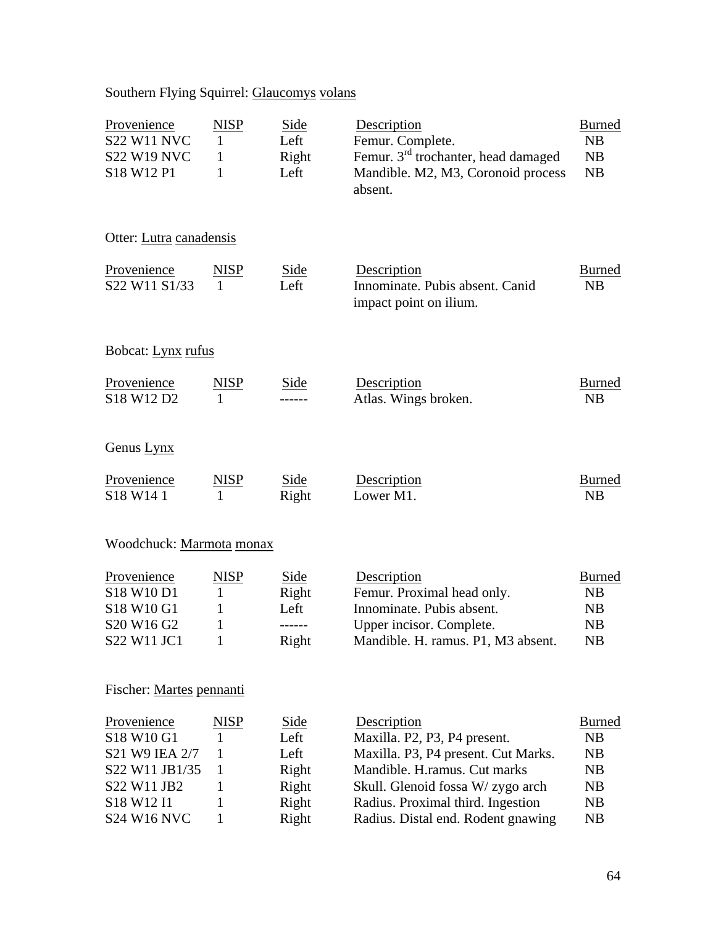# Southern Flying Squirrel: Glaucomys volans

| Provenience<br><b>S22 W11 NVC</b><br><b>S22 W19 NVC</b><br>S18 W12 P1                                                                                | <b>NISP</b><br>$\mathbf{1}$<br>1<br>1      | <b>Side</b><br>Left<br>Right<br>Left                            | Description<br>Femur. Complete.<br>Femur. $3rd$ trochanter, head damaged<br>Mandible. M2, M3, Coronoid process<br>absent.                                                                                                          | <b>Burned</b><br>NB<br><b>NB</b><br>NB                               |
|------------------------------------------------------------------------------------------------------------------------------------------------------|--------------------------------------------|-----------------------------------------------------------------|------------------------------------------------------------------------------------------------------------------------------------------------------------------------------------------------------------------------------------|----------------------------------------------------------------------|
| Otter: Lutra canadensis                                                                                                                              |                                            |                                                                 |                                                                                                                                                                                                                                    |                                                                      |
| Provenience<br>S22 W11 S1/33                                                                                                                         | NISP<br>$\mathbf{1}$                       | Side<br>Left                                                    | Description<br>Innominate. Pubis absent. Canid<br>impact point on ilium.                                                                                                                                                           | <b>Burned</b><br>NB                                                  |
| Bobcat: Lynx rufus                                                                                                                                   |                                            |                                                                 |                                                                                                                                                                                                                                    |                                                                      |
| Provenience<br>S18 W12 D2                                                                                                                            | <b>NISP</b><br>1                           | Side                                                            | Description<br>Atlas. Wings broken.                                                                                                                                                                                                | <b>Burned</b><br>NB                                                  |
| Genus Lynx                                                                                                                                           |                                            |                                                                 |                                                                                                                                                                                                                                    |                                                                      |
| Provenience<br>S18 W14 1                                                                                                                             | <u>NISP</u><br>$\mathbf{1}$                | <b>Side</b><br>Right                                            | Description<br>Lower M1.                                                                                                                                                                                                           | <b>Burned</b><br><b>NB</b>                                           |
| Woodchuck: Marmota monax                                                                                                                             |                                            |                                                                 |                                                                                                                                                                                                                                    |                                                                      |
| Provenience<br>S18 W10 D1<br>S18 W10 G1<br>S20 W16 G2<br>S22 W11 JC1                                                                                 | <b>NISP</b><br>1<br>1<br>1<br>$\mathbf{I}$ | Side<br>Right<br>Left<br>------<br>Right                        | Description<br>Femur. Proximal head only.<br>Innominate. Pubis absent.<br>Upper incisor. Complete.<br>Mandible. H. ramus. P1, M3 absent.                                                                                           | <b>Burned</b><br>N <sub>B</sub><br>N <sub>B</sub><br><b>NB</b><br>NB |
| Fischer: Martes pennanti                                                                                                                             |                                            |                                                                 |                                                                                                                                                                                                                                    |                                                                      |
| Provenience<br>S18 W10 G1<br>S21 W9 IEA 2/7<br>S22 W11 JB1/35<br>S22 W11 JB2<br>S <sub>18</sub> W <sub>12</sub> I <sub>1</sub><br><b>S24 W16 NVC</b> | NISP<br>1<br>1<br>1<br>1<br>1<br>1         | <u>Side</u><br>Left<br>Left<br>Right<br>Right<br>Right<br>Right | Description<br>Maxilla. P2, P3, P4 present.<br>Maxilla. P3, P4 present. Cut Marks.<br>Mandible. H.ramus. Cut marks<br>Skull. Glenoid fossa W/ zygo arch<br>Radius. Proximal third. Ingestion<br>Radius. Distal end. Rodent gnawing | <b>Burned</b><br>NB<br>NB<br>N <sub>B</sub><br>NB<br>NB<br><b>NB</b> |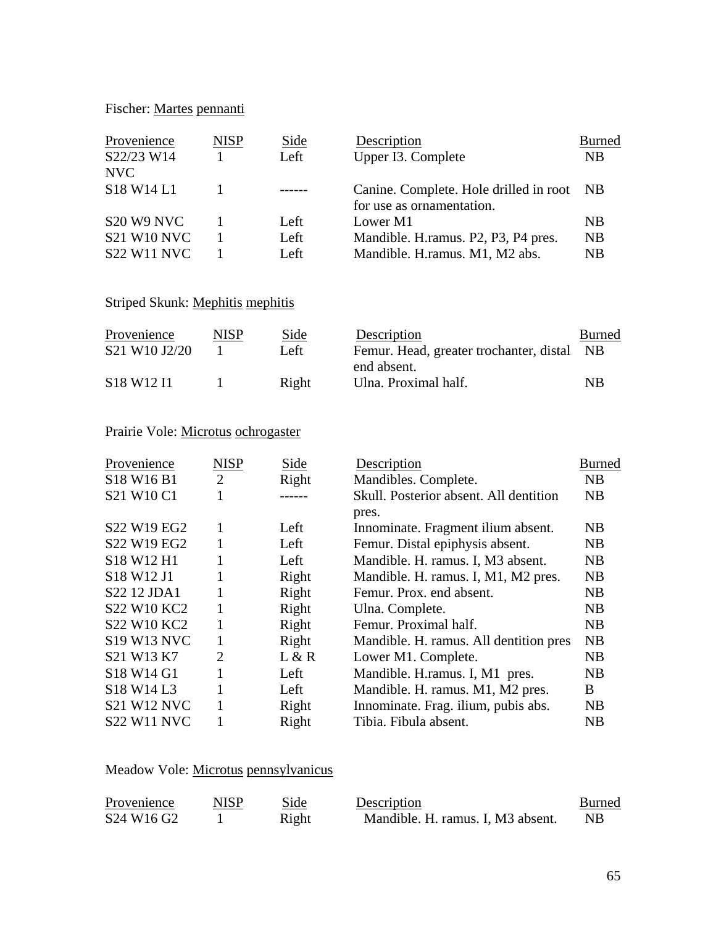### Fischer: Martes pennanti

| Provenience<br>S22/23 W14<br><b>NVC</b>                                                    | <b>NISP</b> | Side<br>Left         | Description<br>Upper I3. Complete                                                   | <b>Burned</b><br><b>NB</b>          |
|--------------------------------------------------------------------------------------------|-------------|----------------------|-------------------------------------------------------------------------------------|-------------------------------------|
| S <sub>18</sub> W <sub>14</sub> L <sub>1</sub>                                             |             | ------               | Canine. Complete. Hole drilled in root<br>for use as ornamentation.                 | - NB                                |
| S <sub>20</sub> W <sub>9</sub> N <sub>VC</sub><br><b>S21 W10 NVC</b><br><b>S22 W11 NVC</b> |             | Left<br>Left<br>Left | Lower M1<br>Mandible. H. ramus. P2, P3, P4 pres.<br>Mandible. H. ramus. M1, M2 abs. | <b>NB</b><br><b>NB</b><br><b>NB</b> |

### Striped Skunk: Mephitis mephitis

| Provenience                                    | <b>NISP</b> | Side  | Description                             | <b>Burned</b>  |
|------------------------------------------------|-------------|-------|-----------------------------------------|----------------|
| S21 W10 J2/20                                  |             | Left  | Femur. Head, greater trochanter, distal | - NB           |
|                                                |             |       | end absent.                             |                |
| S <sub>18</sub> W <sub>12</sub> I <sub>1</sub> |             | Right | Ulna. Proximal half.                    | N <sub>R</sub> |

### Prairie Vole: Microtus ochrogaster

| Provenience                                    | <b>NISP</b>    | Side  | Description                            | Burned         |
|------------------------------------------------|----------------|-------|----------------------------------------|----------------|
| S <sub>18</sub> W <sub>16</sub> B <sub>1</sub> | $\overline{2}$ | Right | Mandibles. Complete.                   | NB             |
| S21 W10 C1                                     |                |       | Skull. Posterior absent. All dentition | NB             |
|                                                |                |       | pres.                                  |                |
| S22 W19 EG2                                    | 1              | Left  | Innominate. Fragment ilium absent.     | N <sub>B</sub> |
| S22 W19 EG2                                    | 1              | Left  | Femur. Distal epiphysis absent.        | NB             |
| S18 W12 H1                                     | 1              | Left  | Mandible. H. ramus. I, M3 absent.      | <b>NB</b>      |
| S18 W12 J1                                     | 1              | Right | Mandible. H. ramus. I, M1, M2 pres.    | NB             |
| S22 12 JDA1                                    | 1              | Right | Femur. Prox. end absent.               | NB             |
| S22 W10 KC2                                    | 1              | Right | Ulna. Complete.                        | NB             |
| S22 W10 KC2                                    | 1              | Right | Femur. Proximal half.                  | NB             |
| <b>S19 W13 NVC</b>                             | 1              | Right | Mandible. H. ramus. All dentition pres | NB             |
| S21 W13 K7                                     | 2              | L & R | Lower M1. Complete.                    | NB             |
| S18 W14 G1                                     |                | Left  | Mandible. H. ramus. I, M1 pres.        | NB             |
| S18 W14 L3                                     | 1              | Left  | Mandible. H. ramus. M1, M2 pres.       | B              |
| <b>S21 W12 NVC</b>                             | 1              | Right | Innominate. Frag. ilium, pubis abs.    | N <sub>B</sub> |
| <b>S22 W11 NVC</b>                             |                | Right | Tibia. Fibula absent.                  | NΒ             |

## Meadow Vole: Microtus pennsylvanicus

| Provenience                                    | <b>NISP</b> | Side  | Description                       | <b>Burned</b> |
|------------------------------------------------|-------------|-------|-----------------------------------|---------------|
| S <sub>24</sub> W <sub>16</sub> G <sub>2</sub> |             | Right | Mandible. H. ramus. I, M3 absent. | NB.           |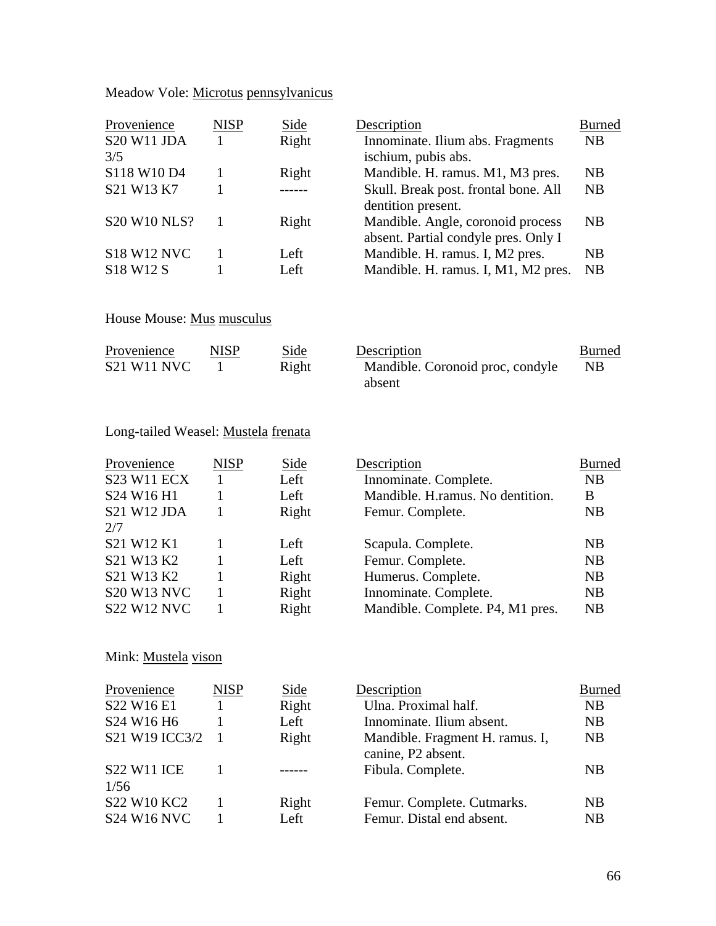| Meadow Vole: Microtus pennsylvanicus |  |
|--------------------------------------|--|
|--------------------------------------|--|

| Provenience                       | <b>NISP</b> | Side  | Description                          | <b>Burned</b> |
|-----------------------------------|-------------|-------|--------------------------------------|---------------|
| <b>S20 W11 JDA</b>                |             | Right | Innominate. Ilium abs. Fragments     | <b>NB</b>     |
| 3/5                               |             |       | ischium, pubis abs.                  |               |
| S118 W10 D4                       |             | Right | Mandible. H. ramus. M1, M3 pres.     | NB            |
| S21 W13 K7                        |             |       | Skull. Break post. frontal bone. All | <b>NB</b>     |
|                                   |             |       | dentition present.                   |               |
| <b>S20 W10 NLS?</b>               |             | Right | Mandible. Angle, coronoid process    | <b>NB</b>     |
|                                   |             |       | absent. Partial condyle pres. Only I |               |
| <b>S18 W12 NVC</b>                |             | Left  | Mandible. H. ramus. I, M2 pres.      | <b>NB</b>     |
| S <sub>18</sub> W <sub>12</sub> S |             | Left. | Mandible. H. ramus. I, M1, M2 pres.  | <b>NB</b>     |
|                                   |             |       |                                      |               |

# House Mouse: Mus musculus

| Provenience        | <b>NISP</b> | Side  | Description                      | <b>Burned</b>  |
|--------------------|-------------|-------|----------------------------------|----------------|
| <b>S21 W11 NVC</b> |             | Right | Mandible. Coronoid proc. condyle | N <sub>B</sub> |
|                    |             |       | absent                           |                |

## Long-tailed Weasel: Mustela frenata

| Provenience<br><b>S23 W11 ECX</b> | <b>NISP</b> | Side<br>Left | Description<br>Innominate. Complete. | <b>Burned</b><br>NB |
|-----------------------------------|-------------|--------------|--------------------------------------|---------------------|
| S24 W16 H1                        |             | Left         | Mandible. H.ramus. No dentition.     | B                   |
| <b>S21 W12 JDA</b>                |             | Right        | Femur. Complete.                     | NB                  |
| 2/7                               |             |              |                                      |                     |
| S21 W12 K1                        |             | Left         | Scapula. Complete.                   | <b>NB</b>           |
| S21 W13 K2                        |             | Left         | Femur. Complete.                     | NB                  |
| S21 W13 K2                        |             | Right        | Humerus. Complete.                   | <b>NB</b>           |
| <b>S20 W13 NVC</b>                |             | Right        | Innominate. Complete.                | NB                  |
| <b>S22 W12 NVC</b>                |             | Right        | Mandible. Complete. P4, M1 pres.     | <b>NB</b>           |

Mink: Mustela vison

| Provenience                                    | <b>NISP</b> | Side  | Description                                           | <b>Burned</b> |
|------------------------------------------------|-------------|-------|-------------------------------------------------------|---------------|
| S22 W16 E1                                     |             | Right | Ulna. Proximal half.                                  | <b>NB</b>     |
| S <sub>24</sub> W <sub>16</sub> H <sub>6</sub> |             | Left  | Innominate. Ilium absent.                             | NB            |
| S21 W19 ICC3/2                                 |             | Right | Mandible. Fragment H. ramus. I,<br>canine, P2 absent. | <b>NB</b>     |
| <b>S22 W11 ICE</b><br>1/56                     |             |       | Fibula. Complete.                                     | <b>NB</b>     |
| S22 W10 KC2                                    |             | Right | Femur. Complete. Cutmarks.                            | <b>NB</b>     |
| <b>S24 W16 NVC</b>                             |             | Left  | Femur. Distal end absent.                             | <b>NB</b>     |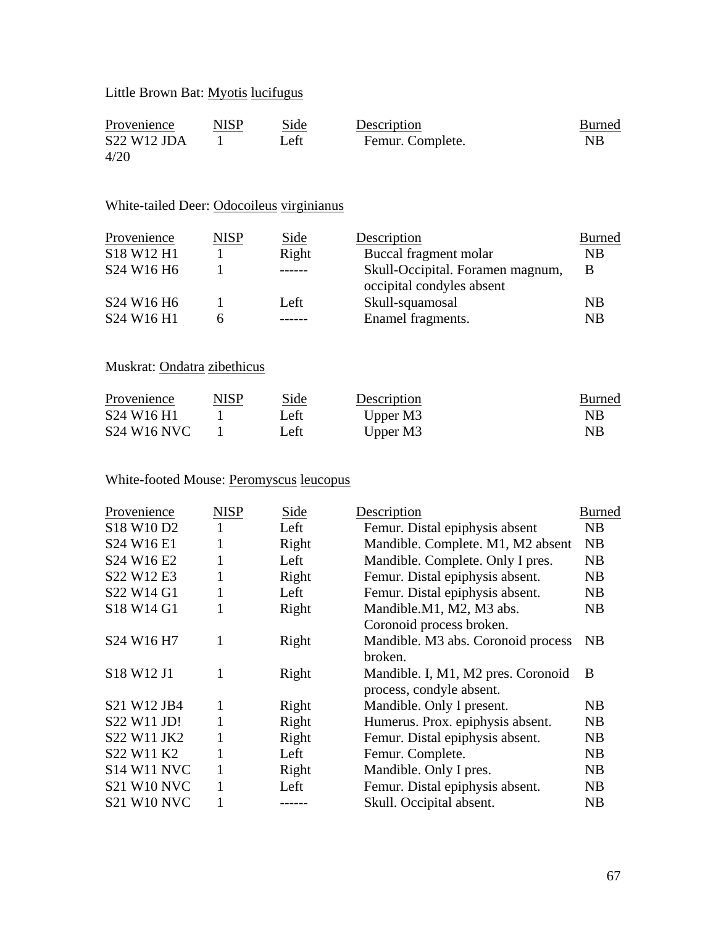## Little Brown Bat: Myotis lucifugus

| Provenience        | <b>NISP</b> | Side | Description      | Burned    |
|--------------------|-------------|------|------------------|-----------|
| <b>S22 W12 JDA</b> |             | Left | Femur. Complete. | <b>NB</b> |
| 4/20               |             |      |                  |           |

### White-tailed Deer: Odocoileus virginianus

| Provenience                                    | <b>NISP</b> | Side  | Description                                                   | <b>Burned</b> |
|------------------------------------------------|-------------|-------|---------------------------------------------------------------|---------------|
| S18 W12 H1                                     |             | Right | Buccal fragment molar                                         | <b>NB</b>     |
| S24 W16 H6                                     |             |       | Skull-Occipital. Foramen magnum,<br>occipital condyles absent | B             |
| S <sub>24</sub> W <sub>16</sub> H <sub>6</sub> |             | Left  | Skull-squamosal                                               | <b>NB</b>     |
| S24 W16 H1                                     |             |       | Enamel fragments.                                             | NB            |

### Muskrat: Ondatra zibethicus

| Provenience                                    | <b>NISP</b> | Side | Description | Burned |
|------------------------------------------------|-------------|------|-------------|--------|
| S <sub>24</sub> W <sub>16</sub> H <sub>1</sub> |             | Left | Upper M3    | NB.    |
| <b>S24 W16 NVC</b>                             |             | Left | Upper M3    | NB.    |

## White-footed Mouse: Peromyscus leucopus

| Provenience                                    | <b>NISP</b> | Side  | Description                        | Burned         |
|------------------------------------------------|-------------|-------|------------------------------------|----------------|
| S18 W10 D2                                     |             | Left  | Femur. Distal epiphysis absent     | NB             |
| S24 W16 E1                                     | 1           | Right | Mandible. Complete. M1, M2 absent  | NB             |
| S <sub>24</sub> W <sub>16</sub> E <sub>2</sub> | 1           | Left  | Mandible. Complete. Only I pres.   | NB             |
| S22 W12 E3                                     |             | Right | Femur. Distal epiphysis absent.    | NB             |
| S22 W14 G1                                     |             | Left  | Femur. Distal epiphysis absent.    | N <sub>B</sub> |
| S18 W14 G1                                     | 1           | Right | Mandible.M1, M2, M3 abs.           | NB             |
|                                                |             |       | Coronoid process broken.           |                |
| S24 W16 H7                                     | 1           | Right | Mandible. M3 abs. Coronoid process | <b>NB</b>      |
|                                                |             |       | broken.                            |                |
| S18 W12 J1                                     | 1           | Right | Mandible. I, M1, M2 pres. Coronoid | B              |
|                                                |             |       | process, condyle absent.           |                |
| S21 W12 JB4                                    | 1           | Right | Mandible. Only I present.          | N <sub>B</sub> |
| S22 W11 JD!                                    | 1           | Right | Humerus. Prox. epiphysis absent.   | NB             |
| S22 W11 JK2                                    | 1           | Right | Femur. Distal epiphysis absent.    | N <sub>B</sub> |
| S22 W11 K2                                     | 1           | Left  | Femur. Complete.                   | NB             |
| <b>S14 W11 NVC</b>                             | 1           | Right | Mandible. Only I pres.             | N <sub>B</sub> |
| <b>S21 W10 NVC</b>                             |             | Left  | Femur. Distal epiphysis absent.    | NB             |
| <b>S21 W10 NVC</b>                             |             |       | Skull. Occipital absent.           | N <sub>B</sub> |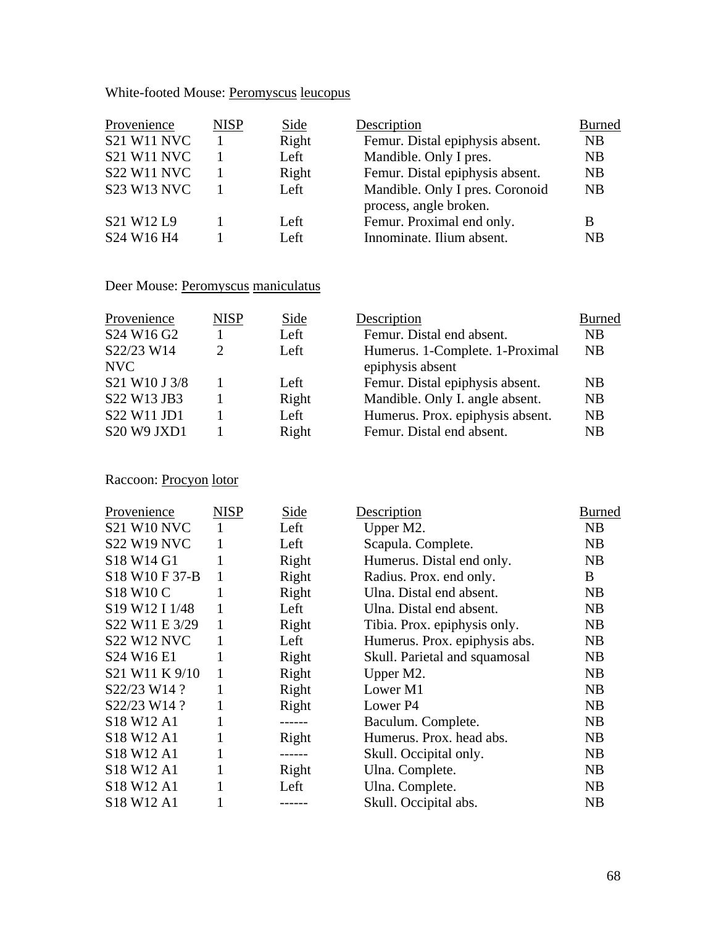White-footed Mouse: Peromyscus leucopus

| <b>NISP</b> | Side         | Description                                            | <b>Burned</b>          |
|-------------|--------------|--------------------------------------------------------|------------------------|
|             | Right        | Femur. Distal epiphysis absent.                        | <b>NB</b>              |
|             | Left         | Mandible. Only I pres.                                 | <b>NB</b>              |
|             | Right        | Femur. Distal epiphysis absent.                        | NB                     |
|             | Left         | Mandible. Only I pres. Coronoid                        | NB                     |
|             | Left<br>Left | Femur. Proximal end only.<br>Innominate. Ilium absent. | B<br>NB                |
|             |              |                                                        | process, angle broken. |

**Description** Burned Femur. Distal end absent. NB

Femur. Distal epiphysis absent. NB<br>Mandible. Only I. angle absent. NB

Humerus. Prox. epiphysis absent. NB Femur. Distal end absent. NB

NB

Humerus. 1-Complete. 1-Proximal

Mandible. Only I. angle absent.

epiphysis absent

### Deer Mouse: Peromyscus maniculatus

| <b>NISP</b> | Side  |
|-------------|-------|
|             | Left  |
| 2           | Left  |
|             |       |
| 1           | Left  |
| 1           | Right |
|             | Left  |
|             | Right |
|             |       |

Raccoon: Procyon lotor

| Provenience                                    | <b>NISP</b>  | Side   | Description                   | <b>Burned</b> |
|------------------------------------------------|--------------|--------|-------------------------------|---------------|
| <b>S21 W10 NVC</b>                             | 1            | Left   | Upper M2.                     | NB            |
| <b>S22 W19 NVC</b>                             | 1            | Left   | Scapula. Complete.            | NB            |
| S18 W14 G1                                     | 1            | Right  | Humerus. Distal end only.     | <b>NB</b>     |
| S18 W10 F 37-B                                 | 1            | Right  | Radius. Prox. end only.       | B             |
| S18 W10 C                                      | 1            | Right  | Ulna. Distal end absent.      | <b>NB</b>     |
| S19 W12 I 1/48                                 | 1            | Left   | Ulna. Distal end absent.      | NB            |
| S22 W11 E 3/29                                 | 1            | Right  | Tibia. Prox. epiphysis only.  | NB            |
| <b>S22 W12 NVC</b>                             | 1            | Left   | Humerus. Prox. epiphysis abs. | <b>NB</b>     |
| S24 W16 E1                                     | 1            | Right  | Skull. Parietal and squamosal | NB            |
| S21 W11 K 9/10                                 | 1            | Right  | Upper M2.                     | NB            |
| S22/23 W14?                                    | $\mathbf{1}$ | Right  | Lower M1                      | NB            |
| S22/23 W14 ?                                   | 1            | Right  | Lower P4                      | NB            |
| S18 W12 A1                                     | 1            | ------ | Baculum. Complete.            | NB            |
| S18 W12 A1                                     | 1            | Right  | Humerus. Prox. head abs.      | <b>NB</b>     |
| S <sub>18</sub> W <sub>12</sub> A <sub>1</sub> | 1            | ------ | Skull. Occipital only.        | NB            |
| S18 W12 A1                                     | 1            | Right  | Ulna. Complete.               | NB            |
| S18 W12 A1                                     |              | Left   | Ulna. Complete.               | NB            |
| S18 W12 A1                                     |              |        | Skull. Occipital abs.         | NB            |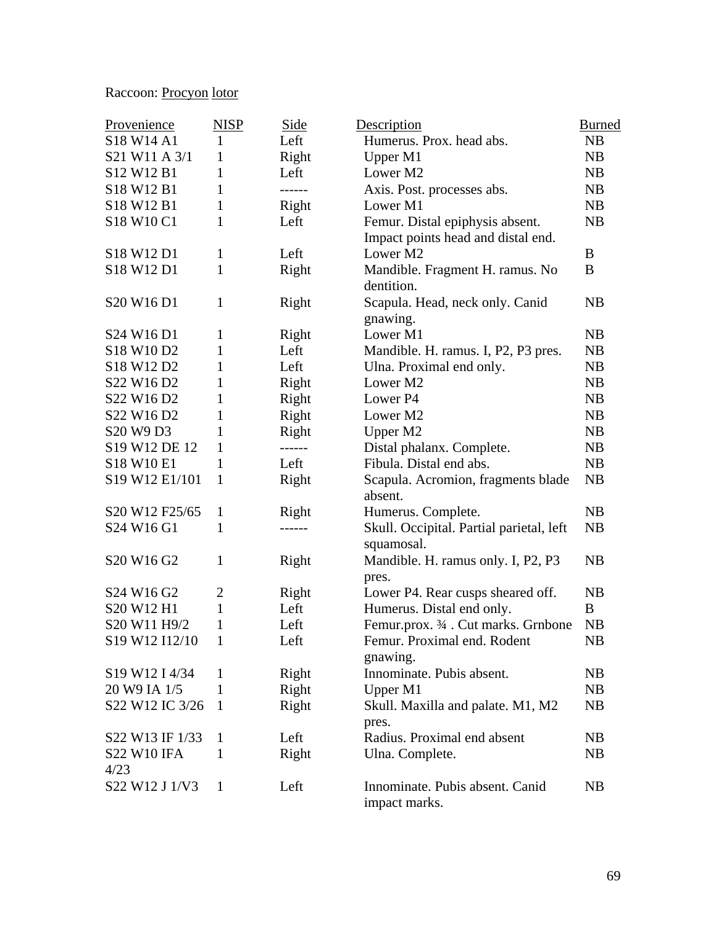## Raccoon: Procyon lotor

| Provenience                                                     | <b>NISP</b>    | Side   | Description                              | <b>Burned</b> |
|-----------------------------------------------------------------|----------------|--------|------------------------------------------|---------------|
| S18 W14 A1                                                      | 1              | Left   | Humerus. Prox. head abs.                 | NB            |
| S21 W11 A 3/1                                                   | 1              | Right  | Upper M1                                 | <b>NB</b>     |
| S <sub>12</sub> W <sub>12</sub> B <sub>1</sub>                  | 1              | Left   | Lower M2                                 | NB            |
| S18 W12 B1                                                      | 1              | ------ | Axis. Post. processes abs.               | <b>NB</b>     |
| S18 W12 B1                                                      | 1              | Right  | Lower M1                                 | <b>NB</b>     |
| S18 W10 C1                                                      | 1              | Left   | Femur. Distal epiphysis absent.          | NB            |
|                                                                 |                |        | Impact points head and distal end.       |               |
| S18 W12 D1                                                      | $\mathbf{1}$   | Left   | Lower M2                                 | B             |
| S18 W12 D1                                                      | $\mathbf{1}$   | Right  | Mandible. Fragment H. ramus. No          | B             |
|                                                                 |                |        | dentition.                               |               |
| S <sub>20</sub> W <sub>16</sub> D <sub>1</sub>                  | 1              | Right  | Scapula. Head, neck only. Canid          | NB            |
|                                                                 |                |        | gnawing.                                 |               |
| S24 W16 D1                                                      | $\mathbf{1}$   | Right  | Lower M1                                 | <b>NB</b>     |
| S18 W10 D2                                                      | 1              | Left   | Mandible. H. ramus. I, P2, P3 pres.      | NB            |
| S <sub>18</sub> W <sub>12</sub> D <sub>2</sub>                  | $\mathbf{1}$   | Left   | Ulna. Proximal end only.                 | NB            |
| S22 W16 D2                                                      | 1              | Right  | Lower M2                                 | NB            |
| S22 W16 D2                                                      | 1              | Right  | Lower P4                                 | <b>NB</b>     |
| S22 W16 D2                                                      | 1              | Right  | Lower M2                                 | <b>NB</b>     |
| S <sub>20</sub> W <sub>9</sub> D <sub>3</sub>                   | 1              | Right  | Upper M2                                 | NB            |
| S <sub>19</sub> W <sub>12</sub> DE <sub>12</sub>                | 1              | ------ | Distal phalanx. Complete.                | <b>NB</b>     |
| S18 W10 E1                                                      | 1              | Left   | Fibula. Distal end abs.                  | NB            |
| S19 W12 E1/101                                                  | $\mathbf{1}$   | Right  | Scapula. Acromion, fragments blade       | NB            |
|                                                                 |                |        | absent.                                  |               |
| S20 W12 F25/65                                                  | 1              | Right  | Humerus. Complete.                       | NB            |
| S24 W16 G1                                                      | 1              | ------ | Skull. Occipital. Partial parietal, left | NB            |
|                                                                 |                |        | squamosal.                               |               |
| S <sub>20</sub> W <sub>16</sub> G <sub>2</sub>                  | 1              | Right  | Mandible. H. ramus only. I, P2, P3       | NB            |
|                                                                 |                |        | pres.                                    |               |
| S <sub>24</sub> W <sub>16</sub> G <sub>2</sub>                  | $\overline{2}$ | Right  | Lower P4. Rear cusps sheared off.        | NB            |
| S20 W12 H1                                                      | $\mathbf{1}$   | Left   | Humerus. Distal end only.                | B             |
| S20 W11 H9/2                                                    | 1              | Left   | Femur.prox. 3/4 . Cut marks. Grnbone     | NB            |
| S <sub>19</sub> W <sub>12</sub> I <sub>12</sub> / <sub>10</sub> | 1              | Left   | Femur. Proximal end. Rodent              | <b>NB</b>     |
|                                                                 |                |        | gnawing.                                 |               |
| S19 W12 I 4/34                                                  | 1              | Right  | Innominate. Pubis absent.                | NB            |
| 20 W9 IA 1/5                                                    | 1              | Right  | Upper M1                                 | NB            |
| S22 W12 IC 3/26                                                 | 1              | Right  | Skull. Maxilla and palate. M1, M2        | NB            |
|                                                                 |                |        | pres.                                    |               |
| S22 W13 IF 1/33                                                 | 1              | Left   | Radius. Proximal end absent              | NB            |
| <b>S22 W10 IFA</b>                                              | $\mathbf{1}$   | Right  | Ulna. Complete.                          | NB            |
| 4/23                                                            |                |        |                                          |               |
| S22 W12 J 1/V3                                                  | $\mathbf{1}$   | Left   | Innominate. Pubis absent. Canid          | NB            |
|                                                                 |                |        | impact marks.                            |               |
|                                                                 |                |        |                                          |               |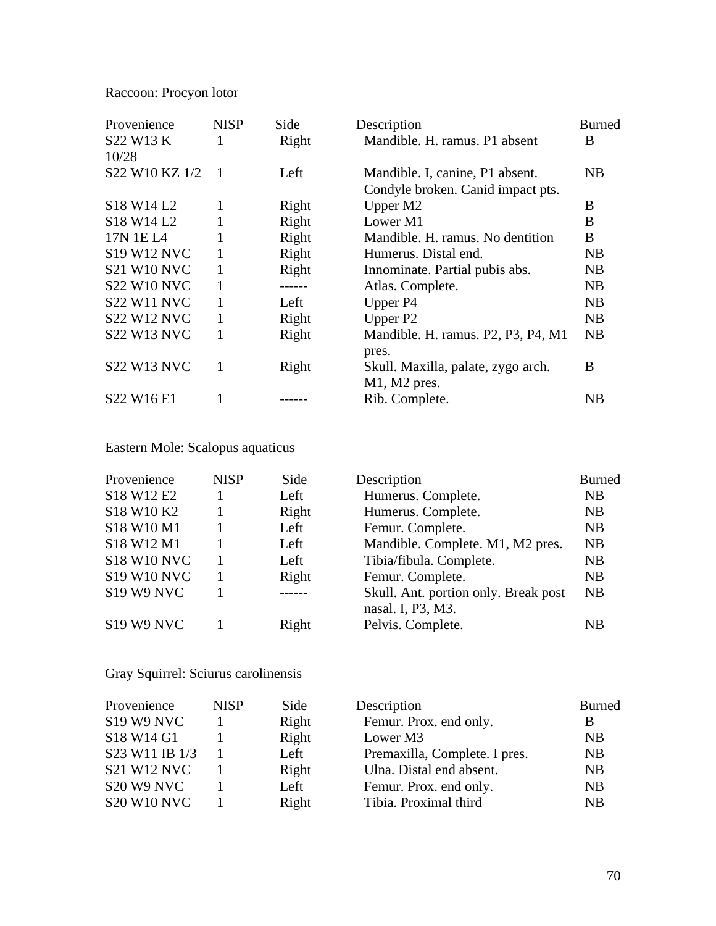## Raccoon: Procyon lotor

| Provenience                                    | <b>NISP</b> | Side   | Description                        | Burned |
|------------------------------------------------|-------------|--------|------------------------------------|--------|
| S22 W13 K                                      |             | Right  | Mandible, H. ramus, P1 absent      | B      |
| 10/28                                          |             |        |                                    |        |
| S22 W10 KZ 1/2                                 |             | Left   | Mandible. I, canine, P1 absent.    | NB     |
|                                                |             |        | Condyle broken. Canid impact pts.  |        |
| S <sub>18</sub> W <sub>14</sub> L <sub>2</sub> | 1           | Right  | Upper M2                           | B      |
| S <sub>18</sub> W <sub>14</sub> L <sub>2</sub> |             | Right  | Lower M1                           | B      |
| 17N 1E L <sub>4</sub>                          |             | Right  | Mandible. H. ramus. No dentition   | B      |
| <b>S19 W12 NVC</b>                             |             | Right  | Humerus. Distal end.               | NB     |
| <b>S21 W10 NVC</b>                             | 1           | Right  | Innominate. Partial pubis abs.     | NB     |
| <b>S22 W10 NVC</b>                             | 1           | ------ | Atlas. Complete.                   | NB     |
| <b>S22 W11 NVC</b>                             |             | Left   | Upper P4                           | NB     |
| <b>S22 W12 NVC</b>                             |             | Right  | Upper P <sub>2</sub>               | NB     |
| <b>S22 W13 NVC</b>                             |             | Right  | Mandible. H. ramus. P2, P3, P4, M1 | NB     |
|                                                |             |        | pres.                              |        |
| <b>S22 W13 NVC</b>                             | 1           | Right  | Skull. Maxilla, palate, zygo arch. | B      |
|                                                |             |        | $M1$ , $M2$ pres.                  |        |
| S22 W16 E1                                     |             |        | Rib. Complete.                     | NB     |

## Eastern Mole: Scalopus aquaticus

| Provenience        | <b>NISP</b> | Side  | Description                                               | <b>Burned</b> |
|--------------------|-------------|-------|-----------------------------------------------------------|---------------|
| S18 W12 E2         |             | Left  | Humerus. Complete.                                        | <b>NB</b>     |
| S18 W10 K2         |             | Right | Humerus. Complete.                                        | <b>NB</b>     |
| S18 W10 M1         |             | Left  | Femur. Complete.                                          | NB            |
| S18 W12 M1         |             | Left  | Mandible. Complete. M1, M2 pres.                          | <b>NB</b>     |
| <b>S18 W10 NVC</b> |             | Left  | Tibia/fibula. Complete.                                   | NB            |
| <b>S19 W10 NVC</b> |             | Right | Femur. Complete.                                          | <b>NB</b>     |
| <b>S19 W9 NVC</b>  |             |       | Skull. Ant. portion only. Break post<br>nasal. I, P3, M3. | <b>NB</b>     |
| <b>S19 W9 NVC</b>  |             | Right | Pelvis. Complete.                                         | <b>NB</b>     |

## Gray Squirrel: Sciurus carolinensis

| Provenience                        | <b>NISP</b> | Side  | Description                   | <b>Burned</b>  |
|------------------------------------|-------------|-------|-------------------------------|----------------|
| <b>S19 W9 NVC</b>                  |             | Right | Femur. Prox. end only.        | B              |
| S18 W14 G1                         |             | Right | Lower M3                      | <b>NB</b>      |
| S23 W11 IB 1/3                     |             | Left  | Premaxilla, Complete. I pres. | <b>NB</b>      |
| <b>S21 W12 NVC</b>                 |             | Right | Ulna. Distal end absent.      | <b>NB</b>      |
| S <sub>20</sub> W <sub>9</sub> NVC |             | Left  | Femur. Prox. end only.        | N <sub>B</sub> |
| <b>S20 W10 NVC</b>                 |             | Right | Tibia. Proximal third         | <b>NB</b>      |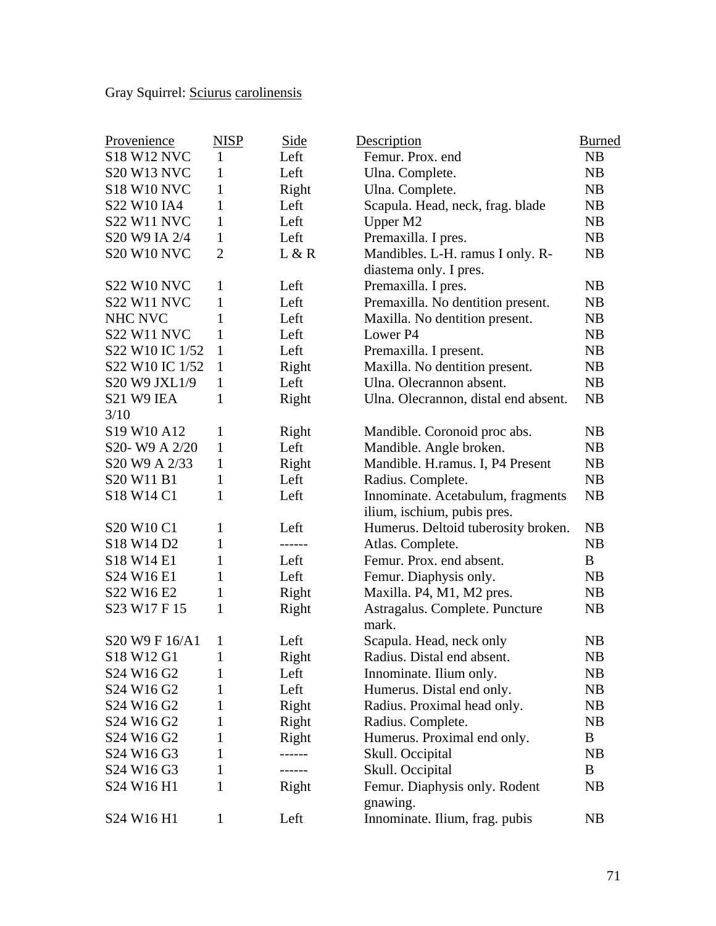Gray Squirrel: Sciurus carolinensis

| Provenience                                    | <b>NISP</b>    | Side   | Description                          | <b>Burned</b>  |
|------------------------------------------------|----------------|--------|--------------------------------------|----------------|
| <b>S18 W12 NVC</b>                             | 1              | Left   | Femur. Prox. end                     | <b>NB</b>      |
| <b>S20 W13 NVC</b>                             | 1              | Left   | Ulna. Complete.                      | NB             |
| <b>S18 W10 NVC</b>                             | 1              | Right  | Ulna. Complete.                      | <b>NB</b>      |
| S22 W10 IA4                                    | 1              | Left   | Scapula. Head, neck, frag. blade     | NB             |
| <b>S22 W11 NVC</b>                             | $\mathbf{1}$   | Left   | Upper M2                             | NB             |
| S20 W9 IA 2/4                                  | $\mathbf{1}$   | Left   | Premaxilla. I pres.                  | NB             |
| <b>S20 W10 NVC</b>                             | $\overline{2}$ | L & R  | Mandibles. L-H. ramus I only. R-     | NB             |
|                                                |                |        | diastema only. I pres.               |                |
| <b>S22 W10 NVC</b>                             | 1              | Left   | Premaxilla. I pres.                  | <b>NB</b>      |
| <b>S22 W11 NVC</b>                             | 1              | Left   | Premaxilla. No dentition present.    | <b>NB</b>      |
| NHC NVC                                        | 1              | Left   | Maxilla. No dentition present.       | <b>NB</b>      |
| <b>S22 W11 NVC</b>                             | $\mathbf{1}$   | Left   | Lower P4                             | <b>NB</b>      |
| S22 W10 IC 1/52                                | 1              | Left   | Premaxilla. I present.               | NB             |
| S22 W10 IC 1/52                                | $\mathbf{1}$   | Right  | Maxilla. No dentition present.       | <b>NB</b>      |
| S20 W9 JXL1/9                                  | $\mathbf{1}$   | Left   | Ulna. Olecrannon absent.             | NB             |
| S21 W9 IEA                                     | 1              | Right  | Ulna. Olecrannon, distal end absent. | NB             |
| 3/10                                           |                |        |                                      |                |
| S19 W10 A12                                    | $\mathbf{1}$   | Right  | Mandible. Coronoid proc abs.         | NB             |
| S20-W9 A 2/20                                  | $\mathbf{1}$   | Left   | Mandible. Angle broken.              | NB             |
| S20 W9 A 2/33                                  | 1              | Right  | Mandible. H.ramus. I, P4 Present     | NB             |
| S20 W11 B1                                     | 1              | Left   | Radius. Complete.                    | NB             |
| S18 W14 C1                                     | 1              | Left   | Innominate. Acetabulum, fragments    | NB             |
|                                                |                |        | ilium, ischium, pubis pres.          |                |
| S20 W10 C1                                     | $\mathbf{1}$   | Left   | Humerus. Deltoid tuberosity broken.  | NB             |
| S18 W14 D2                                     | $\mathbf{1}$   | ------ | Atlas. Complete.                     | NB             |
| S18 W14 E1                                     | 1              | Left   | Femur. Prox. end absent.             | B              |
| S24 W16 E1                                     | $\mathbf{1}$   | Left   | Femur. Diaphysis only.               | <b>NB</b>      |
| S22 W16 E2                                     | $\mathbf{1}$   | Right  | Maxilla. P4, M1, M2 pres.            | <b>NB</b>      |
| S23 W17 F 15                                   | $\mathbf{1}$   | Right  | Astragalus. Complete. Puncture       | <b>NB</b>      |
|                                                |                |        | mark.                                |                |
| S20 W9 F 16/A1                                 | 1              | Left   | Scapula. Head, neck only             | NB             |
| S18 W12 G1                                     | $\mathbf{1}$   | Right  | Radius. Distal end absent.           | NB             |
| S24 W16 G2                                     | 1              | Left   | Innominate. Ilium only.              | NB             |
| S24 W16 G2                                     | 1              | Left   | Humerus. Distal end only.            | N <sub>B</sub> |
| S <sub>24</sub> W <sub>16</sub> G <sub>2</sub> | 1              | Right  | Radius. Proximal head only.          | NB             |
| S24 W16 G2                                     | 1              | Right  | Radius. Complete.                    | N <sub>B</sub> |
| S <sub>24</sub> W <sub>16</sub> G <sub>2</sub> | 1              | Right  | Humerus. Proximal end only.          | B              |
| S <sub>24</sub> W <sub>16</sub> G <sub>3</sub> | 1              | ------ | Skull. Occipital                     | NB             |
| S24 W16 G3                                     | 1              | ------ | Skull. Occipital                     | B              |
| S24 W16 H1                                     | 1              | Right  | Femur. Diaphysis only. Rodent        | NB             |
|                                                |                |        | gnawing.                             |                |
| S24 W16 H1                                     | $\mathbf{1}$   | Left   | Innominate. Ilium, frag. pubis       | N <sub>B</sub> |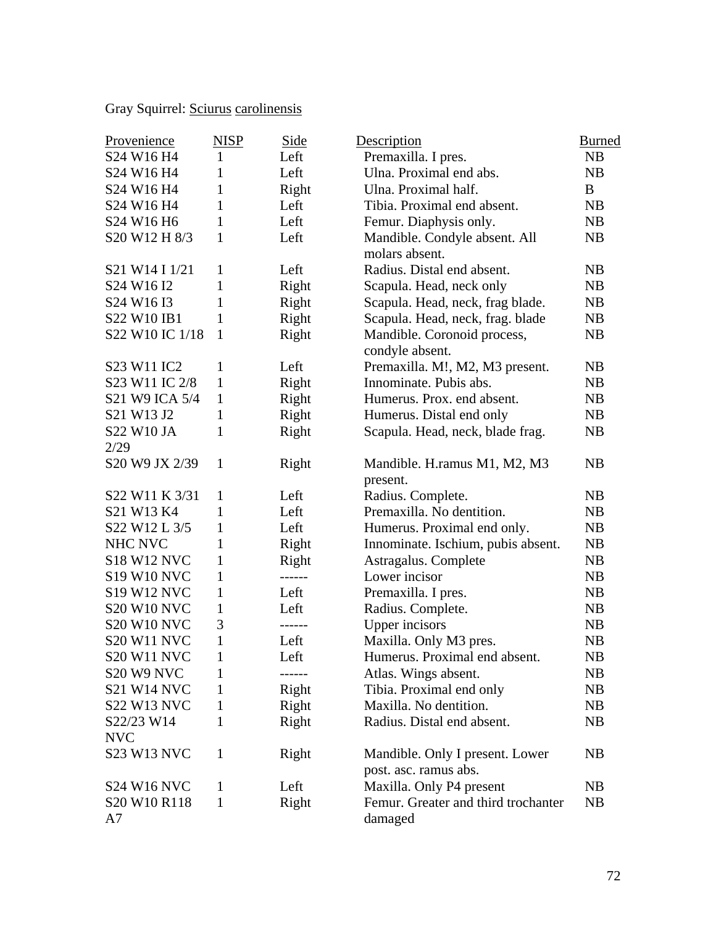Gray Squirrel: Sciurus carolinensis

| Provenience                                    | <b>NISP</b>  | <b>Side</b> | Description                         | <b>Burned</b> |
|------------------------------------------------|--------------|-------------|-------------------------------------|---------------|
| S24 W16 H4                                     | 1            | Left        | Premaxilla. I pres.                 | <b>NB</b>     |
| S24 W16 H4                                     | 1            | Left        | Ulna. Proximal end abs.             | NB            |
| S24 W16 H4                                     | 1            | Right       | Ulna. Proximal half.                | B             |
| S24 W16 H4                                     | 1            | Left        | Tibia. Proximal end absent.         | <b>NB</b>     |
| S24 W16 H6                                     | $\mathbf{1}$ | Left        | Femur. Diaphysis only.              | NB            |
| S20 W12 H 8/3                                  | 1            | Left        | Mandible. Condyle absent. All       | NB            |
|                                                |              |             | molars absent.                      |               |
| S21 W14 I 1/21                                 | 1            | Left        | Radius. Distal end absent.          | <b>NB</b>     |
| S24 W16 I2                                     | 1            | Right       | Scapula. Head, neck only            | <b>NB</b>     |
| S <sub>24</sub> W <sub>16</sub> I <sub>3</sub> | 1            | Right       | Scapula. Head, neck, frag blade.    | NB            |
| S22 W10 IB1                                    | 1            | Right       | Scapula. Head, neck, frag. blade    | NB            |
| S22 W10 IC 1/18                                | $\mathbf{1}$ | Right       | Mandible. Coronoid process,         | NB            |
|                                                |              |             | condyle absent.                     |               |
| S23 W11 IC2                                    | 1            | Left        | Premaxilla. M!, M2, M3 present.     | NB            |
| S23 W11 IC 2/8                                 | $\mathbf{1}$ | Right       | Innominate. Pubis abs.              | NB            |
| S21 W9 ICA 5/4                                 | $\mathbf{1}$ | Right       | Humerus. Prox. end absent.          | <b>NB</b>     |
| S21 W13 J2                                     | $\mathbf{1}$ | Right       | Humerus. Distal end only            | <b>NB</b>     |
| S22 W10 JA                                     | 1            | Right       | Scapula. Head, neck, blade frag.    | NB            |
| 2/29                                           |              |             |                                     |               |
| S20 W9 JX 2/39                                 | $\mathbf{1}$ | Right       | Mandible. H.ramus M1, M2, M3        | NB            |
|                                                |              |             | present.                            |               |
| S22 W11 K 3/31                                 | 1            | Left        | Radius. Complete.                   | <b>NB</b>     |
| S21 W13 K4                                     | 1            | Left        | Premaxilla. No dentition.           | <b>NB</b>     |
| S22 W12 L 3/5                                  | $\mathbf{1}$ | Left        | Humerus. Proximal end only.         | <b>NB</b>     |
| NHC NVC                                        | 1            | Right       | Innominate. Ischium, pubis absent.  | NB            |
| <b>S18 W12 NVC</b>                             | 1            | Right       | Astragalus. Complete                | <b>NB</b>     |
| <b>S19 W10 NVC</b>                             | $\mathbf{1}$ | ------      | Lower incisor                       | <b>NB</b>     |
| <b>S19 W12 NVC</b>                             | $\mathbf{1}$ | Left        | Premaxilla. I pres.                 | NB            |
| <b>S20 W10 NVC</b>                             | $\mathbf{1}$ | Left        | Radius. Complete.                   | <b>NB</b>     |
| <b>S20 W10 NVC</b>                             | 3            | ------      | <b>Upper</b> incisors               | <b>NB</b>     |
| <b>S20 W11 NVC</b>                             | $\mathbf{1}$ | Left        | Maxilla. Only M3 pres.              | NB            |
| S20 W11 NVC                                    | $\mathbf{1}$ | Left        | Humerus. Proximal end absent.       | NB            |
| S20 W9 NVC                                     | 1            | ------      | Atlas. Wings absent.                | NB            |
| <b>S21 W14 NVC</b>                             | 1            | Right       | Tibia. Proximal end only            | NB            |
| <b>S22 W13 NVC</b>                             | 1            | Right       | Maxilla. No dentition.              | NB            |
| S22/23 W14                                     | 1            | Right       | Radius. Distal end absent.          | NB            |
| <b>NVC</b>                                     |              |             |                                     |               |
| <b>S23 W13 NVC</b>                             | $\mathbf 1$  | Right       | Mandible. Only I present. Lower     | NB            |
|                                                |              |             | post. asc. ramus abs.               |               |
| <b>S24 W16 NVC</b>                             | 1            | Left        | Maxilla. Only P4 present            | <b>NB</b>     |
| S20 W10 R118                                   | 1            | Right       | Femur. Greater and third trochanter | NB            |
| A7                                             |              |             | damaged                             |               |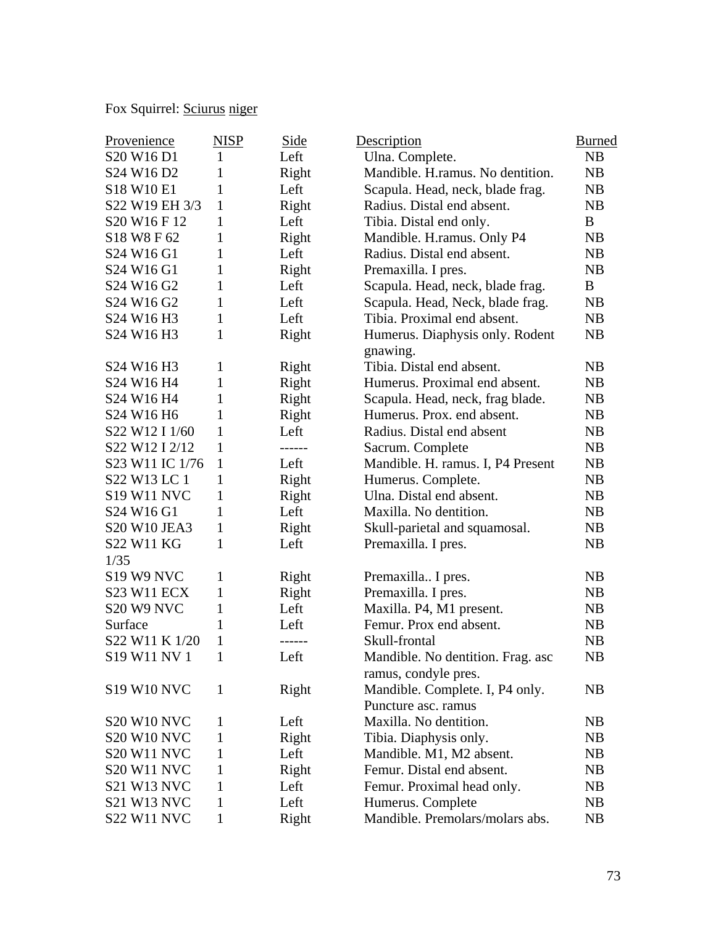# Fox Squirrel: Sciurus niger

| Provenience                                     | <b>NISP</b>  | Side   | Description                       | <b>Burned</b> |
|-------------------------------------------------|--------------|--------|-----------------------------------|---------------|
| S <sub>20</sub> W <sub>16</sub> D <sub>1</sub>  | 1            | Left   | Ulna. Complete.                   | NB            |
| S <sub>24</sub> W <sub>16</sub> D <sub>2</sub>  | 1            | Right  | Mandible. H.ramus. No dentition.  | NB            |
| S18 W10 E1                                      | 1            | Left   | Scapula. Head, neck, blade frag.  | NB            |
| S22 W19 EH 3/3                                  | $\mathbf{1}$ | Right  | Radius. Distal end absent.        | NB            |
| S <sub>20</sub> W <sub>16</sub> F <sub>12</sub> | 1            | Left   | Tibia. Distal end only.           | B             |
| S18 W8 F 62                                     | 1            | Right  | Mandible. H.ramus. Only P4        | NB            |
| S <sub>24</sub> W <sub>16</sub> G <sub>1</sub>  | 1            | Left   | Radius. Distal end absent.        | NB            |
| S24 W16 G1                                      | 1            | Right  | Premaxilla. I pres.               | NB            |
| S <sub>24</sub> W <sub>16</sub> G <sub>2</sub>  | 1            | Left   | Scapula. Head, neck, blade frag.  | B             |
| S <sub>24</sub> W <sub>16</sub> G <sub>2</sub>  | 1            | Left   | Scapula. Head, Neck, blade frag.  | <b>NB</b>     |
| S24 W16 H3                                      | $\mathbf{1}$ | Left   | Tibia. Proximal end absent.       | NB            |
| S24 W16 H3                                      | 1            | Right  | Humerus. Diaphysis only. Rodent   | NB            |
|                                                 |              |        | gnawing.                          |               |
| S24 W16 H3                                      | 1            | Right  | Tibia. Distal end absent.         | NB            |
| S24 W16 H4                                      | 1            | Right  | Humerus. Proximal end absent.     | NB            |
| S24 W16 H4                                      | 1            | Right  | Scapula. Head, neck, frag blade.  | <b>NB</b>     |
| S24 W16 H6                                      | 1            | Right  | Humerus. Prox. end absent.        | NB            |
| S22 W12 I 1/60                                  | 1            | Left   | Radius. Distal end absent         | NB            |
| S22 W12 I 2/12                                  | 1            | ------ | Sacrum. Complete                  | NB            |
| S23 W11 IC 1/76                                 | 1            | Left   | Mandible. H. ramus. I, P4 Present | NB            |
| S22 W13 LC 1                                    | 1            | Right  | Humerus. Complete.                | NB            |
| <b>S19 W11 NVC</b>                              | 1            | Right  | Ulna. Distal end absent.          | NB            |
| S <sub>24</sub> W <sub>16</sub> G <sub>1</sub>  | 1            | Left   | Maxilla. No dentition.            | NB            |
| <b>S20 W10 JEA3</b>                             | 1            | Right  | Skull-parietal and squamosal.     | NB            |
| <b>S22 W11 KG</b>                               | 1            | Left   | Premaxilla. I pres.               | NB            |
| 1/35                                            |              |        |                                   |               |
| <b>S19 W9 NVC</b>                               | 1            | Right  | Premaxilla I pres.                | NB            |
| <b>S23 W11 ECX</b>                              | 1            | Right  | Premaxilla. I pres.               | NB            |
| S20 W9 NVC                                      | 1            | Left   | Maxilla. P4, M1 present.          | <b>NB</b>     |
| Surface                                         | 1            | Left   | Femur. Prox end absent.           | NB            |
| S22 W11 K 1/20                                  | 1            | ------ | Skull-frontal                     | NB            |
| S19 W11 NV 1                                    | 1            | Left   | Mandible. No dentition. Frag. asc | NB            |
|                                                 |              |        | ramus, condyle pres.              |               |
| <b>S19 W10 NVC</b>                              | 1            | Right  | Mandible. Complete. I, P4 only.   | NB            |
|                                                 |              |        | Puncture asc. ramus               |               |
| <b>S20 W10 NVC</b>                              | 1            | Left   | Maxilla. No dentition.            | NB            |
| <b>S20 W10 NVC</b>                              | 1            | Right  | Tibia. Diaphysis only.            | NB            |
| <b>S20 W11 NVC</b>                              | 1            | Left   | Mandible. M1, M2 absent.          | NB            |
| <b>S20 W11 NVC</b>                              | 1            | Right  | Femur. Distal end absent.         | NB            |
| <b>S21 W13 NVC</b>                              | 1            | Left   | Femur. Proximal head only.        | NB            |
| <b>S21 W13 NVC</b>                              | 1            | Left   | Humerus. Complete                 | NB            |
| <b>S22 W11 NVC</b>                              | 1            | Right  | Mandible. Premolars/molars abs.   | NB            |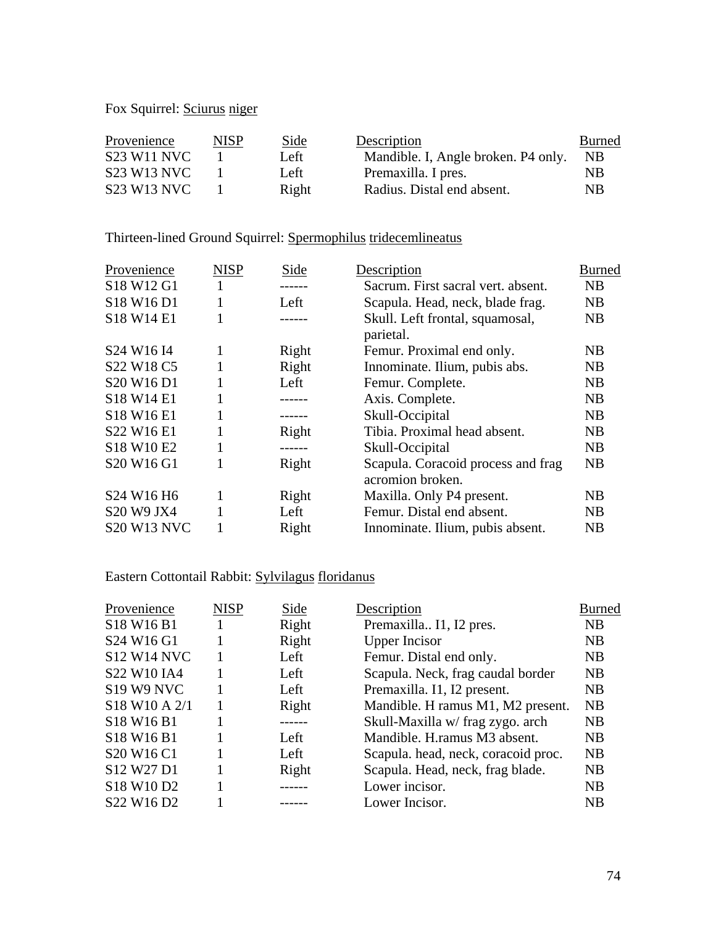### Fox Squirrel: **Sciurus** niger

| Provenience        | NISP | Side  | Description                         | <b>Burned</b> |
|--------------------|------|-------|-------------------------------------|---------------|
| <b>S23 W11 NVC</b> |      | Left  | Mandible. I, Angle broken. P4 only. | NB.           |
| <b>S23 W13 NVC</b> |      | Left  | Premaxilla. I pres.                 | NΒ            |
| S23 W13 NVC        |      | Right | Radius. Distal end absent.          | <b>NB</b>     |

## Thirteen-lined Ground Squirrel: Spermophilus tridecemlineatus

| Provenience                                    | <b>NISP</b> | Side   | Description                                            | Burned |
|------------------------------------------------|-------------|--------|--------------------------------------------------------|--------|
| S18 W12 G1                                     |             |        | Sacrum. First sacral vert. absent.                     | NB     |
| S18 W16 D1                                     | 1           | Left   | Scapula. Head, neck, blade frag.                       | NB     |
| S18 W14 E1                                     | 1           |        | Skull. Left frontal, squamosal,<br>parietal.           | NB     |
| S <sub>24</sub> W <sub>16</sub> I <sub>4</sub> | 1           | Right  | Femur. Proximal end only.                              | NB     |
| S <sub>22</sub> W <sub>18</sub> C <sub>5</sub> | 1           | Right  | Innominate. Ilium, pubis abs.                          | NB     |
| S <sub>20</sub> W <sub>16</sub> D <sub>1</sub> | 1           | Left   | Femur. Complete.                                       | NB     |
| S18 W14 E1                                     | 1           | ------ | Axis. Complete.                                        | NB     |
| S18 W16 E1                                     | 1           | ------ | Skull-Occipital                                        | NB     |
| S22 W16 E1                                     |             | Right  | Tibia. Proximal head absent.                           | NB     |
| S18 W10 E2                                     | 1           |        | Skull-Occipital                                        | NB     |
| S20 W16 G1                                     | 1           | Right  | Scapula. Coracoid process and frag<br>acromion broken. | NB     |
| S <sub>24</sub> W <sub>16</sub> H <sub>6</sub> | 1           | Right  | Maxilla. Only P4 present.                              | NB     |
| S20 W9 JX4                                     | 1           | Left   | Femur. Distal end absent.                              | NB     |
| <b>S20 W13 NVC</b>                             |             | Right  | Innominate. Ilium, pubis absent.                       | NB     |

## Eastern Cottontail Rabbit: Sylvilagus floridanus

| Provenience                                    | <b>NISP</b> | Side  | Description                         | <b>Burned</b> |
|------------------------------------------------|-------------|-------|-------------------------------------|---------------|
| S18 W16 B1                                     |             | Right | Premaxilla I1, I2 pres.             | <b>NB</b>     |
| S24 W16 G1                                     |             | Right | <b>Upper Incisor</b>                | <b>NB</b>     |
| <b>S12 W14 NVC</b>                             |             | Left  | Femur. Distal end only.             | <b>NB</b>     |
| S22 W10 IA4                                    |             | Left  | Scapula. Neck, frag caudal border   | <b>NB</b>     |
| <b>S19 W9 NVC</b>                              |             | Left  | Premaxilla. I1, I2 present.         | <b>NB</b>     |
| S18 W10 A 2/1                                  |             | Right | Mandible. H ramus M1, M2 present.   | <b>NB</b>     |
| S <sub>18</sub> W <sub>16</sub> B <sub>1</sub> |             |       | Skull-Maxilla w/ frag zygo. arch    | <b>NB</b>     |
| S <sub>18</sub> W <sub>16</sub> B <sub>1</sub> |             | Left  | Mandible. H. ramus M3 absent.       | <b>NB</b>     |
| S <sub>20</sub> W <sub>16</sub> C <sub>1</sub> |             | Left  | Scapula. head, neck, coracoid proc. | <b>NB</b>     |
| S12 W27 D1                                     |             | Right | Scapula. Head, neck, frag blade.    | <b>NB</b>     |
| S18 W10 D2                                     |             |       | Lower incisor.                      | <b>NB</b>     |
| S <sub>22</sub> W <sub>16</sub> D <sub>2</sub> |             |       | Lower Incisor.                      | <b>NB</b>     |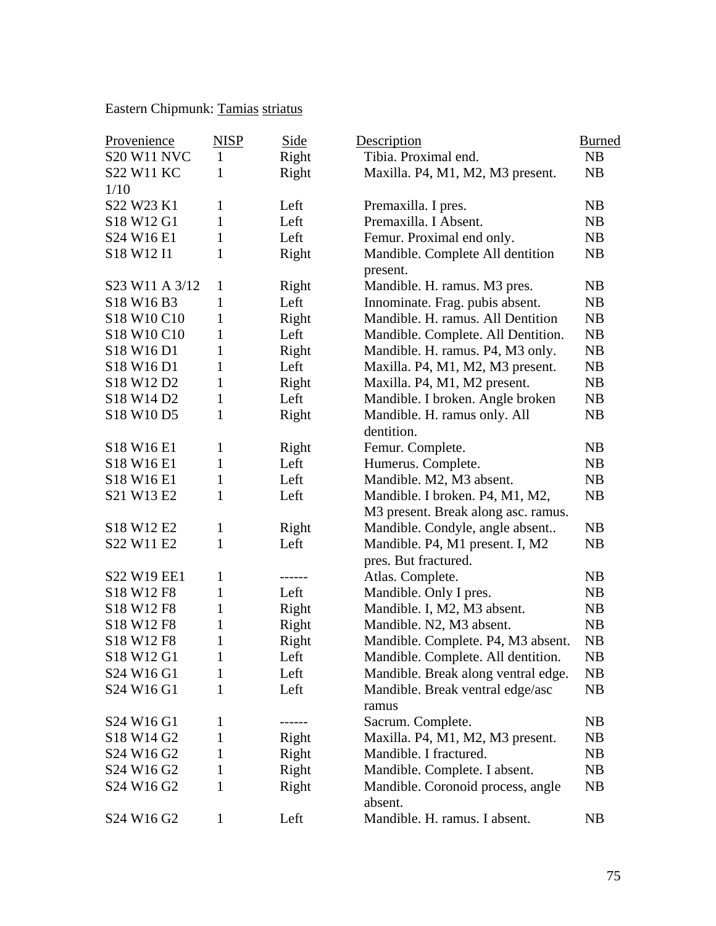Eastern Chipmunk: Tamias striatus

| Provenience                                    | <b>NISP</b>  | Side          | Description                         | <b>Burned</b> |
|------------------------------------------------|--------------|---------------|-------------------------------------|---------------|
| <b>S20 W11 NVC</b>                             | $\mathbf{1}$ | Right         | Tibia. Proximal end.                | <b>NB</b>     |
| <b>S22 W11 KC</b>                              | 1            | Right         | Maxilla. P4, M1, M2, M3 present.    | NB            |
| 1/10                                           |              |               |                                     |               |
| S22 W23 K1                                     | 1            | Left          | Premaxilla. I pres.                 | NB            |
| S18 W12 G1                                     | $\mathbf{1}$ | Left          | Premaxilla. I Absent.               | NB            |
| S24 W16 E1                                     | $\mathbf{1}$ | Left          | Femur. Proximal end only.           | NB            |
| S <sub>18</sub> W <sub>12</sub> I <sub>1</sub> | 1            | Right         | Mandible. Complete All dentition    | NB            |
|                                                |              |               | present.                            |               |
| S23 W11 A 3/12                                 | 1            | Right         | Mandible. H. ramus. M3 pres.        | NB            |
| S18 W16 B3                                     | 1            | Left          | Innominate. Frag. pubis absent.     | NB            |
| S18 W10 C10                                    | 1            | Right         | Mandible. H. ramus. All Dentition   | NB            |
| S18 W10 C10                                    | 1            | Left          | Mandible. Complete. All Dentition.  | NB            |
| S18 W16 D1                                     | 1            | Right         | Mandible. H. ramus. P4, M3 only.    | NB            |
| S18 W16 D1                                     | 1            | Left          | Maxilla. P4, M1, M2, M3 present.    | NB            |
| S <sub>18</sub> W <sub>12</sub> D <sub>2</sub> | 1            | Right         | Maxilla. P4, M1, M2 present.        | <b>NB</b>     |
| S18 W14 D2                                     | $\mathbf{1}$ | Left          | Mandible. I broken. Angle broken    | NB            |
| S18 W10 D5                                     | $\mathbf{1}$ | Right         | Mandible. H. ramus only. All        | NB            |
|                                                |              |               | dentition.                          |               |
| S18 W16 E1                                     | 1            | Right         | Femur. Complete.                    | NB            |
| S18 W16 E1                                     | 1            | Left          | Humerus. Complete.                  | <b>NB</b>     |
| S18 W16 E1                                     | 1            | Left          | Mandible. M2, M3 absent.            | NB            |
| S21 W13 E2                                     | 1            | Left          | Mandible. I broken. P4, M1, M2,     | <b>NB</b>     |
|                                                |              |               | M3 present. Break along asc. ramus. |               |
| S18 W12 E2                                     | 1            | Right         | Mandible. Condyle, angle absent     | NB            |
| S22 W11 E2                                     | $\mathbf{1}$ | Left          | Mandible. P4, M1 present. I, M2     | NB            |
|                                                |              |               | pres. But fractured.                |               |
| S22 W19 EE1                                    | 1            | $- - - - - -$ | Atlas. Complete.                    | NB            |
| S18 W12 F8                                     | 1            | Left          | Mandible. Only I pres.              | NB            |
| S18 W12 F8                                     | 1            | Right         | Mandible. I, M2, M3 absent.         | NB            |
| S18 W12 F8                                     | 1            | Right         | Mandible. N2, M3 absent.            | NB            |
| S18 W12 F8                                     | 1            | Right         | Mandible. Complete. P4, M3 absent.  | NB            |
| S18 W12 G1                                     | 1            | Left          | Mandible. Complete. All dentition.  | NB            |
| S24 W16 G1                                     | 1            | Left          | Mandible. Break along ventral edge. | NB            |
| S24 W16 G1                                     | 1            | Left          | Mandible. Break ventral edge/asc    | NB            |
|                                                |              |               | ramus                               |               |
| S24 W16 G1                                     | 1            |               | Sacrum. Complete.                   | <b>NB</b>     |
| S18 W14 G2                                     | 1            | Right         | Maxilla. P4, M1, M2, M3 present.    | <b>NB</b>     |
| S <sub>24</sub> W <sub>16</sub> G <sub>2</sub> | 1            | Right         | Mandible. I fractured.              | <b>NB</b>     |
| S <sub>24</sub> W <sub>16</sub> G <sub>2</sub> | 1            | Right         | Mandible. Complete. I absent.       | NB            |
| S <sub>24</sub> W <sub>16</sub> G <sub>2</sub> | 1            | Right         | Mandible. Coronoid process, angle   | <b>NB</b>     |
|                                                |              |               | absent.                             |               |
| S24 W16 G2                                     | 1            | Left          | Mandible. H. ramus. I absent.       | NB            |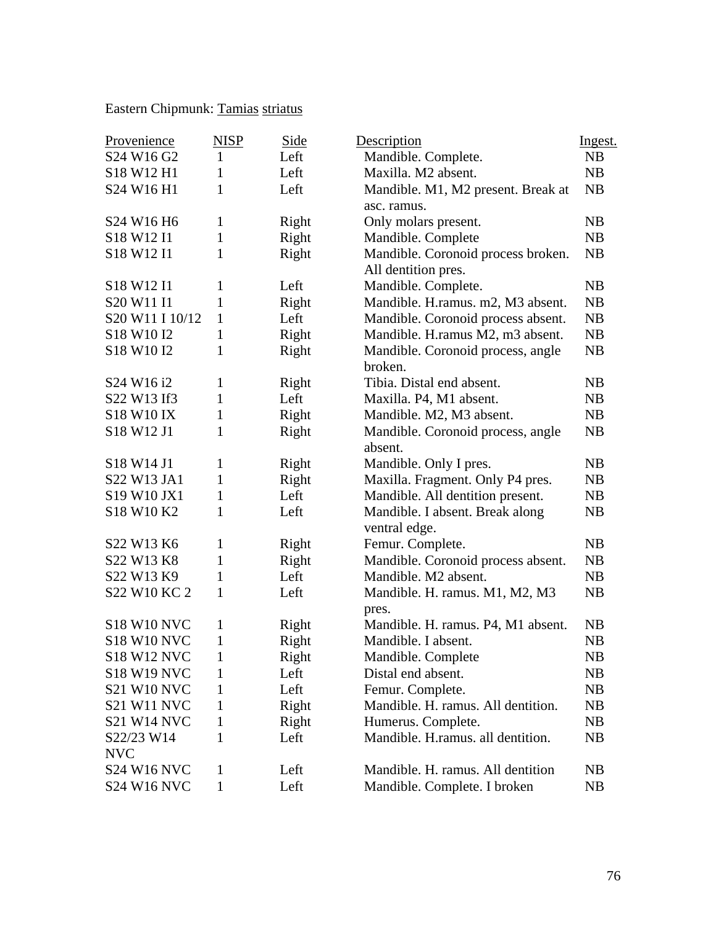## Eastern Chipmunk: Tamias striatus

| Provenience                                    | <b>NISP</b>  | <b>Side</b> | Description                        | Ingest.   |
|------------------------------------------------|--------------|-------------|------------------------------------|-----------|
| S24 W16 G2                                     | $\mathbf{1}$ | Left        | Mandible. Complete.                | NB        |
| S18 W12 H1                                     | 1            | Left        | Maxilla. M2 absent.                | NB        |
| S24 W16 H1                                     | $\mathbf{1}$ | Left        | Mandible. M1, M2 present. Break at | NB        |
|                                                |              |             | asc. ramus.                        |           |
| S24 W16 H6                                     | $\mathbf{1}$ | Right       | Only molars present.               | NB        |
| S <sub>18</sub> W <sub>12</sub> I <sub>1</sub> | $\mathbf{1}$ | Right       | Mandible. Complete                 | NB        |
| S <sub>18</sub> W <sub>12</sub> I <sub>1</sub> | 1            | Right       | Mandible. Coronoid process broken. | NB        |
|                                                |              |             | All dentition pres.                |           |
| S <sub>18</sub> W <sub>12</sub> I <sub>1</sub> | 1            | Left        | Mandible. Complete.                | NB        |
| S20 W11 I1                                     | $\mathbf{1}$ | Right       | Mandible. H.ramus. m2, M3 absent.  | NB        |
| S20 W11 I 10/12                                | $\mathbf{1}$ | Left        | Mandible. Coronoid process absent. | NB        |
| S <sub>18</sub> W <sub>10</sub> <sub>I2</sub>  | $\mathbf{1}$ | Right       | Mandible. H.ramus M2, m3 absent.   | NB        |
| S <sub>18</sub> W <sub>10</sub> <sub>I2</sub>  | 1            | Right       | Mandible. Coronoid process, angle  | NB        |
|                                                |              |             | broken.                            |           |
| S <sub>24</sub> W <sub>16</sub> i <sub>2</sub> | 1            | Right       | Tibia. Distal end absent.          | NB        |
| S22 W13 If3                                    | $\mathbf{1}$ | Left        | Maxilla. P4, M1 absent.            | NB        |
| <b>S18 W10 IX</b>                              | 1            | Right       | Mandible. M2, M3 absent.           | NB        |
| S18 W12 J1                                     | 1            | Right       | Mandible. Coronoid process, angle  | NB        |
|                                                |              |             | absent.                            |           |
| S18 W14 J1                                     | 1            | Right       | Mandible. Only I pres.             | NB        |
| S22 W13 JA1                                    | 1            | Right       | Maxilla. Fragment. Only P4 pres.   | NB        |
| S19 W10 JX1                                    | $\mathbf{1}$ | Left        | Mandible. All dentition present.   | NB        |
| S18 W10 K2                                     | $\mathbf{1}$ | Left        | Mandible. I absent. Break along    | NB        |
|                                                |              |             | ventral edge.                      |           |
| S22 W13 K6                                     | 1            | Right       | Femur. Complete.                   | NB        |
| S22 W13 K8                                     | 1            | Right       | Mandible. Coronoid process absent. | NB        |
| S22 W13 K9                                     | 1            | Left        | Mandible. M2 absent.               | NB        |
| S22 W10 KC 2                                   | $\mathbf{1}$ | Left        | Mandible. H. ramus. M1, M2, M3     | NB        |
|                                                |              |             | pres.                              |           |
| <b>S18 W10 NVC</b>                             | 1            | Right       | Mandible. H. ramus. P4, M1 absent. | NB        |
| <b>S18 W10 NVC</b>                             | 1            | Right       | Mandible. I absent.                | NB        |
| <b>S18 W12 NVC</b>                             | $\mathbf{1}$ | Right       | Mandible. Complete                 | <b>NB</b> |
| <b>S18 W19 NVC</b>                             | 1            | Left        | Distal end absent.                 | NB        |
| <b>S21 W10 NVC</b>                             | 1            | Left        | Femur. Complete.                   | NB        |
| <b>S21 W11 NVC</b>                             | 1            | Right       | Mandible. H. ramus. All dentition. | NB        |
| <b>S21 W14 NVC</b>                             | 1            | Right       | Humerus. Complete.                 | NB        |
| S22/23 W14                                     | 1            | Left        | Mandible. H.ramus. all dentition.  | NB        |
| <b>NVC</b>                                     |              |             |                                    |           |
| <b>S24 W16 NVC</b>                             | 1            | Left        | Mandible. H. ramus. All dentition  | NB        |
| <b>S24 W16 NVC</b>                             | 1            | Left        | Mandible. Complete. I broken       | NB        |